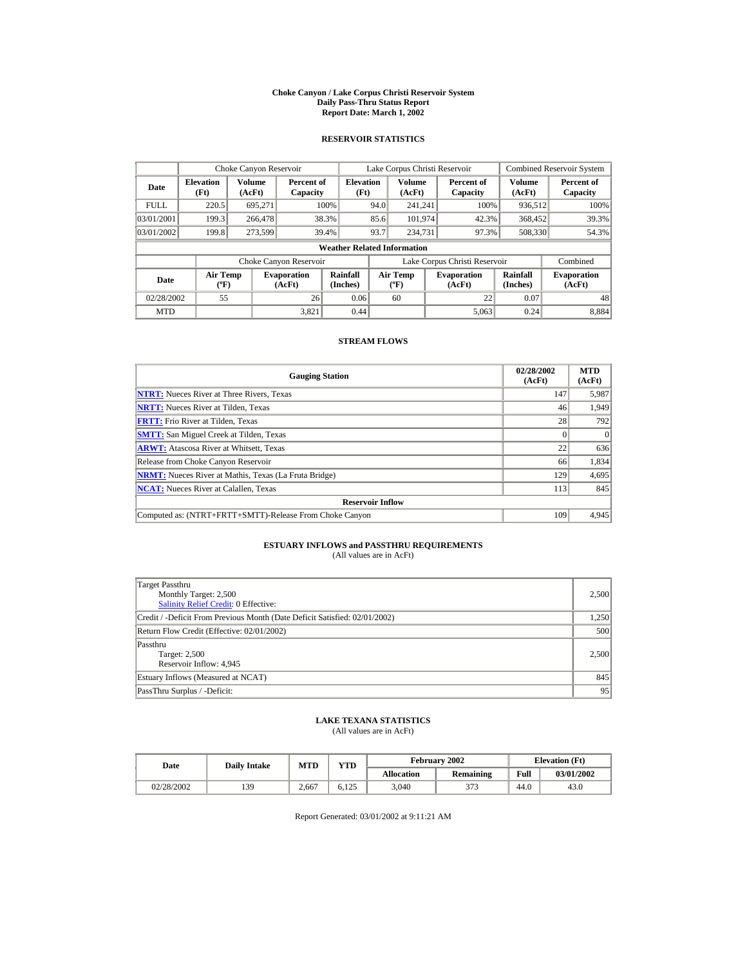#### **Choke Canyon / Lake Corpus Christi Reservoir System Daily Pass-Thru Status Report Report Date: March 1, 2002**

## **RESERVOIR STATISTICS**

|             | Choke Canyon Reservoir                      |                         |                              |                          | Lake Corpus Christi Reservoir |                                         |  |                               |                      | <b>Combined Reservoir System</b> |  |  |
|-------------|---------------------------------------------|-------------------------|------------------------------|--------------------------|-------------------------------|-----------------------------------------|--|-------------------------------|----------------------|----------------------------------|--|--|
| Date        | <b>Elevation</b><br>(Ft)                    | <b>Volume</b><br>(AcFt) | Percent of<br>Capacity       | <b>Elevation</b><br>(Ft) |                               | <b>Volume</b><br>(AcFt)                 |  | Percent of<br>Capacity        | Volume<br>(AcFt)     | Percent of<br>Capacity           |  |  |
| <b>FULL</b> | 220.5                                       | 695.271                 |                              | 100%                     | 94.0                          | 241.241                                 |  | 100%                          | 936,512              | 100%                             |  |  |
| 03/01/2001  | 199.3                                       | 266,478                 |                              | 38.3%                    | 85.6                          | 101,974                                 |  | 42.3%                         | 368,452              | 39.3%                            |  |  |
| 03/01/2002  | 199.8                                       | 273,599                 |                              | 39.4%                    | 93.7                          | 234,731                                 |  | 97.3%                         | 508,330              | 54.3%                            |  |  |
|             | <b>Weather Related Information</b>          |                         |                              |                          |                               |                                         |  |                               |                      |                                  |  |  |
|             |                                             |                         | Choke Canyon Reservoir       |                          |                               |                                         |  | Lake Corpus Christi Reservoir |                      | Combined                         |  |  |
| Date        | <b>Air Temp</b><br>$({}^{\circ}\mathrm{F})$ |                         | <b>Evaporation</b><br>(AcFt) | Rainfall<br>(Inches)     |                               | <b>Air Temp</b><br>$(^{\circ}\text{F})$ |  | <b>Evaporation</b><br>(AcFt)  | Rainfall<br>(Inches) | <b>Evaporation</b><br>(AcFt)     |  |  |
| 02/28/2002  | 55                                          |                         | 26                           | 0.06                     |                               | 60                                      |  | 22                            | 0.07                 | 48                               |  |  |
| <b>MTD</b>  |                                             |                         | 3.821                        | 0.44                     |                               |                                         |  | 5.063                         | 0.24                 | 8.884                            |  |  |

## **STREAM FLOWS**

| <b>Gauging Station</b>                                       | 02/28/2002<br>(AcFt) | <b>MTD</b><br>(AcFt) |
|--------------------------------------------------------------|----------------------|----------------------|
| <b>NTRT:</b> Nueces River at Three Rivers, Texas             | 147                  | 5,987                |
| <b>NRTT:</b> Nueces River at Tilden, Texas                   | 46                   | 1,949                |
| <b>FRTT:</b> Frio River at Tilden, Texas                     | 28                   | 792                  |
| <b>SMTT:</b> San Miguel Creek at Tilden, Texas               |                      | $\Omega$             |
| <b>ARWT:</b> Atascosa River at Whitsett, Texas               | 22                   | 636                  |
| Release from Choke Canyon Reservoir                          | 66                   | 1,834                |
| <b>NRMT:</b> Nueces River at Mathis, Texas (La Fruta Bridge) | 129                  | 4,695                |
| <b>NCAT:</b> Nueces River at Calallen, Texas                 | 113                  | 845                  |
| <b>Reservoir Inflow</b>                                      |                      |                      |
| Computed as: (NTRT+FRTT+SMTT)-Release From Choke Canyon      | 109                  | 4,945                |

# **ESTUARY INFLOWS and PASSTHRU REQUIREMENTS**<br>(All values are in AcFt)

| Target Passthru<br>Monthly Target: 2,500<br><b>Salinity Relief Credit: 0 Effective:</b> | 2.500 |
|-----------------------------------------------------------------------------------------|-------|
| Credit / -Deficit From Previous Month (Date Deficit Satisfied: 02/01/2002)              | 1,250 |
| Return Flow Credit (Effective: 02/01/2002)                                              | 500   |
| Passthru<br>Target: 2,500<br>Reservoir Inflow: 4,945                                    | 2.500 |
| Estuary Inflows (Measured at NCAT)                                                      | 845   |
| PassThru Surplus / -Deficit:                                                            | 95    |

## **LAKE TEXANA STATISTICS**

(All values are in AcFt)

| Date       | <b>Daily Intake</b> | <b>MTD</b> | $\mathbf{v}\mathbf{T}\mathbf{D}$ |                   | February 2002 |      | <b>Elevation</b> (Ft) |
|------------|---------------------|------------|----------------------------------|-------------------|---------------|------|-----------------------|
|            |                     |            |                                  | <b>Allocation</b> | Remaining     | Full | 03/01/2002            |
| 02/28/2002 | 139                 | 2.667      | 6.125                            | 3,040             | 373           | 44.0 | 43.0                  |

Report Generated: 03/01/2002 at 9:11:21 AM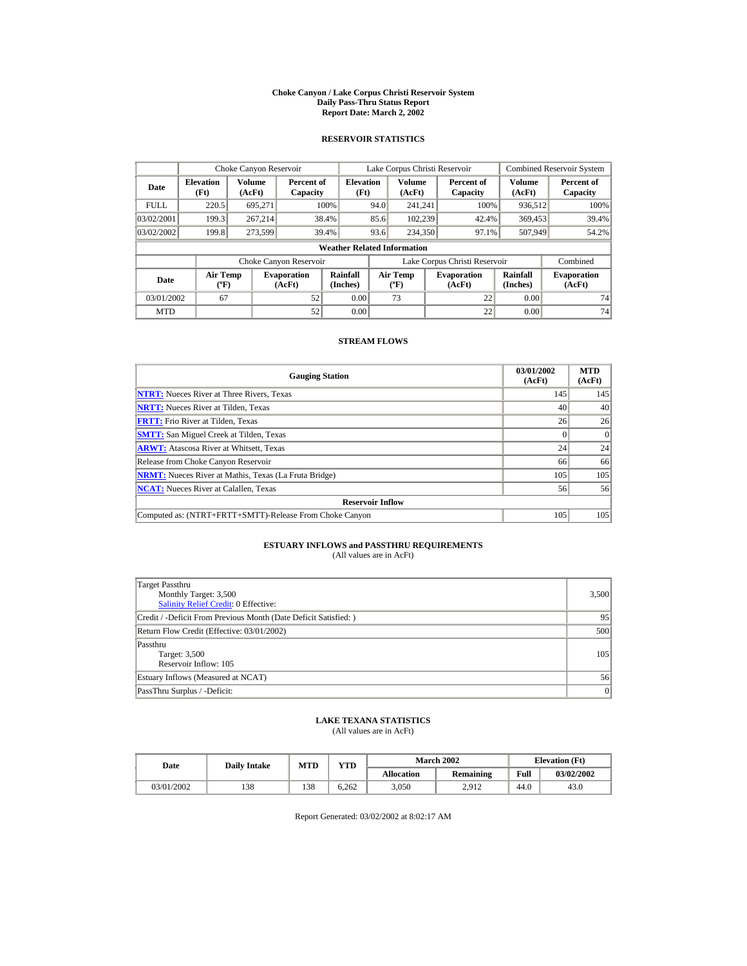#### **Choke Canyon / Lake Corpus Christi Reservoir System Daily Pass-Thru Status Report Report Date: March 2, 2002**

## **RESERVOIR STATISTICS**

|             | Choke Canyon Reservoir         |                  |                              |                                    |      | Lake Corpus Christi Reservoir            |                               |                         | <b>Combined Reservoir System</b> |
|-------------|--------------------------------|------------------|------------------------------|------------------------------------|------|------------------------------------------|-------------------------------|-------------------------|----------------------------------|
| Date        | <b>Elevation</b><br>(Ft)       | Volume<br>(AcFt) | Percent of<br>Capacity       | <b>Elevation</b><br>(Ft)           |      | <b>Volume</b><br>(AcFt)                  | Percent of<br>Capacity        | <b>Volume</b><br>(AcFt) | Percent of<br>Capacity           |
| <b>FULL</b> | 220.5                          | 695.271          |                              | 100%                               | 94.0 | 241.241                                  | 100%                          | 936,512                 | 100%                             |
| 03/02/2001  | 199.3                          | 267.214          |                              | 38.4%                              | 85.6 | 102.239                                  | 42.4%                         | 369,453                 | 39.4%                            |
| 03/02/2002  | 199.8                          | 273.599          |                              | 39.4%                              | 93.6 | 234,350                                  | 97.1%                         | 507.949                 | 54.2%                            |
|             |                                |                  |                              | <b>Weather Related Information</b> |      |                                          |                               |                         |                                  |
|             |                                |                  | Choke Canyon Reservoir       |                                    |      |                                          | Lake Corpus Christi Reservoir |                         | Combined                         |
| Date        | Air Temp<br>$({}^o\mathrm{F})$ |                  | <b>Evaporation</b><br>(AcFt) | Rainfall<br>(Inches)               |      | <b>Air Temp</b><br>$({}^{\circ}{\rm F})$ | <b>Evaporation</b><br>(AcFt)  | Rainfall<br>(Inches)    | <b>Evaporation</b><br>(AcFt)     |
| 03/01/2002  | 67                             |                  | 52                           | 0.00                               |      | 73                                       | 22                            | 0.00                    | 74                               |
| <b>MTD</b>  |                                |                  | 52                           | 0.00                               |      |                                          | 22                            | 0.00                    | 74                               |

## **STREAM FLOWS**

| <b>Gauging Station</b>                                       | 03/01/2002<br>(AcFt) | <b>MTD</b><br>(AcFt) |
|--------------------------------------------------------------|----------------------|----------------------|
| <b>NTRT:</b> Nueces River at Three Rivers, Texas             | 145                  | 145                  |
| <b>NRTT:</b> Nueces River at Tilden, Texas                   | 40                   | 40                   |
| <b>FRTT:</b> Frio River at Tilden, Texas                     | 26                   | 26                   |
| <b>SMTT:</b> San Miguel Creek at Tilden, Texas               |                      | $\Omega$             |
| <b>ARWT:</b> Atascosa River at Whitsett, Texas               | 24                   | 24                   |
| Release from Choke Canyon Reservoir                          | 66                   | 66                   |
| <b>NRMT:</b> Nueces River at Mathis, Texas (La Fruta Bridge) | 105                  | 105                  |
| <b>NCAT:</b> Nueces River at Calallen, Texas                 | 56                   | 56                   |
| <b>Reservoir Inflow</b>                                      |                      |                      |
| Computed as: (NTRT+FRTT+SMTT)-Release From Choke Canyon      | 105                  | 105                  |

# **ESTUARY INFLOWS and PASSTHRU REQUIREMENTS**<br>(All values are in AcFt)

| Target Passthru<br>Monthly Target: 3,500<br><b>Salinity Relief Credit: 0 Effective:</b> | 3,500 |
|-----------------------------------------------------------------------------------------|-------|
| Credit / -Deficit From Previous Month (Date Deficit Satisfied: )                        | 95    |
| Return Flow Credit (Effective: 03/01/2002)                                              | 500   |
| Passthru<br>Target: 3,500<br>Reservoir Inflow: 105                                      | 105   |
| Estuary Inflows (Measured at NCAT)                                                      | 56    |
| PassThru Surplus / -Deficit:                                                            | 0     |

## **LAKE TEXANA STATISTICS**

(All values are in AcFt)

| Date |            | <b>Daily Intake</b> | <b>MTD</b> | $\mathbf{v}\mathbf{T}\mathbf{D}$ |                   | <b>March 2002</b> | <b>Elevation</b> (Ft) |            |
|------|------------|---------------------|------------|----------------------------------|-------------------|-------------------|-----------------------|------------|
|      |            |                     |            |                                  | <b>Allocation</b> | Remaining         | Full                  | 03/02/2002 |
|      | 03/01/2002 | 138                 | 138        | 6.262                            | 3,050             | 2.912             | 44.0                  | 43.0       |

Report Generated: 03/02/2002 at 8:02:17 AM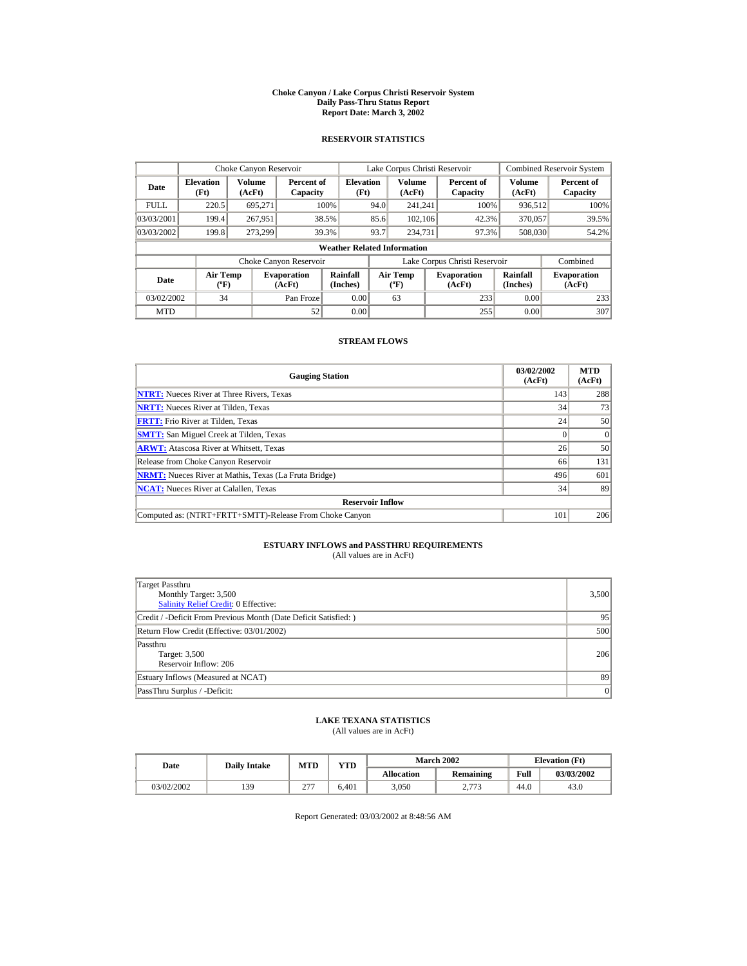#### **Choke Canyon / Lake Corpus Christi Reservoir System Daily Pass-Thru Status Report Report Date: March 3, 2002**

## **RESERVOIR STATISTICS**

|             | Choke Canyon Reservoir         |                  |                              |                                    | Lake Corpus Christi Reservoir |                                          |  |                               |                         | <b>Combined Reservoir System</b> |
|-------------|--------------------------------|------------------|------------------------------|------------------------------------|-------------------------------|------------------------------------------|--|-------------------------------|-------------------------|----------------------------------|
| Date        | <b>Elevation</b><br>(Ft)       | Volume<br>(AcFt) | Percent of<br>Capacity       | <b>Elevation</b><br>(Ft)           |                               | <b>Volume</b><br>(AcFt)                  |  | Percent of<br>Capacity        | <b>Volume</b><br>(AcFt) | Percent of<br>Capacity           |
| <b>FULL</b> | 220.5                          | 695.271          |                              | 100%                               | 94.0                          | 241.241                                  |  | 100%                          | 936.512                 | 100%                             |
| 03/03/2001  | 199.4                          | 267.951          |                              | 38.5%                              | 85.6                          | 102.106                                  |  | 42.3%                         | 370,057                 | 39.5%                            |
| 03/03/2002  | 199.8                          | 273.299          |                              | 39.3%                              | 93.7                          | 234,731                                  |  | 97.3%                         | 508,030                 | 54.2%                            |
|             |                                |                  |                              | <b>Weather Related Information</b> |                               |                                          |  |                               |                         |                                  |
|             |                                |                  | Choke Canyon Reservoir       |                                    |                               |                                          |  | Lake Corpus Christi Reservoir |                         | Combined                         |
| Date        | Air Temp<br>$({}^o\mathrm{F})$ |                  | <b>Evaporation</b><br>(AcFt) | Rainfall<br>(Inches)               |                               | <b>Air Temp</b><br>$({}^{\circ}{\rm F})$ |  | <b>Evaporation</b><br>(AcFt)  | Rainfall<br>(Inches)    | <b>Evaporation</b><br>(AcFt)     |
| 03/02/2002  | 34                             |                  | Pan Froze                    | 0.00                               |                               | 63                                       |  | 233                           | 0.00                    | 233                              |
| <b>MTD</b>  |                                |                  | 52                           | 0.00                               |                               |                                          |  | 255                           | 0.00                    | 307                              |

## **STREAM FLOWS**

| <b>Gauging Station</b>                                       | 03/02/2002<br>(AcFt) | <b>MTD</b><br>(AcFt) |
|--------------------------------------------------------------|----------------------|----------------------|
| <b>NTRT:</b> Nueces River at Three Rivers, Texas             | 143                  | 288                  |
| <b>NRTT:</b> Nueces River at Tilden, Texas                   | 34                   | 73                   |
| <b>FRTT:</b> Frio River at Tilden, Texas                     | 24                   | 50                   |
| <b>SMTT:</b> San Miguel Creek at Tilden, Texas               |                      | $\Omega$             |
| <b>ARWT:</b> Atascosa River at Whitsett, Texas               | 26                   | 50                   |
| Release from Choke Canyon Reservoir                          | 66                   | 131                  |
| <b>NRMT:</b> Nueces River at Mathis, Texas (La Fruta Bridge) | 496                  | 601                  |
| <b>NCAT:</b> Nueces River at Calallen, Texas                 | 34                   | 89                   |
| <b>Reservoir Inflow</b>                                      |                      |                      |
| Computed as: (NTRT+FRTT+SMTT)-Release From Choke Canyon      | 101                  | 206                  |

# **ESTUARY INFLOWS and PASSTHRU REQUIREMENTS**<br>(All values are in AcFt)

| Target Passthru<br>Monthly Target: 3,500<br><b>Salinity Relief Credit: 0 Effective:</b> | 3,500 |
|-----------------------------------------------------------------------------------------|-------|
| Credit / -Deficit From Previous Month (Date Deficit Satisfied: )                        | 95    |
| Return Flow Credit (Effective: 03/01/2002)                                              | 500   |
| Passthru<br>Target: 3,500<br>Reservoir Inflow: 206                                      | 206   |
| Estuary Inflows (Measured at NCAT)                                                      | 89    |
| PassThru Surplus / -Deficit:                                                            | 0     |

## **LAKE TEXANA STATISTICS**

(All values are in AcFt)

| Date       | <b>Daily Intake</b> | <b>MTD</b>         | $\mathbf{v}\mathbf{T}\mathbf{D}$ |                   | <b>March 2002</b> |      | <b>Elevation</b> (Ft) |
|------------|---------------------|--------------------|----------------------------------|-------------------|-------------------|------|-----------------------|
|            |                     |                    |                                  | <b>Allocation</b> | Remaining         | Full | 03/03/2002            |
| 03/02/2002 | 139                 | $\sim$<br>$\sim$ 1 | 6.401                            | 3,050             | 272<br>ر. ، ، ، ، | 44.0 | 43.0                  |

Report Generated: 03/03/2002 at 8:48:56 AM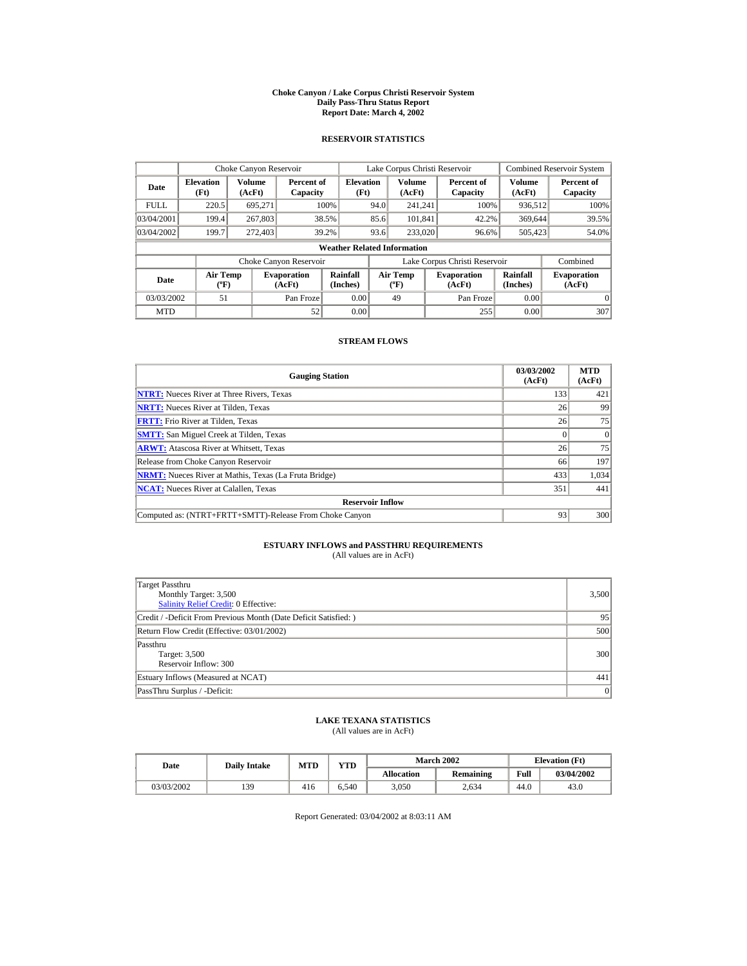#### **Choke Canyon / Lake Corpus Christi Reservoir System Daily Pass-Thru Status Report Report Date: March 4, 2002**

## **RESERVOIR STATISTICS**

|                                                                                     | Choke Canyon Reservoir             |                      |                        |                                           |      | Lake Corpus Christi Reservoir |                      |                               |                  | <b>Combined Reservoir System</b> |
|-------------------------------------------------------------------------------------|------------------------------------|----------------------|------------------------|-------------------------------------------|------|-------------------------------|----------------------|-------------------------------|------------------|----------------------------------|
| <b>Elevation</b><br>Date<br>(Ft)                                                    |                                    | Volume<br>(AcFt)     | Percent of<br>Capacity | <b>Elevation</b><br>(Ft)                  |      | Volume<br>(AcFt)              |                      | Percent of<br>Capacity        | Volume<br>(AcFt) | Percent of<br>Capacity           |
| <b>FULL</b>                                                                         | 220.5                              | 695.271              |                        | 100%                                      | 94.0 | 241.241                       |                      | 100%                          | 936,512          | 100%                             |
| 03/04/2001                                                                          | 199.4                              | 267,803              |                        | 38.5%                                     | 85.6 | 101.841                       |                      | 42.2%                         | 369,644          | 39.5%                            |
| 03/04/2002                                                                          | 199.7                              | 272,403              |                        | 39.2%                                     | 93.6 | 233,020                       |                      | 96.6%                         | 505,423          | 54.0%                            |
|                                                                                     | <b>Weather Related Information</b> |                      |                        |                                           |      |                               |                      |                               |                  |                                  |
|                                                                                     |                                    |                      | Choke Canyon Reservoir |                                           |      |                               |                      | Lake Corpus Christi Reservoir |                  | Combined                         |
| <b>Air Temp</b><br><b>Evaporation</b><br>Date<br>$({}^{\circ}\mathrm{F})$<br>(AcFt) |                                    | Rainfall<br>(Inches) |                        | <b>Air Temp</b><br>$({}^{\circ}\text{F})$ |      | <b>Evaporation</b><br>(AcFt)  | Rainfall<br>(Inches) | <b>Evaporation</b><br>(AcFt)  |                  |                                  |
| 03/03/2002                                                                          | 51                                 |                      | Pan Froze              | 0.00                                      |      | 49                            |                      | Pan Froze                     | 0.00             | $\Omega$                         |
| <b>MTD</b>                                                                          |                                    |                      | 52                     | 0.00                                      |      |                               |                      | 255                           | 0.00             | 307                              |

## **STREAM FLOWS**

| <b>Gauging Station</b>                                       | 03/03/2002<br>(AcFt) | <b>MTD</b><br>(AcFt) |
|--------------------------------------------------------------|----------------------|----------------------|
| <b>NTRT:</b> Nueces River at Three Rivers, Texas             | 133                  | 421                  |
| <b>NRTT:</b> Nueces River at Tilden, Texas                   | 26                   | 99                   |
| <b>FRTT:</b> Frio River at Tilden, Texas                     | 26                   | 75                   |
| <b>SMTT:</b> San Miguel Creek at Tilden, Texas               |                      | $\Omega$             |
| <b>ARWT:</b> Atascosa River at Whitsett, Texas               | 26                   | 75                   |
| Release from Choke Canyon Reservoir                          | 66                   | 197                  |
| <b>NRMT:</b> Nueces River at Mathis, Texas (La Fruta Bridge) | 433                  | 1.034                |
| <b>NCAT:</b> Nueces River at Calallen, Texas                 | 351                  | 441                  |
| <b>Reservoir Inflow</b>                                      |                      |                      |
| Computed as: (NTRT+FRTT+SMTT)-Release From Choke Canyon      | 93                   | 300                  |

# **ESTUARY INFLOWS and PASSTHRU REQUIREMENTS**<br>(All values are in AcFt)

| Target Passthru<br>Monthly Target: 3,500<br>Salinity Relief Credit: 0 Effective: | 3,500 |
|----------------------------------------------------------------------------------|-------|
| Credit / -Deficit From Previous Month (Date Deficit Satisfied: )                 | 95    |
| Return Flow Credit (Effective: 03/01/2002)                                       | 500   |
| Passthru<br>Target: 3,500<br>Reservoir Inflow: 300                               | 300   |
| Estuary Inflows (Measured at NCAT)                                               | 441   |
| PassThru Surplus / -Deficit:                                                     | 0     |

## **LAKE TEXANA STATISTICS**

(All values are in AcFt)

| Date       | <b>Daily Intake</b> | <b>MTD</b> | VTD-  |                   | <b>March 2002</b> |      | <b>Elevation</b> (Ft) |
|------------|---------------------|------------|-------|-------------------|-------------------|------|-----------------------|
|            |                     |            |       | <b>Allocation</b> | Remaining         | Full | 03/04/2002            |
| 03/03/2002 | 139                 | 416        | 6.540 | 3,050             | 2.634             | 44.0 | 43.0                  |

Report Generated: 03/04/2002 at 8:03:11 AM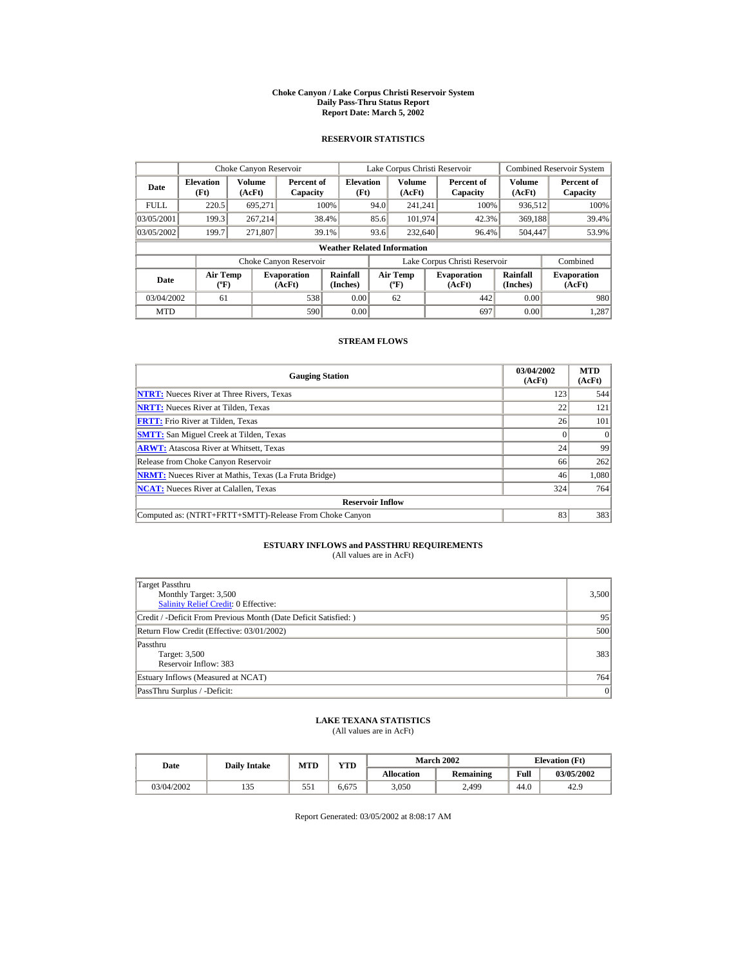#### **Choke Canyon / Lake Corpus Christi Reservoir System Daily Pass-Thru Status Report Report Date: March 5, 2002**

## **RESERVOIR STATISTICS**

|                                        | Choke Canyon Reservoir             |                  |                              |                          |                               | Lake Corpus Christi Reservoir            |  |                              |                         | <b>Combined Reservoir System</b> |
|----------------------------------------|------------------------------------|------------------|------------------------------|--------------------------|-------------------------------|------------------------------------------|--|------------------------------|-------------------------|----------------------------------|
| <b>Elevation</b><br>Date<br>(Ft)       |                                    | Volume<br>(AcFt) | Percent of<br>Capacity       | <b>Elevation</b><br>(Ft) |                               | <b>Volume</b><br>(AcFt)                  |  | Percent of<br>Capacity       | <b>Volume</b><br>(AcFt) | Percent of<br>Capacity           |
| <b>FULL</b>                            | 220.5                              | 695.271          |                              | 100%                     | 94.0                          | 241.241                                  |  | 100%                         | 936,512                 | 100%                             |
| 03/05/2001                             | 199.3                              | 267.214          |                              | 38.4%                    | 85.6                          | 101.974                                  |  | 42.3%                        | 369,188                 | 39.4%                            |
| 03/05/2002                             | 199.7                              | 271.807          |                              | 39.1%                    | 93.6                          | 232,640                                  |  | 96.4%                        | 504,447                 | 53.9%                            |
|                                        | <b>Weather Related Information</b> |                  |                              |                          |                               |                                          |  |                              |                         |                                  |
|                                        |                                    |                  | Choke Canyon Reservoir       |                          | Lake Corpus Christi Reservoir |                                          |  |                              | Combined                |                                  |
| Air Temp<br>Date<br>$({}^o\mathrm{F})$ |                                    |                  | <b>Evaporation</b><br>(AcFt) | Rainfall<br>(Inches)     |                               | <b>Air Temp</b><br>$({}^{\circ}{\rm F})$ |  | <b>Evaporation</b><br>(AcFt) | Rainfall<br>(Inches)    | <b>Evaporation</b><br>(AcFt)     |
| 03/04/2002                             | 61                                 |                  | 538                          | 0.00                     |                               | 62                                       |  | 442                          | 0.00                    | 980                              |
| <b>MTD</b>                             |                                    |                  | 590                          | 0.00                     |                               |                                          |  | 697                          | 0.00                    | 1.287                            |

## **STREAM FLOWS**

| <b>Gauging Station</b>                                       | 03/04/2002<br>(AcFt) | <b>MTD</b><br>(AcFt) |
|--------------------------------------------------------------|----------------------|----------------------|
| <b>NTRT:</b> Nueces River at Three Rivers, Texas             | 123                  | 544                  |
| <b>NRTT:</b> Nueces River at Tilden, Texas                   | 22                   | 121                  |
| <b>FRTT:</b> Frio River at Tilden, Texas                     | 26                   | 101                  |
| <b>SMTT:</b> San Miguel Creek at Tilden, Texas               |                      | $\Omega$             |
| <b>ARWT:</b> Atascosa River at Whitsett, Texas               | 24                   | 99                   |
| Release from Choke Canyon Reservoir                          | 66                   | 262                  |
| <b>NRMT:</b> Nueces River at Mathis, Texas (La Fruta Bridge) | 46                   | 1.080                |
| <b>NCAT:</b> Nueces River at Calallen, Texas                 | 324                  | 764                  |
| <b>Reservoir Inflow</b>                                      |                      |                      |
| Computed as: (NTRT+FRTT+SMTT)-Release From Choke Canyon      | 83                   | 383                  |

# **ESTUARY INFLOWS and PASSTHRU REQUIREMENTS**<br>(All values are in AcFt)

| Target Passthru<br>Monthly Target: 3,500<br>Salinity Relief Credit: 0 Effective: | 3,500 |
|----------------------------------------------------------------------------------|-------|
| Credit / -Deficit From Previous Month (Date Deficit Satisfied: )                 | 95    |
| Return Flow Credit (Effective: 03/01/2002)                                       | 500   |
| Passthru<br>Target: 3,500<br>Reservoir Inflow: 383                               | 383   |
| Estuary Inflows (Measured at NCAT)                                               | 764   |
| PassThru Surplus / -Deficit:                                                     | 0     |

## **LAKE TEXANA STATISTICS**

(All values are in AcFt)

| Date       | <b>Daily Intake</b> | <b>MTD</b> | $\mathbf{v}\mathbf{T}\mathbf{D}$ |                   | <b>March 2002</b> |      | <b>Elevation</b> (Ft) |
|------------|---------------------|------------|----------------------------------|-------------------|-------------------|------|-----------------------|
|            |                     |            |                                  | <b>Allocation</b> | Remaining         | Full | 03/05/2002            |
| 03/04/2002 | 135                 | 551        | 6.675                            | 3,050             | 2,499             | 44.0 | 42.9                  |

Report Generated: 03/05/2002 at 8:08:17 AM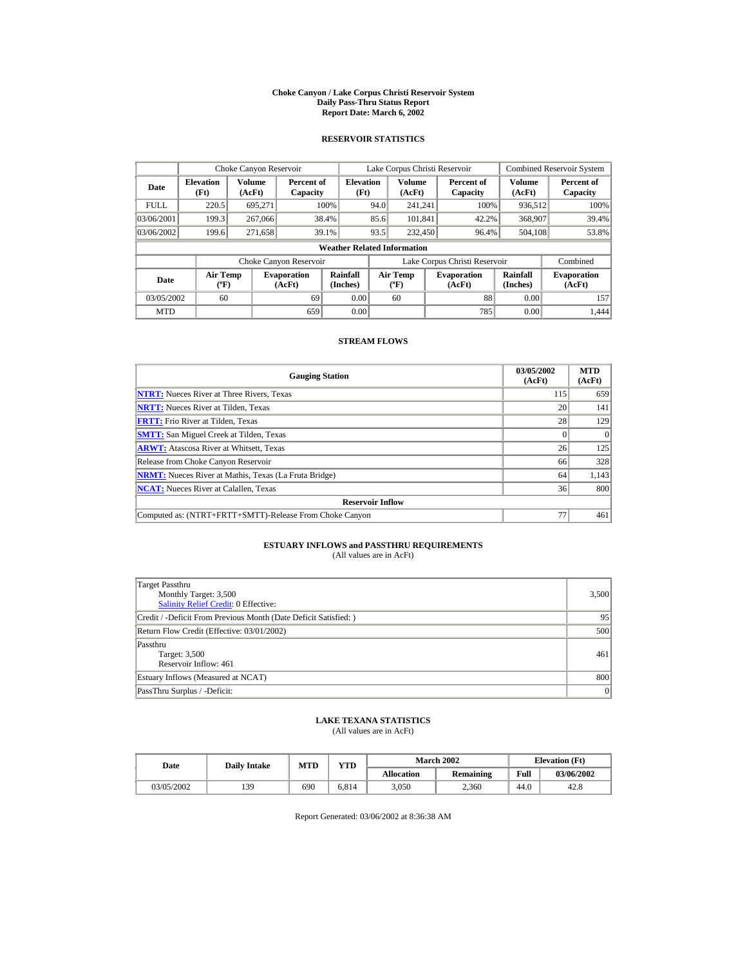#### **Choke Canyon / Lake Corpus Christi Reservoir System Daily Pass-Thru Status Report Report Date: March 6, 2002**

## **RESERVOIR STATISTICS**

|                                                                                     | Choke Canyon Reservoir |                      |                                  |                                    |                               | Lake Corpus Christi Reservoir |                      |                              |                  | <b>Combined Reservoir System</b> |
|-------------------------------------------------------------------------------------|------------------------|----------------------|----------------------------------|------------------------------------|-------------------------------|-------------------------------|----------------------|------------------------------|------------------|----------------------------------|
| <b>Elevation</b><br>Date<br>(Ft)                                                    |                        | Volume<br>(AcFt)     | Percent of<br>Capacity           | <b>Elevation</b><br>(Ft)           |                               | Volume<br>(AcFt)              |                      | Percent of<br>Capacity       | Volume<br>(AcFt) | Percent of<br>Capacity           |
| <b>FULL</b>                                                                         | 220.5                  | 695.271              |                                  | 100%                               | 94.0                          | 241.241                       |                      | 100%                         | 936,512          | 100%                             |
| 03/06/2001                                                                          | 199.3                  | 267,066              |                                  | 38.4%                              | 85.6                          | 101.841                       |                      | 42.2%                        | 368,907          | 39.4%                            |
| 03/06/2002                                                                          | 199.6                  | 271.658              |                                  | 39.1%                              | 93.5                          | 232,450                       |                      | 96.4%                        | 504.108          | 53.8%                            |
|                                                                                     |                        |                      |                                  | <b>Weather Related Information</b> |                               |                               |                      |                              |                  |                                  |
|                                                                                     |                        |                      | Choke Canyon Reservoir           |                                    | Lake Corpus Christi Reservoir |                               |                      |                              | Combined         |                                  |
| <b>Air Temp</b><br><b>Evaporation</b><br>Date<br>$({}^{\circ}\mathrm{F})$<br>(AcFt) |                        | Rainfall<br>(Inches) | <b>Air Temp</b><br>$(^{\circ}F)$ |                                    |                               | <b>Evaporation</b><br>(AcFt)  | Rainfall<br>(Inches) | <b>Evaporation</b><br>(AcFt) |                  |                                  |
| 03/05/2002                                                                          | 60                     |                      | 69                               | 0.00                               |                               | 60                            |                      | 88                           | 0.00             | 157                              |
| <b>MTD</b>                                                                          |                        |                      | 659                              | 0.00                               |                               |                               |                      | 785                          | 0.00             | 1.444                            |

## **STREAM FLOWS**

| <b>Gauging Station</b>                                       | 03/05/2002<br>(AcFt) | <b>MTD</b><br>(AcFt) |
|--------------------------------------------------------------|----------------------|----------------------|
| <b>NTRT:</b> Nueces River at Three Rivers, Texas             | 115                  | 659                  |
| <b>NRTT:</b> Nueces River at Tilden. Texas                   | 20                   | 141                  |
| <b>FRTT:</b> Frio River at Tilden, Texas                     | 28                   | 129                  |
| <b>SMTT:</b> San Miguel Creek at Tilden, Texas               |                      | $\Omega$             |
| <b>ARWT:</b> Atascosa River at Whitsett, Texas               | 26                   | 125                  |
| Release from Choke Canyon Reservoir                          | 66                   | 328                  |
| <b>NRMT:</b> Nueces River at Mathis, Texas (La Fruta Bridge) | 64                   | 1,143                |
| <b>NCAT:</b> Nueces River at Calallen, Texas                 | 36                   | 800                  |
| <b>Reservoir Inflow</b>                                      |                      |                      |
| Computed as: (NTRT+FRTT+SMTT)-Release From Choke Canyon      | 77                   | 461                  |

# **ESTUARY INFLOWS and PASSTHRU REQUIREMENTS**<br>(All values are in AcFt)

| Target Passthru<br>Monthly Target: 3,500<br>Salinity Relief Credit: 0 Effective: | 3,500 |
|----------------------------------------------------------------------------------|-------|
| Credit / -Deficit From Previous Month (Date Deficit Satisfied: )                 | 95    |
| Return Flow Credit (Effective: 03/01/2002)                                       | 500   |
| Passthru<br>Target: 3,500<br>Reservoir Inflow: 461                               | 461   |
| Estuary Inflows (Measured at NCAT)                                               | 800   |
| PassThru Surplus / -Deficit:                                                     | 0     |

## **LAKE TEXANA STATISTICS**

(All values are in AcFt)

| Date       | <b>Daily Intake</b> | <b>MTD</b> | VTD-  |            | <b>March 2002</b> |      | <b>Elevation</b> (Ft) |
|------------|---------------------|------------|-------|------------|-------------------|------|-----------------------|
|            |                     |            |       | Allocation | Remaining         | Full | 03/06/2002            |
| 03/05/2002 | 139                 | 690        | 6.814 | 3,050      | 2.360             | 44.0 | 42.8                  |

Report Generated: 03/06/2002 at 8:36:38 AM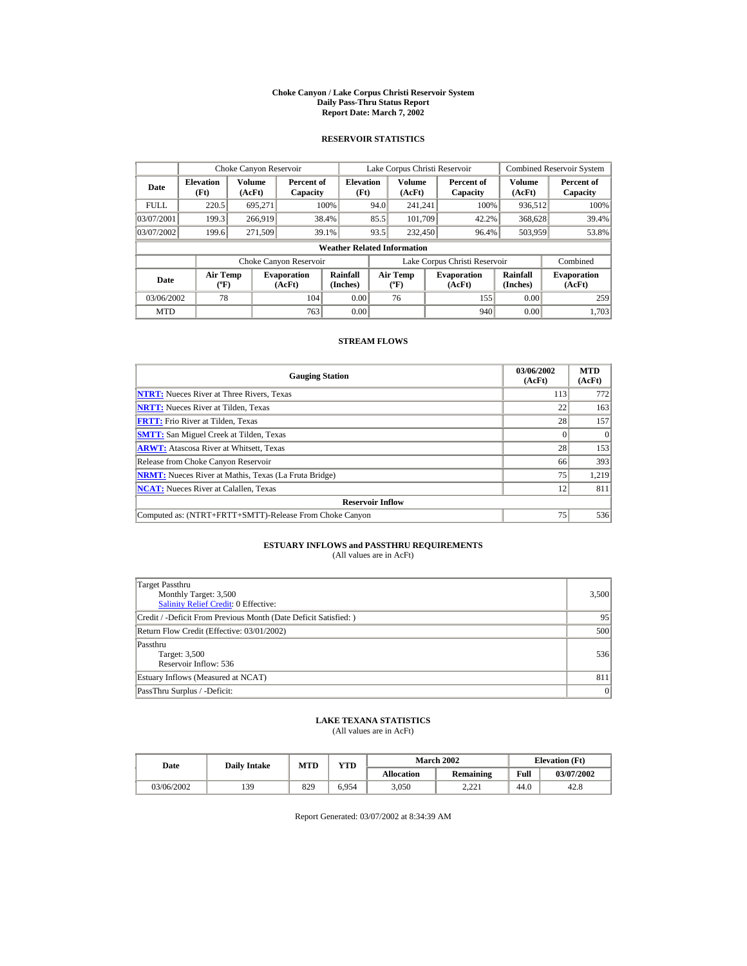#### **Choke Canyon / Lake Corpus Christi Reservoir System Daily Pass-Thru Status Report Report Date: March 7, 2002**

## **RESERVOIR STATISTICS**

|             | Choke Canyon Reservoir                      |                  |                              |                                                                                                                  |      | Lake Corpus Christi Reservoir |  |                               |                  | <b>Combined Reservoir System</b> |  |  |
|-------------|---------------------------------------------|------------------|------------------------------|------------------------------------------------------------------------------------------------------------------|------|-------------------------------|--|-------------------------------|------------------|----------------------------------|--|--|
| Date        | <b>Elevation</b><br>(Ft)                    | Volume<br>(AcFt) | Percent of<br>Capacity       | <b>Elevation</b><br>(Ft)                                                                                         |      | Volume<br>(AcFt)              |  | Percent of<br>Capacity        | Volume<br>(AcFt) | Percent of<br>Capacity           |  |  |
| <b>FULL</b> | 220.5                                       | 695.271          |                              | 100%                                                                                                             | 94.0 | 241.241                       |  | 100%                          | 936,512          | 100%                             |  |  |
| 03/07/2001  | 199.3                                       | 266,919          |                              | 38.4%                                                                                                            | 85.5 | 101.709                       |  | 42.2%                         | 368,628          | 39.4%                            |  |  |
| 03/07/2002  | 199.6                                       | 271,509          |                              | 39.1%                                                                                                            | 93.5 | 232,450                       |  | 96.4%                         | 503,959          | 53.8%                            |  |  |
|             | <b>Weather Related Information</b>          |                  |                              |                                                                                                                  |      |                               |  |                               |                  |                                  |  |  |
|             |                                             |                  | Choke Canyon Reservoir       |                                                                                                                  |      |                               |  | Lake Corpus Christi Reservoir |                  | Combined                         |  |  |
| Date        | <b>Air Temp</b><br>$({}^{\circ}\mathrm{F})$ |                  | <b>Evaporation</b><br>(AcFt) | Rainfall<br>Rainfall<br><b>Air Temp</b><br><b>Evaporation</b><br>(Inches)<br>(Inches)<br>$(^{\circ}F)$<br>(AcFt) |      | <b>Evaporation</b><br>(AcFt)  |  |                               |                  |                                  |  |  |
| 03/06/2002  | 78                                          |                  | 104                          | 0.00                                                                                                             |      | 76                            |  | 155                           | 0.00             | 259                              |  |  |
| <b>MTD</b>  |                                             |                  | 763                          | 0.00                                                                                                             |      |                               |  | 940                           | 0.00             | 1.703                            |  |  |

## **STREAM FLOWS**

| <b>Gauging Station</b>                                       | 03/06/2002<br>(AcFt) | <b>MTD</b><br>(AcFt) |
|--------------------------------------------------------------|----------------------|----------------------|
| <b>NTRT:</b> Nueces River at Three Rivers, Texas             | 113                  | 772                  |
| <b>NRTT:</b> Nueces River at Tilden. Texas                   | 22                   | 163                  |
| <b>FRTT:</b> Frio River at Tilden, Texas                     | 28                   | 157                  |
| <b>SMTT:</b> San Miguel Creek at Tilden, Texas               |                      |                      |
| <b>ARWT:</b> Atascosa River at Whitsett, Texas               | 28                   | 153                  |
| Release from Choke Canyon Reservoir                          | 66                   | 393                  |
| <b>NRMT:</b> Nueces River at Mathis, Texas (La Fruta Bridge) | 75                   | 1,219                |
| <b>NCAT:</b> Nueces River at Calallen, Texas                 | 12                   | 811                  |
| <b>Reservoir Inflow</b>                                      |                      |                      |
| Computed as: (NTRT+FRTT+SMTT)-Release From Choke Canyon      | 75                   | 536                  |

# **ESTUARY INFLOWS and PASSTHRU REQUIREMENTS**<br>(All values are in AcFt)

| Target Passthru<br>Monthly Target: 3,500<br>Salinity Relief Credit: 0 Effective: | 3,500 |
|----------------------------------------------------------------------------------|-------|
| Credit / -Deficit From Previous Month (Date Deficit Satisfied: )                 | 95    |
| Return Flow Credit (Effective: 03/01/2002)                                       | 500   |
| Passthru<br>Target: 3,500<br>Reservoir Inflow: 536                               | 536   |
| Estuary Inflows (Measured at NCAT)                                               | 811   |
| PassThru Surplus / -Deficit:                                                     | 0     |

## **LAKE TEXANA STATISTICS**

(All values are in AcFt)

| Date       | <b>Daily Intake</b> | <b>MTD</b> | VTD   |                   | <b>March 2002</b>   | <b>Elevation</b> (Ft) |            |
|------------|---------------------|------------|-------|-------------------|---------------------|-----------------------|------------|
|            |                     |            |       | <b>Allocation</b> | Remaining           | Full                  | 03/07/2002 |
| 03/06/2002 | 139                 | 829        | 6.954 | 3,050             | າ າາາ<br>لہ کے گروٹ | 44.6                  | 42.8       |

Report Generated: 03/07/2002 at 8:34:39 AM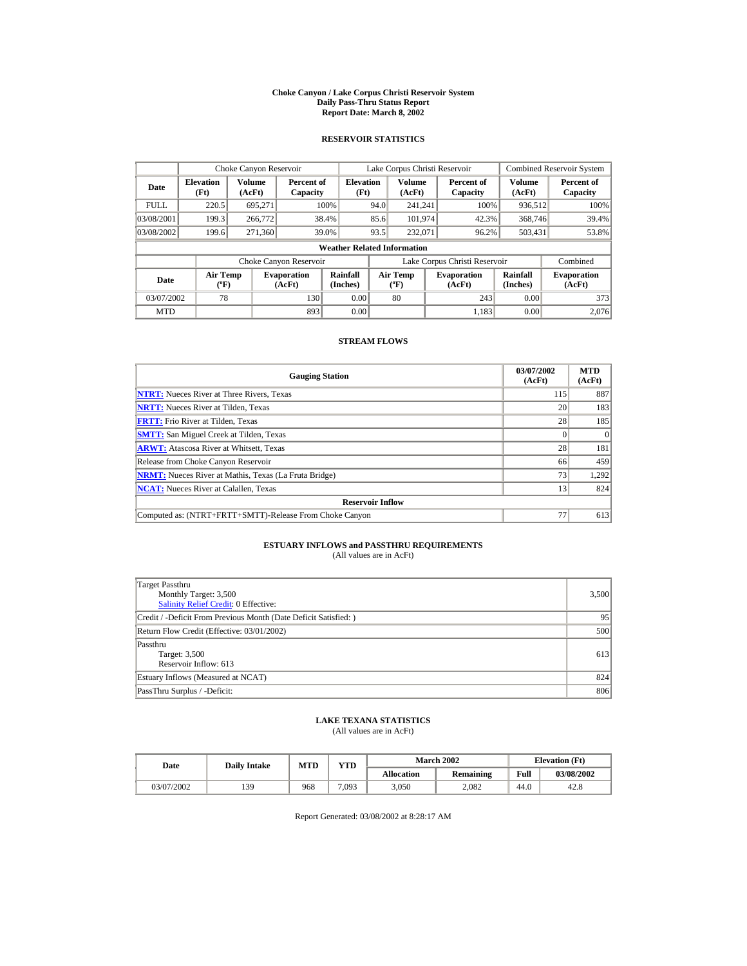#### **Choke Canyon / Lake Corpus Christi Reservoir System Daily Pass-Thru Status Report Report Date: March 8, 2002**

## **RESERVOIR STATISTICS**

|             | Choke Canyon Reservoir             |                  |                              |                          |      | Lake Corpus Christi Reservoir     |                                                      |                               |                              | <b>Combined Reservoir System</b> |  |  |
|-------------|------------------------------------|------------------|------------------------------|--------------------------|------|-----------------------------------|------------------------------------------------------|-------------------------------|------------------------------|----------------------------------|--|--|
| Date        | <b>Elevation</b><br>(Ft)           | Volume<br>(AcFt) | Percent of<br>Capacity       | <b>Elevation</b><br>(Ft) |      | <b>Volume</b><br>(AcFt)           |                                                      | Percent of<br>Capacity        | <b>Volume</b><br>(AcFt)      | Percent of<br>Capacity           |  |  |
| <b>FULL</b> | 220.5                              | 695.271          |                              | 100%                     | 94.0 | 241.241                           |                                                      | 100%                          | 936,512                      | 100%                             |  |  |
| 03/08/2001  | 199.3                              | 266,772          |                              | 38.4%                    | 85.6 | 101.974                           |                                                      | 42.3%                         | 368,746                      | 39.4%                            |  |  |
| 03/08/2002  | 199.6                              | 271,360          |                              | 39.0%                    | 93.5 | 232,071                           |                                                      | 96.2%                         | 503,431                      | 53.8%                            |  |  |
|             | <b>Weather Related Information</b> |                  |                              |                          |      |                                   |                                                      |                               |                              |                                  |  |  |
|             |                                    |                  | Choke Canyon Reservoir       |                          |      |                                   |                                                      | Lake Corpus Christi Reservoir |                              | Combined                         |  |  |
| Date        | Air Temp<br>$({}^o\mathrm{F})$     |                  | <b>Evaporation</b><br>(AcFt) | Rainfall<br>(Inches)     |      | Air Temp<br>$({}^{\circ}{\rm F})$ | Rainfall<br><b>Evaporation</b><br>(Inches)<br>(AcFt) |                               | <b>Evaporation</b><br>(AcFt) |                                  |  |  |
| 03/07/2002  | 78                                 |                  | 130                          | 0.00                     |      | 80                                |                                                      | 243                           | 0.00                         | 373                              |  |  |
| <b>MTD</b>  |                                    |                  | 893                          | 0.00                     |      |                                   |                                                      | 1.183                         | 0.00                         | 2.076                            |  |  |

## **STREAM FLOWS**

| <b>Gauging Station</b>                                       | 03/07/2002<br>(AcFt) | <b>MTD</b><br>(AcFt) |
|--------------------------------------------------------------|----------------------|----------------------|
| <b>NTRT:</b> Nueces River at Three Rivers, Texas             | 115                  | 887                  |
| <b>NRTT:</b> Nueces River at Tilden. Texas                   | 20                   | 183                  |
| <b>FRTT:</b> Frio River at Tilden, Texas                     | 28                   | 185                  |
| <b>SMTT:</b> San Miguel Creek at Tilden, Texas               |                      | $\Omega$             |
| <b>ARWT:</b> Atascosa River at Whitsett, Texas               | 28                   | 181                  |
| Release from Choke Canyon Reservoir                          | 66                   | 459                  |
| <b>NRMT:</b> Nueces River at Mathis, Texas (La Fruta Bridge) | 73                   | 1,292                |
| <b>NCAT:</b> Nueces River at Calallen, Texas                 | 13                   | 824                  |
| <b>Reservoir Inflow</b>                                      |                      |                      |
| Computed as: (NTRT+FRTT+SMTT)-Release From Choke Canyon      | 77                   | 613                  |

# **ESTUARY INFLOWS and PASSTHRU REQUIREMENTS**<br>(All values are in AcFt)

| Target Passthru<br>Monthly Target: 3,500<br><b>Salinity Relief Credit: 0 Effective:</b> | 3,500 |
|-----------------------------------------------------------------------------------------|-------|
| Credit / -Deficit From Previous Month (Date Deficit Satisfied:)                         | 95    |
| Return Flow Credit (Effective: 03/01/2002)                                              | 500   |
| Passthru<br>Target: 3,500<br>Reservoir Inflow: 613                                      | 613   |
| Estuary Inflows (Measured at NCAT)                                                      | 824   |
| PassThru Surplus / -Deficit:                                                            | 806   |

## **LAKE TEXANA STATISTICS**

(All values are in AcFt)

| Date       | <b>Daily Intake</b> | <b>MTD</b> | YTD   |                   | <b>March 2002</b> | <b>Elevation</b> (Ft) |            |
|------------|---------------------|------------|-------|-------------------|-------------------|-----------------------|------------|
|            |                     |            |       | <b>Allocation</b> | Remaining         | Full                  | 03/08/2002 |
| 03/07/2002 | 139                 | 968        | 7.093 | 3,050             | 2.082             | 44.0                  | 42.8       |

Report Generated: 03/08/2002 at 8:28:17 AM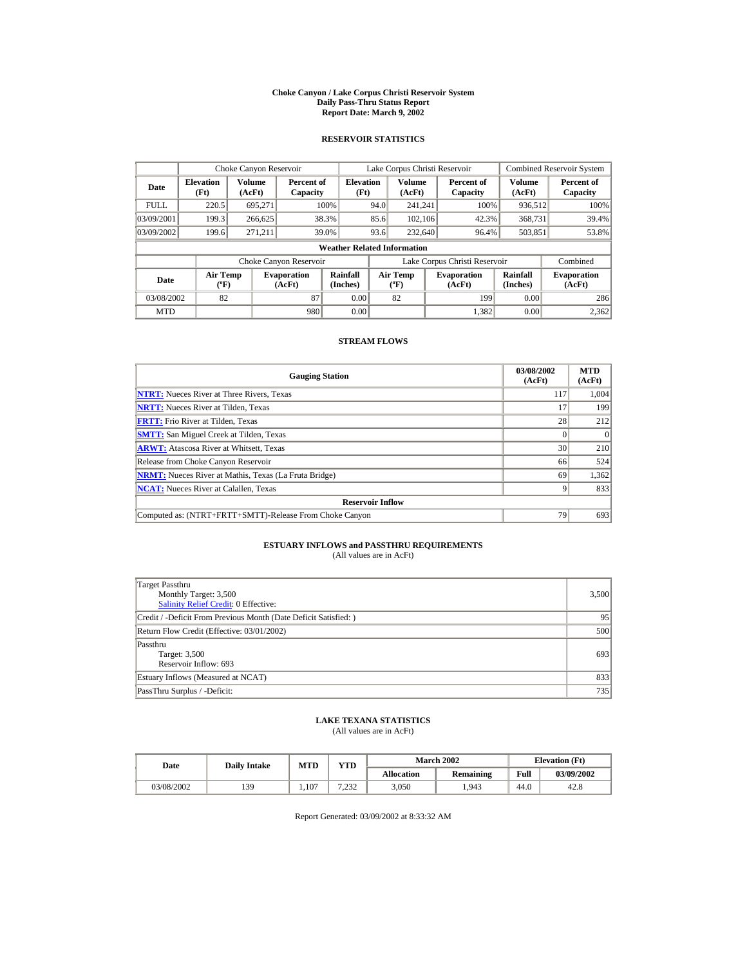#### **Choke Canyon / Lake Corpus Christi Reservoir System Daily Pass-Thru Status Report Report Date: March 9, 2002**

## **RESERVOIR STATISTICS**

|             | Choke Canyon Reservoir                      |                  |                              |                          |                                                                                                   | Lake Corpus Christi Reservoir |                              |                               |                  | Combined Reservoir System |  |  |
|-------------|---------------------------------------------|------------------|------------------------------|--------------------------|---------------------------------------------------------------------------------------------------|-------------------------------|------------------------------|-------------------------------|------------------|---------------------------|--|--|
| Date        | <b>Elevation</b><br>(Ft)                    | Volume<br>(AcFt) | Percent of<br>Capacity       | <b>Elevation</b><br>(Ft) |                                                                                                   | Volume<br>(AcFt)              |                              | Percent of<br>Capacity        | Volume<br>(AcFt) | Percent of<br>Capacity    |  |  |
| <b>FULL</b> | 220.5                                       | 695.271          |                              | 100%                     | 94.0                                                                                              | 241.241                       |                              | 100%                          | 936,512          | 100%                      |  |  |
| 03/09/2001  | 199.3                                       | 266,625          |                              | 38.3%                    | 85.6                                                                                              | 102.106                       |                              | 42.3%                         | 368,731          | 39.4%                     |  |  |
| 03/09/2002  | 199.6                                       | 271.211          |                              | 39.0%                    | 93.6                                                                                              | 232,640                       |                              | 96.4%                         | 503,851          | 53.8%                     |  |  |
|             | <b>Weather Related Information</b>          |                  |                              |                          |                                                                                                   |                               |                              |                               |                  |                           |  |  |
|             |                                             |                  | Choke Canyon Reservoir       |                          |                                                                                                   |                               |                              | Lake Corpus Christi Reservoir |                  | Combined                  |  |  |
| Date        | <b>Air Temp</b><br>$({}^{\circ}\mathrm{F})$ |                  | <b>Evaporation</b><br>(AcFt) | Rainfall<br>(Inches)     | Rainfall<br><b>Air Temp</b><br><b>Evaporation</b><br>(Inches)<br>$({}^{\circ}\text{F})$<br>(AcFt) |                               | <b>Evaporation</b><br>(AcFt) |                               |                  |                           |  |  |
| 03/08/2002  | 82                                          |                  | 87                           | 0.00                     |                                                                                                   | 82                            |                              | 199                           | 0.00             | 286                       |  |  |
| <b>MTD</b>  |                                             |                  | 980                          | 0.00                     |                                                                                                   |                               |                              | 1,382                         | 0.00             | 2,362                     |  |  |

## **STREAM FLOWS**

| <b>Gauging Station</b>                                       | 03/08/2002<br>(AcFt) | <b>MTD</b><br>(AcFt) |
|--------------------------------------------------------------|----------------------|----------------------|
| <b>NTRT:</b> Nueces River at Three Rivers, Texas             | 117                  | 1,004                |
| <b>NRTT:</b> Nueces River at Tilden. Texas                   |                      | 199                  |
| <b>FRTT:</b> Frio River at Tilden. Texas                     | 28                   | 212                  |
| <b>SMTT:</b> San Miguel Creek at Tilden, Texas               |                      | $\Omega$             |
| <b>ARWT:</b> Atascosa River at Whitsett, Texas               | 30                   | 210                  |
| Release from Choke Canyon Reservoir                          | 66                   | 524                  |
| <b>NRMT:</b> Nueces River at Mathis, Texas (La Fruta Bridge) | 69                   | 1,362                |
| <b>NCAT:</b> Nueces River at Calallen, Texas                 |                      | 833                  |
| <b>Reservoir Inflow</b>                                      |                      |                      |
| Computed as: (NTRT+FRTT+SMTT)-Release From Choke Canyon      | 79                   | 693                  |

# **ESTUARY INFLOWS and PASSTHRU REQUIREMENTS**<br>(All values are in AcFt)

| Target Passthru<br>Monthly Target: 3,500<br><b>Salinity Relief Credit: 0 Effective:</b> | 3,500 |
|-----------------------------------------------------------------------------------------|-------|
| Credit / -Deficit From Previous Month (Date Deficit Satisfied:)                         | 95    |
| Return Flow Credit (Effective: 03/01/2002)                                              | 500   |
| Passthru<br>Target: 3,500<br>Reservoir Inflow: 693                                      | 693   |
| Estuary Inflows (Measured at NCAT)                                                      | 833   |
| PassThru Surplus / -Deficit:                                                            | 735   |

## **LAKE TEXANA STATISTICS**

(All values are in AcFt)

| Date       | <b>Daily Intake</b> | <b>MTD</b> | $\mathbf{v}\mathbf{T}\mathbf{D}$ |                   | <b>March 2002</b> |      | <b>Elevation</b> (Ft) |  |
|------------|---------------------|------------|----------------------------------|-------------------|-------------------|------|-----------------------|--|
|            |                     |            |                                  | <b>Allocation</b> | Remaining         | Full | 03/09/2002            |  |
| 03/08/2002 | 139                 | 1.107      | 7222<br>ے رے۔                    | 3,050             | .943              | 44.0 | 42.8                  |  |

Report Generated: 03/09/2002 at 8:33:32 AM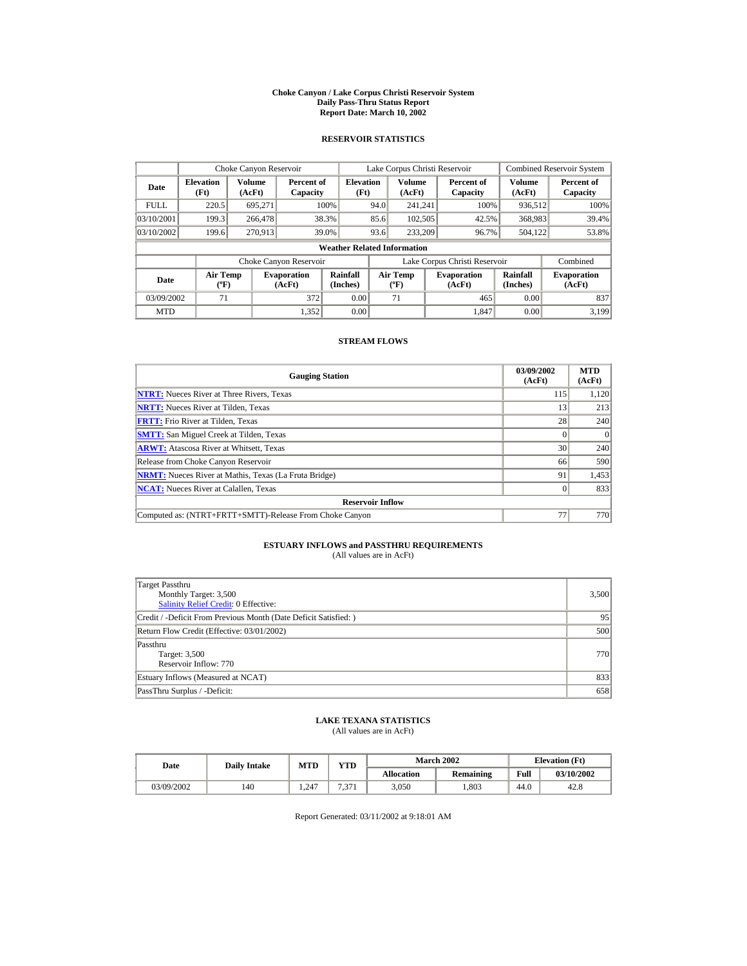#### **Choke Canyon / Lake Corpus Christi Reservoir System Daily Pass-Thru Status Report Report Date: March 10, 2002**

## **RESERVOIR STATISTICS**

|                                                      | Choke Canyon Reservoir |         |                              |                                    |      | Lake Corpus Christi Reservoir    |                               |                      | <b>Combined Reservoir System</b> |
|------------------------------------------------------|------------------------|---------|------------------------------|------------------------------------|------|----------------------------------|-------------------------------|----------------------|----------------------------------|
| Volume<br><b>Elevation</b><br>Date<br>(Ft)<br>(AcFt) |                        |         | Percent of<br>Capacity       | <b>Elevation</b><br>(Ft)           |      | Volume<br>(AcFt)                 | Percent of<br>Capacity        | Volume<br>(AcFt)     | Percent of<br>Capacity           |
| <b>FULL</b>                                          | 220.5                  | 695.271 |                              | 100%                               | 94.0 | 241.241                          | 100%                          | 936,512              | 100%                             |
| 03/10/2001                                           | 199.3                  | 266,478 |                              | 38.3%                              | 85.6 | 102,505                          | 42.5%                         | 368,983              | 39.4%                            |
| 03/10/2002                                           | 199.6                  | 270.913 |                              | 39.0%                              | 93.6 | 233,209                          | 96.7%                         | 504.122              | 53.8%                            |
|                                                      |                        |         |                              | <b>Weather Related Information</b> |      |                                  |                               |                      |                                  |
|                                                      |                        |         | Choke Canyon Reservoir       |                                    |      |                                  | Lake Corpus Christi Reservoir |                      | Combined                         |
| <b>Air Temp</b><br>Date<br>$({}^{\circ}\mathrm{F})$  |                        |         | <b>Evaporation</b><br>(AcFt) | Rainfall<br>(Inches)               |      | <b>Air Temp</b><br>$(^{\circ}F)$ | <b>Evaporation</b><br>(AcFt)  | Rainfall<br>(Inches) | <b>Evaporation</b><br>(AcFt)     |
| 03/09/2002                                           | 71                     |         | 372                          | 0.00                               |      | 71                               | 465                           | 0.00                 | 837                              |
| <b>MTD</b>                                           |                        |         | 1.352                        | 0.00                               |      |                                  | 1.847                         | 0.00                 | 3.199                            |

## **STREAM FLOWS**

| <b>Gauging Station</b>                                       | 03/09/2002<br>(AcFt) | <b>MTD</b><br>(AcFt) |
|--------------------------------------------------------------|----------------------|----------------------|
| <b>NTRT:</b> Nueces River at Three Rivers, Texas             | 115                  | 1,120                |
| <b>NRTT:</b> Nueces River at Tilden. Texas                   | 13                   | 213                  |
| <b>FRTT:</b> Frio River at Tilden, Texas                     | 28                   | 240                  |
| <b>SMTT:</b> San Miguel Creek at Tilden, Texas               |                      | $\theta$             |
| <b>ARWT:</b> Atascosa River at Whitsett, Texas               | 30                   | 240                  |
| Release from Choke Canyon Reservoir                          | 66                   | 590                  |
| <b>NRMT:</b> Nueces River at Mathis, Texas (La Fruta Bridge) | 91                   | 1,453                |
| <b>NCAT:</b> Nueces River at Calallen, Texas                 |                      | 833                  |
| <b>Reservoir Inflow</b>                                      |                      |                      |
| Computed as: (NTRT+FRTT+SMTT)-Release From Choke Canyon      | 77                   | 770                  |

# **ESTUARY INFLOWS and PASSTHRU REQUIREMENTS**<br>(All values are in AcFt)

| Target Passthru<br>Monthly Target: 3,500<br><b>Salinity Relief Credit: 0 Effective:</b> | 3,500 |
|-----------------------------------------------------------------------------------------|-------|
| Credit / -Deficit From Previous Month (Date Deficit Satisfied:)                         | 95    |
| Return Flow Credit (Effective: 03/01/2002)                                              | 500   |
| Passthru<br>Target: 3,500<br>Reservoir Inflow: 770                                      | 770   |
| Estuary Inflows (Measured at NCAT)                                                      | 833   |
| PassThru Surplus / -Deficit:                                                            | 658   |

## **LAKE TEXANA STATISTICS**

(All values are in AcFt)

| Date       | <b>Daily Intake</b> | <b>MTD</b> | YTD                  |                   | <b>March 2002</b> | <b>Elevation</b> (Ft) |            |
|------------|---------------------|------------|----------------------|-------------------|-------------------|-----------------------|------------|
|            |                     |            |                      | <b>Allocation</b> | Remaining         | Full                  | 03/10/2002 |
| 03/09/2002 | 140                 | .247       | $\mathbf{a}$<br>.571 | 3,050             | .803              | 44.0                  | 42.8       |

Report Generated: 03/11/2002 at 9:18:01 AM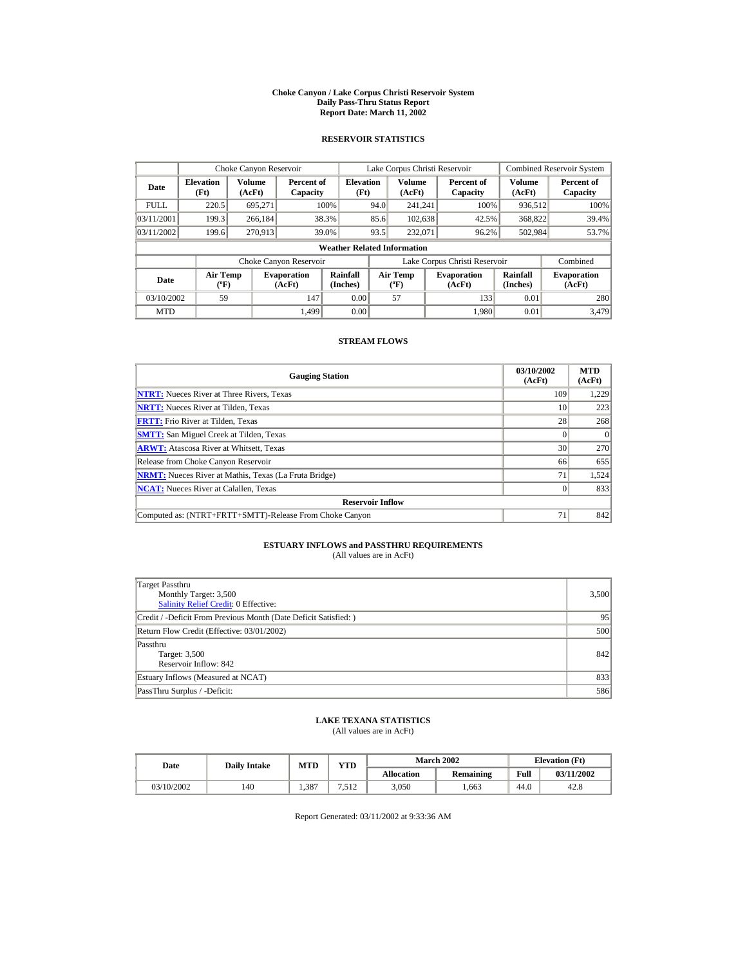#### **Choke Canyon / Lake Corpus Christi Reservoir System Daily Pass-Thru Status Report Report Date: March 11, 2002**

## **RESERVOIR STATISTICS**

|                                              | Choke Canyon Reservoir   |                  |                              |                                    |      | Lake Corpus Christi Reservoir             |                               |                      | <b>Combined Reservoir System</b> |
|----------------------------------------------|--------------------------|------------------|------------------------------|------------------------------------|------|-------------------------------------------|-------------------------------|----------------------|----------------------------------|
| Date                                         | <b>Elevation</b><br>(Ft) | Volume<br>(AcFt) | Percent of<br>Capacity       | <b>Elevation</b><br>(Ft)           |      | Volume<br>(AcFt)                          | Percent of<br>Capacity        | Volume<br>(AcFt)     | Percent of<br>Capacity           |
| <b>FULL</b>                                  | 220.5                    | 695,271          |                              | 100%                               | 94.0 | 241.241                                   | 100%                          | 936,512              | 100%                             |
| 03/11/2001                                   | 199.3                    | 266,184          |                              | 38.3%                              | 85.6 | 102,638                                   | 42.5%                         | 368,822              | 39.4%                            |
| 03/11/2002                                   | 199.6                    | 270.913          |                              | 39.0%                              | 93.5 | 232,071                                   | 96.2%                         | 502,984              | 53.7%                            |
|                                              |                          |                  |                              | <b>Weather Related Information</b> |      |                                           |                               |                      |                                  |
|                                              |                          |                  | Choke Canyon Reservoir       |                                    |      |                                           | Lake Corpus Christi Reservoir |                      | Combined                         |
| Air Temp<br>Date<br>$({}^{\circ}\mathrm{F})$ |                          |                  | <b>Evaporation</b><br>(AcFt) | Rainfall<br>(Inches)               |      | <b>Air Temp</b><br>$({}^{\circ}\text{F})$ | <b>Evaporation</b><br>(AcFt)  | Rainfall<br>(Inches) | <b>Evaporation</b><br>(AcFt)     |
| 03/10/2002                                   | 59                       |                  | 147                          | 0.00                               |      | 57                                        | 133                           | 0.01                 | 280                              |
| <b>MTD</b>                                   |                          |                  | 1.499                        | 0.00                               |      |                                           | 1.980                         | 0.01                 | 3.479                            |

## **STREAM FLOWS**

| <b>Gauging Station</b>                                       | 03/10/2002<br>(AcFt) | <b>MTD</b><br>(AcFt) |
|--------------------------------------------------------------|----------------------|----------------------|
| <b>NTRT:</b> Nueces River at Three Rivers, Texas             | 109                  | 1,229                |
| <b>NRTT:</b> Nueces River at Tilden, Texas                   | 10                   | 223                  |
| <b>FRTT:</b> Frio River at Tilden. Texas                     | 28                   | 268                  |
| <b>SMTT:</b> San Miguel Creek at Tilden, Texas               |                      | $\Omega$             |
| <b>ARWT:</b> Atascosa River at Whitsett, Texas               | 30                   | 270                  |
| Release from Choke Canyon Reservoir                          | 66                   | 655                  |
| <b>NRMT:</b> Nueces River at Mathis, Texas (La Fruta Bridge) | 71                   | 1,524                |
| <b>NCAT:</b> Nueces River at Calallen, Texas                 |                      | 833                  |
| <b>Reservoir Inflow</b>                                      |                      |                      |
| Computed as: (NTRT+FRTT+SMTT)-Release From Choke Canyon      | 71                   | 842                  |

# **ESTUARY INFLOWS and PASSTHRU REQUIREMENTS**<br>(All values are in AcFt)

| Target Passthru<br>Monthly Target: 3,500<br><b>Salinity Relief Credit: 0 Effective:</b> | 3,500 |
|-----------------------------------------------------------------------------------------|-------|
| Credit / -Deficit From Previous Month (Date Deficit Satisfied:)                         | 95    |
| Return Flow Credit (Effective: 03/01/2002)                                              | 500   |
| Passthru<br>Target: 3,500<br>Reservoir Inflow: 842                                      | 842   |
| Estuary Inflows (Measured at NCAT)                                                      | 833   |
| PassThru Surplus / -Deficit:                                                            | 586   |

## **LAKE TEXANA STATISTICS**

(All values are in AcFt)

| Date       | <b>Daily Intake</b> | <b>MTD</b> | YTD   |                   | <b>March 2002</b> |      | <b>Elevation</b> (Ft) |
|------------|---------------------|------------|-------|-------------------|-------------------|------|-----------------------|
|            |                     |            |       | <b>Allocation</b> | Remaining         | Full | 03/11/2002            |
| 03/10/2002 | 140                 | .387       | '.512 | 3,050             | .663              | 44.0 | 42.8                  |

Report Generated: 03/11/2002 at 9:33:36 AM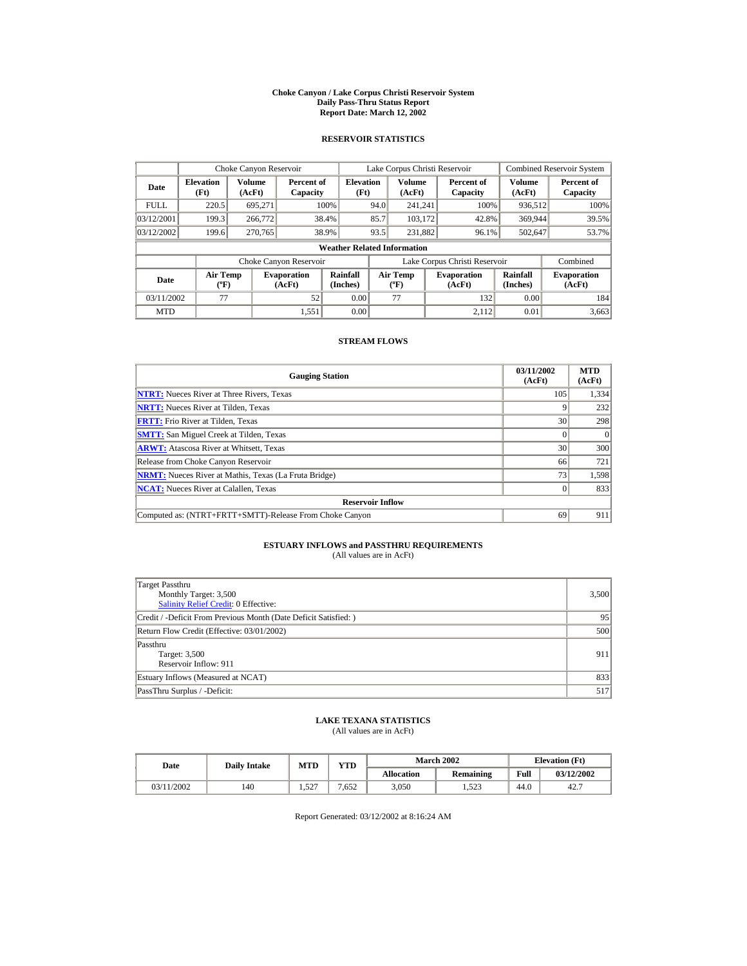#### **Choke Canyon / Lake Corpus Christi Reservoir System Daily Pass-Thru Status Report Report Date: March 12, 2002**

## **RESERVOIR STATISTICS**

|                                                     | Choke Canyon Reservoir |                  |                              |                                    |      | Lake Corpus Christi Reservoir    |                               |                      | Combined Reservoir System    |
|-----------------------------------------------------|------------------------|------------------|------------------------------|------------------------------------|------|----------------------------------|-------------------------------|----------------------|------------------------------|
| <b>Elevation</b><br>Date<br>(Ft)                    |                        | Volume<br>(AcFt) | Percent of<br>Capacity       | <b>Elevation</b><br>(Ft)           |      | Volume<br>(AcFt)                 | Percent of<br>Capacity        | Volume<br>(AcFt)     | Percent of<br>Capacity       |
| <b>FULL</b>                                         | 220.5                  | 695.271          |                              | 100%                               | 94.0 | 241.241                          | 100%                          | 936,512              | 100%                         |
| 03/12/2001                                          | 199.3                  | 266,772          |                              | 38.4%                              | 85.7 | 103.172                          | 42.8%                         | 369,944              | 39.5%                        |
| 03/12/2002                                          | 199.6                  | 270.765          |                              | 38.9%                              | 93.5 | 231.882                          | 96.1%                         | 502,647              | 53.7%                        |
|                                                     |                        |                  |                              | <b>Weather Related Information</b> |      |                                  |                               |                      |                              |
|                                                     |                        |                  | Choke Canyon Reservoir       |                                    |      |                                  | Lake Corpus Christi Reservoir |                      | Combined                     |
| <b>Air Temp</b><br>Date<br>$({}^{\circ}\mathrm{F})$ |                        |                  | <b>Evaporation</b><br>(AcFt) | Rainfall<br>(Inches)               |      | <b>Air Temp</b><br>$(^{\circ}F)$ | <b>Evaporation</b><br>(AcFt)  | Rainfall<br>(Inches) | <b>Evaporation</b><br>(AcFt) |
| 03/11/2002                                          | 77                     |                  | 52                           | 0.00                               |      | 77                               | 132                           | 0.00                 | 184                          |
| <b>MTD</b>                                          |                        |                  | 1,551                        | 0.00                               |      |                                  | 2.112                         | 0.01                 | 3,663                        |

## **STREAM FLOWS**

| <b>Gauging Station</b>                                       | 03/11/2002<br>(AcFt) | <b>MTD</b><br>(AcFt) |
|--------------------------------------------------------------|----------------------|----------------------|
| <b>NTRT:</b> Nueces River at Three Rivers, Texas             | 105                  | 1,334                |
| <b>NRTT:</b> Nueces River at Tilden, Texas                   |                      | 232                  |
| <b>FRTT:</b> Frio River at Tilden. Texas                     | 30                   | 298                  |
| <b>SMTT:</b> San Miguel Creek at Tilden, Texas               |                      |                      |
| <b>ARWT:</b> Atascosa River at Whitsett, Texas               | 30                   | 300                  |
| Release from Choke Canyon Reservoir                          | 66                   | 721                  |
| <b>NRMT:</b> Nueces River at Mathis, Texas (La Fruta Bridge) | 73                   | 1,598                |
| <b>NCAT:</b> Nueces River at Calallen, Texas                 |                      | 833                  |
| <b>Reservoir Inflow</b>                                      |                      |                      |
| Computed as: (NTRT+FRTT+SMTT)-Release From Choke Canyon      | 69                   | 911                  |

# **ESTUARY INFLOWS and PASSTHRU REQUIREMENTS**<br>(All values are in AcFt)

| Target Passthru<br>Monthly Target: 3,500<br>Salinity Relief Credit: 0 Effective: | 3,500 |
|----------------------------------------------------------------------------------|-------|
| Credit / -Deficit From Previous Month (Date Deficit Satisfied:)                  | 95    |
| Return Flow Credit (Effective: 03/01/2002)                                       | 500   |
| Passthru<br>Target: 3,500<br>Reservoir Inflow: 911                               | 911   |
| Estuary Inflows (Measured at NCAT)                                               | 833   |
| PassThru Surplus / -Deficit:                                                     | 517   |

## **LAKE TEXANA STATISTICS**

(All values are in AcFt)

| Date       | <b>Daily Intake</b> | <b>MTD</b> | VTD- |                   | <b>March 2002</b> | <b>Elevation</b> (Ft) |            |
|------------|---------------------|------------|------|-------------------|-------------------|-----------------------|------------|
|            |                     |            |      | <b>Allocation</b> | Remaining         | Full                  | 03/12/2002 |
| 03/11/2002 | 140                 | 1.527      | .652 | 3,050             | 1,523             | 44.0                  | 42.7       |

Report Generated: 03/12/2002 at 8:16:24 AM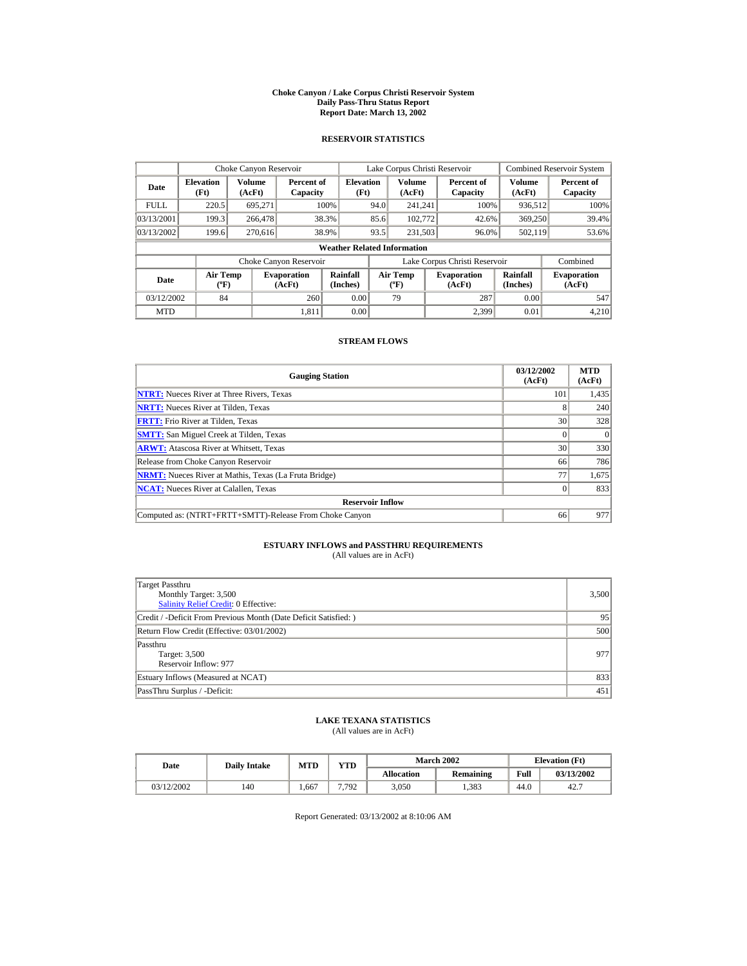#### **Choke Canyon / Lake Corpus Christi Reservoir System Daily Pass-Thru Status Report Report Date: March 13, 2002**

## **RESERVOIR STATISTICS**

|             | Choke Canyon Reservoir                      |                  |                              |                          |      | Lake Corpus Christi Reservoir    |                                                      |                               |                              | Combined Reservoir System |  |  |  |
|-------------|---------------------------------------------|------------------|------------------------------|--------------------------|------|----------------------------------|------------------------------------------------------|-------------------------------|------------------------------|---------------------------|--|--|--|
| Date        | <b>Elevation</b><br>(Ft)                    | Volume<br>(AcFt) | Percent of<br>Capacity       | <b>Elevation</b><br>(Ft) |      | Volume<br>(AcFt)                 |                                                      | Percent of<br>Capacity        | Volume<br>(AcFt)             | Percent of<br>Capacity    |  |  |  |
| <b>FULL</b> | 220.5                                       | 695.271          |                              | 100%                     | 94.0 | 241.241                          |                                                      | 100%                          | 936,512                      | 100%                      |  |  |  |
| 03/13/2001  | 199.3                                       | 266,478          |                              | 38.3%                    | 85.6 | 102,772                          |                                                      | 42.6%                         | 369,250                      | 39.4%                     |  |  |  |
| 03/13/2002  | 199.6                                       | 270.616          |                              | 38.9%                    | 93.5 | 231,503                          |                                                      | 96.0%                         | 502,119                      | 53.6%                     |  |  |  |
|             | <b>Weather Related Information</b>          |                  |                              |                          |      |                                  |                                                      |                               |                              |                           |  |  |  |
|             |                                             |                  | Choke Canyon Reservoir       |                          |      |                                  |                                                      | Lake Corpus Christi Reservoir |                              | Combined                  |  |  |  |
| Date        | <b>Air Temp</b><br>$({}^{\circ}\mathrm{F})$ |                  | <b>Evaporation</b><br>(AcFt) | Rainfall<br>(Inches)     |      | <b>Air Temp</b><br>$(^{\circ}F)$ | Rainfall<br><b>Evaporation</b><br>(Inches)<br>(AcFt) |                               | <b>Evaporation</b><br>(AcFt) |                           |  |  |  |
| 03/12/2002  | 84                                          |                  | 260                          | 0.00                     |      | 79                               |                                                      | 287                           | 0.00                         | 547                       |  |  |  |
| <b>MTD</b>  |                                             |                  | 1.811                        | 0.00                     |      |                                  |                                                      | 2.399                         | 0.01                         | 4.210                     |  |  |  |

## **STREAM FLOWS**

| <b>Gauging Station</b>                                       | 03/12/2002<br>(AcFt) | <b>MTD</b><br>(AcFt) |
|--------------------------------------------------------------|----------------------|----------------------|
| <b>NTRT:</b> Nueces River at Three Rivers, Texas             | 101                  | 1,435                |
| <b>NRTT:</b> Nueces River at Tilden, Texas                   |                      | 240                  |
| <b>FRTT:</b> Frio River at Tilden, Texas                     | 30                   | 328                  |
| <b>SMTT:</b> San Miguel Creek at Tilden, Texas               |                      | $\Omega$             |
| <b>ARWT:</b> Atascosa River at Whitsett, Texas               | 30                   | 330                  |
| Release from Choke Canyon Reservoir                          | 66                   | 786                  |
| <b>NRMT:</b> Nueces River at Mathis, Texas (La Fruta Bridge) | 77                   | 1,675                |
| <b>NCAT:</b> Nueces River at Calallen, Texas                 |                      | 833                  |
| <b>Reservoir Inflow</b>                                      |                      |                      |
| Computed as: (NTRT+FRTT+SMTT)-Release From Choke Canyon      | 66                   | 977                  |

# **ESTUARY INFLOWS and PASSTHRU REQUIREMENTS**<br>(All values are in AcFt)

| Target Passthru<br>Monthly Target: 3,500<br>Salinity Relief Credit: 0 Effective: | 3,500 |
|----------------------------------------------------------------------------------|-------|
| Credit / -Deficit From Previous Month (Date Deficit Satisfied:)                  | 95    |
| Return Flow Credit (Effective: 03/01/2002)                                       | 500   |
| Passthru<br>Target: 3,500<br>Reservoir Inflow: 977                               | 977   |
| Estuary Inflows (Measured at NCAT)                                               | 833   |
| PassThru Surplus / -Deficit:                                                     | 451   |

## **LAKE TEXANA STATISTICS**

(All values are in AcFt)

| Date       | <b>Daily Intake</b> | <b>MTD</b> | YTD   |                   | <b>March 2002</b> |      | <b>Elevation</b> (Ft) |
|------------|---------------------|------------|-------|-------------------|-------------------|------|-----------------------|
|            |                     |            |       | <b>Allocation</b> | Remaining         | Full | 03/13/2002            |
| 03/12/2002 | 140                 | .667       | 7.792 | 3.050             | 1.383             | 44.0 | 42.7                  |

Report Generated: 03/13/2002 at 8:10:06 AM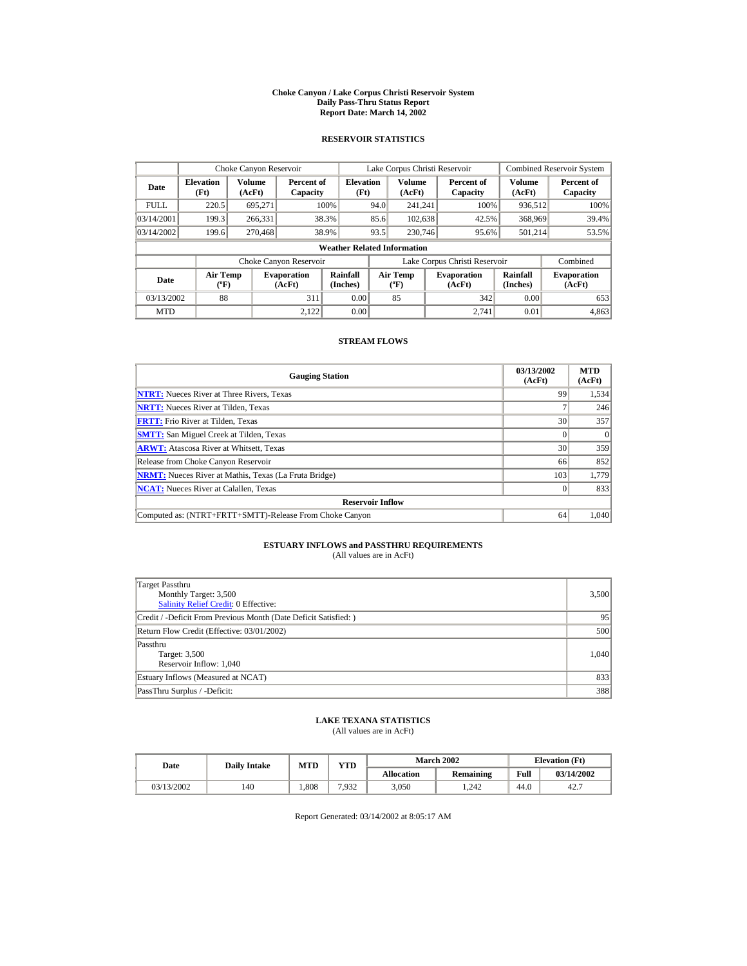#### **Choke Canyon / Lake Corpus Christi Reservoir System Daily Pass-Thru Status Report Report Date: March 14, 2002**

## **RESERVOIR STATISTICS**

|             | Choke Canyon Reservoir                      |                  |                              |                          |      | Lake Corpus Christi Reservoir                                                                     |  |                               |                              | Combined Reservoir System |  |  |  |
|-------------|---------------------------------------------|------------------|------------------------------|--------------------------|------|---------------------------------------------------------------------------------------------------|--|-------------------------------|------------------------------|---------------------------|--|--|--|
| Date        | <b>Elevation</b><br>(Ft)                    | Volume<br>(AcFt) | Percent of<br>Capacity       | <b>Elevation</b><br>(Ft) |      | Volume<br>(AcFt)                                                                                  |  | Percent of<br>Capacity        | Volume<br>(AcFt)             | Percent of<br>Capacity    |  |  |  |
| <b>FULL</b> | 220.5                                       | 695.271          |                              | 100%                     | 94.0 | 241.241                                                                                           |  | 100%                          | 936,512                      | 100%                      |  |  |  |
| 03/14/2001  | 199.3                                       | 266,331          |                              | 38.3%                    | 85.6 | 102,638                                                                                           |  | 42.5%                         | 368,969                      | 39.4%                     |  |  |  |
| 03/14/2002  | 199.6                                       | 270,468          |                              | 38.9%                    | 93.5 | 230,746                                                                                           |  | 95.6%                         | 501.214                      | 53.5%                     |  |  |  |
|             | <b>Weather Related Information</b>          |                  |                              |                          |      |                                                                                                   |  |                               |                              |                           |  |  |  |
|             |                                             |                  | Choke Canyon Reservoir       |                          |      |                                                                                                   |  | Lake Corpus Christi Reservoir |                              | Combined                  |  |  |  |
| Date        | <b>Air Temp</b><br>$({}^{\circ}\mathrm{F})$ |                  | <b>Evaporation</b><br>(AcFt) | Rainfall<br>(Inches)     |      | Rainfall<br><b>Air Temp</b><br><b>Evaporation</b><br>(Inches)<br>$({}^{\circ}\text{F})$<br>(AcFt) |  |                               | <b>Evaporation</b><br>(AcFt) |                           |  |  |  |
| 03/13/2002  | 88                                          |                  | 311                          | 0.00                     |      | 85                                                                                                |  | 342                           | 0.00                         | 653                       |  |  |  |
| <b>MTD</b>  |                                             |                  | 2.122                        | 0.00                     |      |                                                                                                   |  | 2.741                         | 0.01                         | 4,863                     |  |  |  |

## **STREAM FLOWS**

| <b>Gauging Station</b>                                       | 03/13/2002<br>(AcFt) | <b>MTD</b><br>(AcFt) |
|--------------------------------------------------------------|----------------------|----------------------|
| <b>NTRT:</b> Nueces River at Three Rivers, Texas             | 99                   | 1,534                |
| <b>NRTT:</b> Nueces River at Tilden, Texas                   |                      | 246                  |
| <b>FRTT:</b> Frio River at Tilden, Texas                     | 30                   | 357                  |
| <b>SMTT:</b> San Miguel Creek at Tilden, Texas               |                      | $\Omega$             |
| <b>ARWT:</b> Atascosa River at Whitsett, Texas               | 30                   | 359                  |
| Release from Choke Canyon Reservoir                          | 66                   | 852                  |
| <b>NRMT:</b> Nueces River at Mathis, Texas (La Fruta Bridge) | 103                  | 1,779                |
| <b>NCAT:</b> Nueces River at Calallen, Texas                 |                      | 833                  |
| <b>Reservoir Inflow</b>                                      |                      |                      |
| Computed as: (NTRT+FRTT+SMTT)-Release From Choke Canyon      | 64                   | 1,040                |

# **ESTUARY INFLOWS and PASSTHRU REQUIREMENTS**<br>(All values are in AcFt)

| Target Passthru<br>Monthly Target: 3,500<br>Salinity Relief Credit: 0 Effective: | 3,500 |
|----------------------------------------------------------------------------------|-------|
| Credit / -Deficit From Previous Month (Date Deficit Satisfied:)                  | 95    |
| Return Flow Credit (Effective: 03/01/2002)                                       | 500   |
| Passthru<br>Target: 3,500<br>Reservoir Inflow: 1,040                             | 1.040 |
| Estuary Inflows (Measured at NCAT)                                               | 833   |
| PassThru Surplus / -Deficit:                                                     | 388   |

## **LAKE TEXANA STATISTICS**

(All values are in AcFt)

| Date       | <b>Daily Intake</b> | <b>MTD</b> | VTD   |                   | <b>March 2002</b> |      | <b>Elevation</b> (Ft) |
|------------|---------------------|------------|-------|-------------------|-------------------|------|-----------------------|
|            |                     |            |       | <b>Allocation</b> | Remaining         | Full | 03/14/2002            |
| 03/13/2002 | 140                 | .808       | 7.932 | 3,050             | 1.242             | 44.0 | 42.7                  |

Report Generated: 03/14/2002 at 8:05:17 AM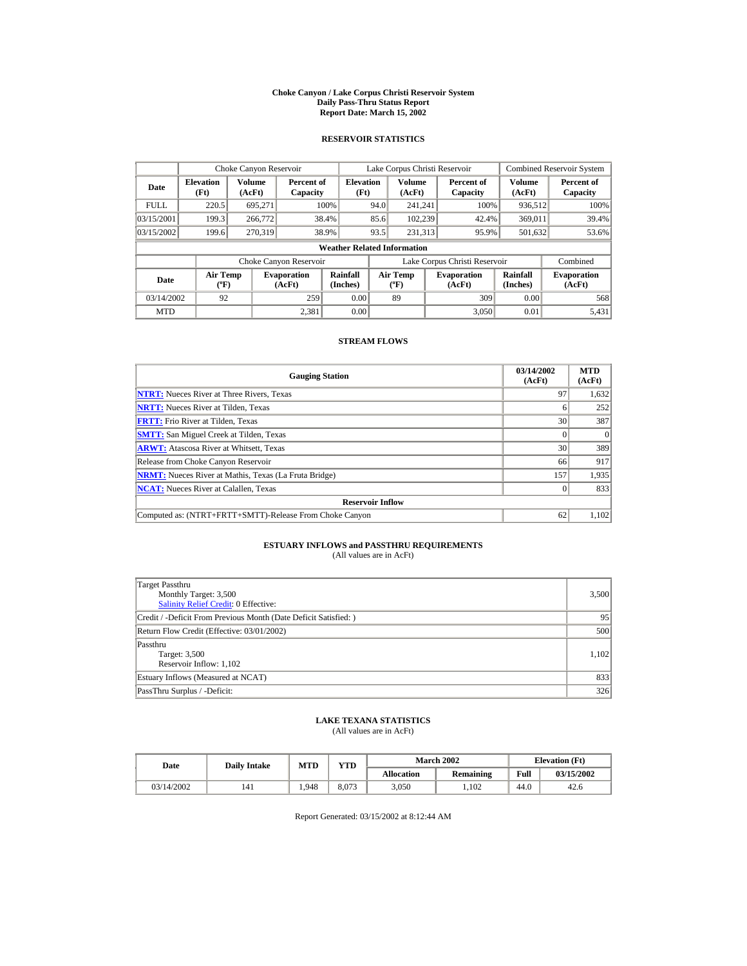#### **Choke Canyon / Lake Corpus Christi Reservoir System Daily Pass-Thru Status Report Report Date: March 15, 2002**

## **RESERVOIR STATISTICS**

|             | Choke Canyon Reservoir                      |                  |                              |                          |      | Lake Corpus Christi Reservoir             |  |                               |                         | <b>Combined Reservoir System</b> |  |  |  |
|-------------|---------------------------------------------|------------------|------------------------------|--------------------------|------|-------------------------------------------|--|-------------------------------|-------------------------|----------------------------------|--|--|--|
| Date        | <b>Elevation</b><br>(Ft)                    | Volume<br>(AcFt) | Percent of<br>Capacity       | <b>Elevation</b><br>(Ft) |      | Volume<br>(AcFt)                          |  | Percent of<br>Capacity        | <b>Volume</b><br>(AcFt) | Percent of<br>Capacity           |  |  |  |
| <b>FULL</b> | 220.5                                       | 695,271          |                              | 100%                     | 94.0 | 241.241                                   |  | 100%                          | 936,512                 | 100%                             |  |  |  |
| 03/15/2001  | 199.3                                       | 266,772          |                              | 38.4%                    | 85.6 | 102.239                                   |  | 42.4%                         | 369,011                 | 39.4%                            |  |  |  |
| 03/15/2002  | 199.6                                       | 270.319          |                              | 38.9%                    | 93.5 | 231.313                                   |  | 95.9%                         | 501,632                 | 53.6%                            |  |  |  |
|             | <b>Weather Related Information</b>          |                  |                              |                          |      |                                           |  |                               |                         |                                  |  |  |  |
|             |                                             |                  | Choke Canyon Reservoir       |                          |      |                                           |  | Lake Corpus Christi Reservoir |                         | Combined                         |  |  |  |
| Date        | <b>Air Temp</b><br>$({}^{\circ}\mathrm{F})$ |                  | <b>Evaporation</b><br>(AcFt) | Rainfall<br>(Inches)     |      | <b>Air Temp</b><br>$({}^{\circ}\text{F})$ |  | <b>Evaporation</b><br>(AcFt)  | Rainfall<br>(Inches)    | <b>Evaporation</b><br>(AcFt)     |  |  |  |
| 03/14/2002  | 92                                          |                  | 259                          | 0.00                     |      | 89                                        |  | 309                           | 0.00                    | 568                              |  |  |  |
| <b>MTD</b>  |                                             |                  | 2.381                        | 0.00                     |      |                                           |  | 3.050                         | 0.01                    | 5,431                            |  |  |  |

## **STREAM FLOWS**

| <b>Gauging Station</b>                                       | 03/14/2002<br>(AcFt) | <b>MTD</b><br>(AcFt) |
|--------------------------------------------------------------|----------------------|----------------------|
| <b>NTRT:</b> Nueces River at Three Rivers, Texas             | 97                   | 1,632                |
| <b>NRTT:</b> Nueces River at Tilden, Texas                   |                      | 252                  |
| <b>FRTT:</b> Frio River at Tilden, Texas                     | 30                   | 387                  |
| <b>SMTT:</b> San Miguel Creek at Tilden, Texas               |                      | $\Omega$             |
| <b>ARWT:</b> Atascosa River at Whitsett, Texas               | 30 <sup>1</sup>      | 389                  |
| Release from Choke Canyon Reservoir                          | 66                   | 917                  |
| <b>NRMT:</b> Nueces River at Mathis, Texas (La Fruta Bridge) | 157                  | 1,935                |
| <b>NCAT:</b> Nueces River at Calallen, Texas                 |                      | 833                  |
| <b>Reservoir Inflow</b>                                      |                      |                      |
| Computed as: (NTRT+FRTT+SMTT)-Release From Choke Canyon      | 62                   | 1,102                |

# **ESTUARY INFLOWS and PASSTHRU REQUIREMENTS**<br>(All values are in AcFt)

| Target Passthru<br>Monthly Target: 3,500<br><b>Salinity Relief Credit: 0 Effective:</b> | 3,500 |
|-----------------------------------------------------------------------------------------|-------|
| Credit / -Deficit From Previous Month (Date Deficit Satisfied:)                         | 95    |
| Return Flow Credit (Effective: 03/01/2002)                                              | 500   |
| Passthru<br>Target: 3,500<br>Reservoir Inflow: 1,102                                    | 1,102 |
| Estuary Inflows (Measured at NCAT)                                                      | 833   |
| PassThru Surplus / -Deficit:                                                            | 326   |

## **LAKE TEXANA STATISTICS**

(All values are in AcFt)

| Date |            | <b>Daily Intake</b> | <b>MTD</b> | YTD   |                   | <b>March 2002</b> | <b>Elevation</b> (Ft) |            |
|------|------------|---------------------|------------|-------|-------------------|-------------------|-----------------------|------------|
|      |            |                     |            |       | <b>Allocation</b> | Remaining         | Full                  | 03/15/2002 |
|      | 03/14/2002 | 141                 | .948       | 8.073 | 3,050             | .102              | 44.0                  | 42.6       |

Report Generated: 03/15/2002 at 8:12:44 AM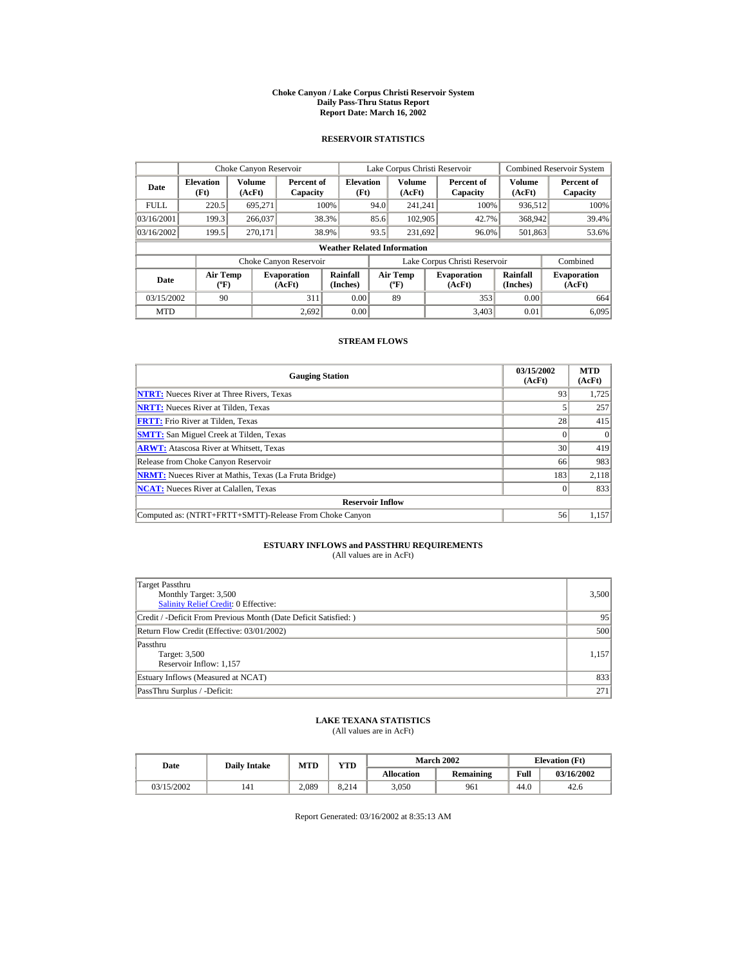#### **Choke Canyon / Lake Corpus Christi Reservoir System Daily Pass-Thru Status Report Report Date: March 16, 2002**

## **RESERVOIR STATISTICS**

|                                        | Choke Canyon Reservoir   |                  |                              |                                    |      | Lake Corpus Christi Reservoir     |                               |                         | <b>Combined Reservoir System</b> |
|----------------------------------------|--------------------------|------------------|------------------------------|------------------------------------|------|-----------------------------------|-------------------------------|-------------------------|----------------------------------|
| Date                                   | <b>Elevation</b><br>(Ft) | Volume<br>(AcFt) | Percent of<br>Capacity       | <b>Elevation</b><br>(Ft)           |      | <b>Volume</b><br>(AcFt)           | Percent of<br>Capacity        | <b>Volume</b><br>(AcFt) | Percent of<br>Capacity           |
| <b>FULL</b>                            | 220.5                    | 695.271          |                              | 100%                               | 94.0 | 241.241                           | 100%                          | 936,512                 | 100%                             |
| 03/16/2001                             | 199.3                    | 266,037          |                              | 38.3%                              | 85.6 | 102,905                           | 42.7%                         | 368,942                 | 39.4%                            |
| 03/16/2002                             | 199.5                    | 270.171          |                              | 38.9%                              | 93.5 | 231,692                           | 96.0%                         | 501,863                 | 53.6%                            |
|                                        |                          |                  |                              | <b>Weather Related Information</b> |      |                                   |                               |                         |                                  |
|                                        |                          |                  | Choke Canyon Reservoir       |                                    |      |                                   | Lake Corpus Christi Reservoir |                         | Combined                         |
| Air Temp<br>Date<br>$({}^o\mathrm{F})$ |                          |                  | <b>Evaporation</b><br>(AcFt) | Rainfall<br>(Inches)               |      | Air Temp<br>$({}^{\circ}{\rm F})$ | <b>Evaporation</b><br>(AcFt)  | Rainfall<br>(Inches)    | <b>Evaporation</b><br>(AcFt)     |
| 03/15/2002                             | 90                       |                  | 311                          | 0.00                               |      | 89                                | 353                           | 0.00                    | 664                              |
| <b>MTD</b>                             |                          |                  | 2.692                        | 0.00                               |      |                                   | 3.403                         | 0.01                    | 6.095                            |

## **STREAM FLOWS**

| <b>Gauging Station</b>                                       | 03/15/2002<br>(AcFt) | <b>MTD</b><br>(AcFt) |
|--------------------------------------------------------------|----------------------|----------------------|
| <b>NTRT:</b> Nueces River at Three Rivers, Texas             | 93                   | 1,725                |
| <b>NRTT:</b> Nueces River at Tilden, Texas                   |                      | 257                  |
| <b>FRTT:</b> Frio River at Tilden, Texas                     | 28                   | 415                  |
| <b>SMTT:</b> San Miguel Creek at Tilden, Texas               |                      | $\Omega$             |
| <b>ARWT:</b> Atascosa River at Whitsett, Texas               | 30                   | 419                  |
| Release from Choke Canyon Reservoir                          | 66                   | 983                  |
| <b>NRMT:</b> Nueces River at Mathis, Texas (La Fruta Bridge) | 183                  | 2,118                |
| <b>NCAT:</b> Nueces River at Calallen, Texas                 |                      | 833                  |
| <b>Reservoir Inflow</b>                                      |                      |                      |
| Computed as: (NTRT+FRTT+SMTT)-Release From Choke Canyon      | 56                   | 1,157                |

# **ESTUARY INFLOWS and PASSTHRU REQUIREMENTS**<br>(All values are in AcFt)

| Target Passthru<br>Monthly Target: 3,500<br><b>Salinity Relief Credit: 0 Effective:</b> | 3,500 |
|-----------------------------------------------------------------------------------------|-------|
| Credit / -Deficit From Previous Month (Date Deficit Satisfied:)                         | 95    |
| Return Flow Credit (Effective: 03/01/2002)                                              | 500   |
| Passthru<br>Target: 3,500<br>Reservoir Inflow: 1,157                                    | 1,157 |
| Estuary Inflows (Measured at NCAT)                                                      | 833   |
| PassThru Surplus / -Deficit:                                                            | 271   |

## **LAKE TEXANA STATISTICS**

(All values are in AcFt)

| Date       | <b>Daily Intake</b> | <b>MTD</b> | YTD   |                   | <b>March 2002</b> |      | <b>Elevation</b> (Ft) |
|------------|---------------------|------------|-------|-------------------|-------------------|------|-----------------------|
|            |                     |            |       | <b>Allocation</b> | Remaining         | Full | 03/16/2002            |
| 03/15/2002 | 141                 | 2.089      | 8.214 | 3.050             | 961               | 44.0 | 42.6                  |

Report Generated: 03/16/2002 at 8:35:13 AM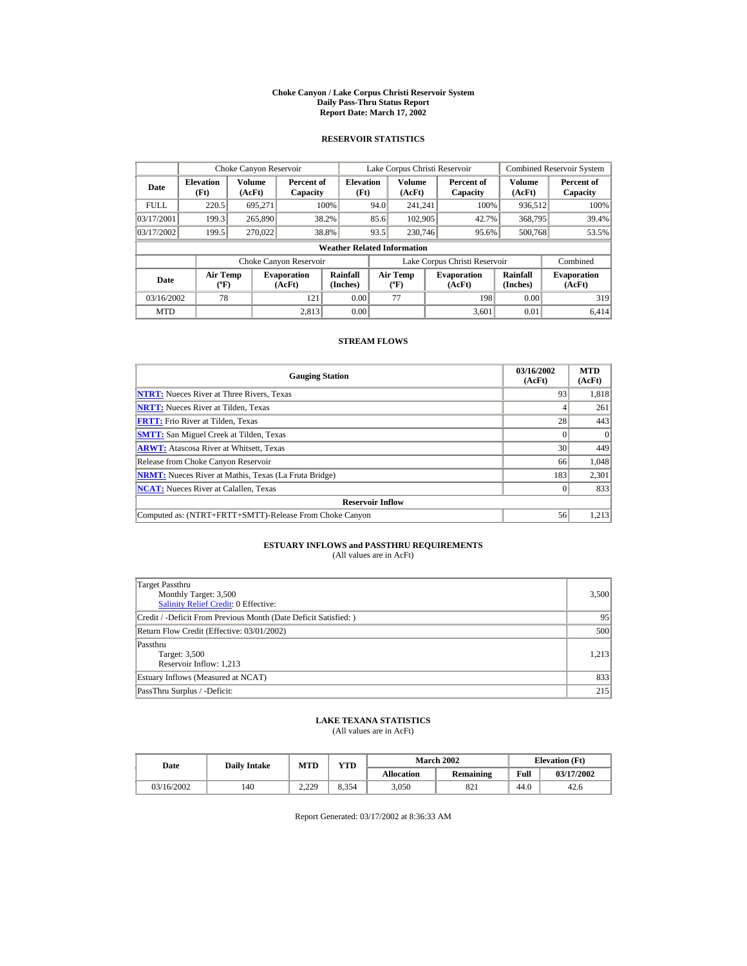#### **Choke Canyon / Lake Corpus Christi Reservoir System Daily Pass-Thru Status Report Report Date: March 17, 2002**

## **RESERVOIR STATISTICS**

|                                                      | Choke Canyon Reservoir             |                              |                        |                                                    |      | Lake Corpus Christi Reservoir |                              |                               |                              | <b>Combined Reservoir System</b> |  |  |
|------------------------------------------------------|------------------------------------|------------------------------|------------------------|----------------------------------------------------|------|-------------------------------|------------------------------|-------------------------------|------------------------------|----------------------------------|--|--|
| Volume<br><b>Elevation</b><br>Date<br>(Ft)<br>(AcFt) |                                    |                              |                        | <b>Elevation</b><br>Percent of<br>(Ft)<br>Capacity |      | <b>Volume</b><br>(AcFt)       |                              | Percent of<br>Capacity        | Volume<br>(AcFt)             | Percent of<br>Capacity           |  |  |
| <b>FULL</b>                                          | 220.5                              | 695.271                      |                        | 100%                                               | 94.0 | 241.241                       |                              | 100%                          | 936,512                      | 100%                             |  |  |
| 03/17/2001                                           | 199.3                              | 265,890                      |                        | 38.2%                                              | 85.6 | 102,905<br>42.7%              |                              | 368,795                       | 39.4%                        |                                  |  |  |
| 03/17/2002                                           | 199.5                              | 270,022                      |                        | 38.8%                                              | 93.5 | 230,746                       |                              | 95.6%                         | 500,768                      | 53.5%                            |  |  |
|                                                      | <b>Weather Related Information</b> |                              |                        |                                                    |      |                               |                              |                               |                              |                                  |  |  |
|                                                      |                                    |                              | Choke Canyon Reservoir |                                                    |      |                               |                              | Lake Corpus Christi Reservoir |                              | Combined                         |  |  |
| <b>Air Temp</b><br>Date<br>$({}^{\circ}\mathrm{F})$  |                                    | <b>Evaporation</b><br>(AcFt) | Rainfall<br>(Inches)   | <b>Air Temp</b><br>$({}^{\circ}{\rm F})$           |      |                               | <b>Evaporation</b><br>(AcFt) | Rainfall<br>(Inches)          | <b>Evaporation</b><br>(AcFt) |                                  |  |  |
| 03/16/2002                                           | 78                                 |                              | 121                    | 0.00                                               |      | 77                            |                              | 198                           | 0.00                         | 319                              |  |  |
| <b>MTD</b>                                           |                                    |                              | 2.813                  | 0.00                                               |      |                               |                              | 3.601                         | 0.01                         | 6.414                            |  |  |

## **STREAM FLOWS**

| <b>Gauging Station</b>                                       | 03/16/2002<br>(AcFt) | <b>MTD</b><br>(AcFt) |
|--------------------------------------------------------------|----------------------|----------------------|
| <b>NTRT:</b> Nueces River at Three Rivers, Texas             | 93                   | 1,818                |
| <b>NRTT:</b> Nueces River at Tilden, Texas                   |                      | 261                  |
| <b>FRTT:</b> Frio River at Tilden, Texas                     | 28                   | 443                  |
| <b>SMTT:</b> San Miguel Creek at Tilden, Texas               |                      |                      |
| <b>ARWT:</b> Atascosa River at Whitsett, Texas               | 30                   | 449                  |
| Release from Choke Canyon Reservoir                          | 66                   | 1,048                |
| <b>NRMT:</b> Nueces River at Mathis, Texas (La Fruta Bridge) | 183                  | 2,301                |
| <b>NCAT:</b> Nueces River at Calallen, Texas                 |                      | 833                  |
| <b>Reservoir Inflow</b>                                      |                      |                      |
| Computed as: (NTRT+FRTT+SMTT)-Release From Choke Canyon      | 56                   | 1,213                |

# **ESTUARY INFLOWS and PASSTHRU REQUIREMENTS**<br>(All values are in AcFt)

| Target Passthru<br>Monthly Target: 3,500<br>Salinity Relief Credit: 0 Effective: | 3,500 |
|----------------------------------------------------------------------------------|-------|
| Credit / -Deficit From Previous Month (Date Deficit Satisfied:)                  | 95    |
| Return Flow Credit (Effective: 03/01/2002)                                       | 500   |
| Passthru<br>Target: 3,500<br>Reservoir Inflow: 1,213                             | 1,213 |
| Estuary Inflows (Measured at NCAT)                                               | 833   |
| PassThru Surplus / -Deficit:                                                     | 215   |

## **LAKE TEXANA STATISTICS**

(All values are in AcFt)

| Date       | <b>Daily Intake</b> | <b>MTD</b> | YTD   |                   | <b>March 2002</b> | <b>Elevation</b> (Ft) |            |
|------------|---------------------|------------|-------|-------------------|-------------------|-----------------------|------------|
|            |                     |            |       | <b>Allocation</b> | Remaining         | Full                  | 03/17/2002 |
| 03/16/2002 | 140                 | 2.229      | 8.354 | 3,050             | 821               | 44.0                  | 42.6       |

Report Generated: 03/17/2002 at 8:36:33 AM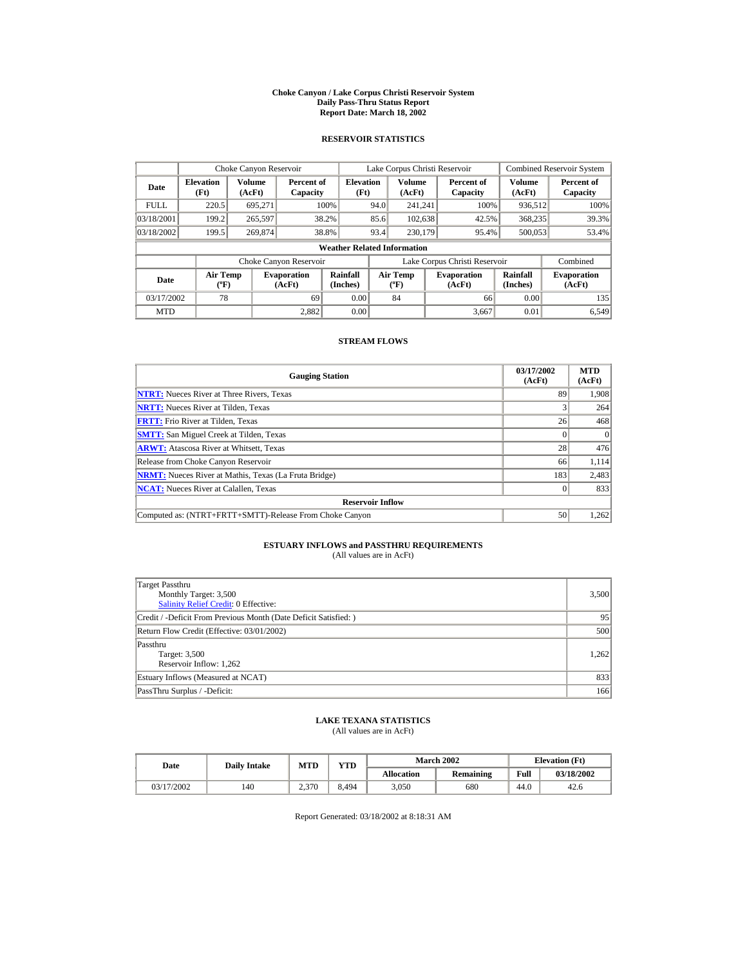#### **Choke Canyon / Lake Corpus Christi Reservoir System Daily Pass-Thru Status Report Report Date: March 18, 2002**

## **RESERVOIR STATISTICS**

|             | Choke Canyon Reservoir                       |         |                              |                          |                               | Lake Corpus Christi Reservoir           |  |                              |                      | <b>Combined Reservoir System</b> |  |
|-------------|----------------------------------------------|---------|------------------------------|--------------------------|-------------------------------|-----------------------------------------|--|------------------------------|----------------------|----------------------------------|--|
| Date        | Volume<br><b>Elevation</b><br>(Ft)<br>(AcFt) |         | Percent of<br>Capacity       | <b>Elevation</b><br>(Ft) |                               | Volume<br>(AcFt)                        |  | Percent of<br>Capacity       | Volume<br>(AcFt)     | Percent of<br>Capacity           |  |
| <b>FULL</b> | 220.5                                        | 695,271 |                              | 100%                     | 94.0                          | 241.241                                 |  | 100%                         | 936,512              | 100%                             |  |
| 03/18/2001  | 199.2                                        | 265,597 |                              | 38.2%                    | 85.6                          | 102,638                                 |  | 42.5%                        | 368,235              | 39.3%                            |  |
| 03/18/2002  | 199.5                                        | 269,874 |                              | 38.8%                    | 93.4                          | 230,179                                 |  | 95.4%                        | 500,053              | 53.4%                            |  |
|             | <b>Weather Related Information</b>           |         |                              |                          |                               |                                         |  |                              |                      |                                  |  |
|             |                                              |         | Choke Canyon Reservoir       |                          | Lake Corpus Christi Reservoir |                                         |  |                              | Combined             |                                  |  |
| Date        | <b>Air Temp</b><br>$({}^{\circ}\mathrm{F})$  |         | <b>Evaporation</b><br>(AcFt) | Rainfall<br>(Inches)     |                               | <b>Air Temp</b><br>$(^{\circ}\text{F})$ |  | <b>Evaporation</b><br>(AcFt) | Rainfall<br>(Inches) | <b>Evaporation</b><br>(AcFt)     |  |
| 03/17/2002  | 78                                           |         | 69                           | 0.00                     |                               | 84                                      |  | 66                           | 0.00                 | 135                              |  |
| <b>MTD</b>  |                                              |         | 2.882                        | 0.00                     |                               |                                         |  | 3,667                        | 0.01                 | 6,549                            |  |

## **STREAM FLOWS**

| <b>Gauging Station</b>                                       | 03/17/2002<br>(AcFt) | <b>MTD</b><br>(AcFt) |
|--------------------------------------------------------------|----------------------|----------------------|
| <b>NTRT:</b> Nueces River at Three Rivers, Texas             | 89                   | 1,908                |
| <b>NRTT:</b> Nueces River at Tilden, Texas                   |                      | 264                  |
| <b>FRTT:</b> Frio River at Tilden. Texas                     | 26                   | 468                  |
| <b>SMTT:</b> San Miguel Creek at Tilden, Texas               |                      | $\Omega$             |
| <b>ARWT:</b> Atascosa River at Whitsett, Texas               | 28                   | 476                  |
| Release from Choke Canyon Reservoir                          | 66                   | 1,114                |
| <b>NRMT:</b> Nueces River at Mathis, Texas (La Fruta Bridge) | 183                  | 2,483                |
| <b>NCAT:</b> Nueces River at Calallen, Texas                 |                      | 833                  |
| <b>Reservoir Inflow</b>                                      |                      |                      |
| Computed as: (NTRT+FRTT+SMTT)-Release From Choke Canyon      | 50                   | 1,262                |

# **ESTUARY INFLOWS and PASSTHRU REQUIREMENTS**<br>(All values are in AcFt)

| Target Passthru<br>Monthly Target: 3,500<br><b>Salinity Relief Credit: 0 Effective:</b> | 3,500 |
|-----------------------------------------------------------------------------------------|-------|
| Credit / -Deficit From Previous Month (Date Deficit Satisfied:)                         | 95    |
| Return Flow Credit (Effective: 03/01/2002)                                              | 500   |
| Passthru<br>Target: 3,500<br>Reservoir Inflow: 1,262                                    | 1.262 |
| Estuary Inflows (Measured at NCAT)                                                      | 833   |
| PassThru Surplus / -Deficit:                                                            | 166   |

## **LAKE TEXANA STATISTICS**

(All values are in AcFt)

| Date       | <b>Daily Intake</b> | <b>MTD</b> | YTD  |                   | <b>March 2002</b> |      | <b>Elevation</b> (Ft) |
|------------|---------------------|------------|------|-------------------|-------------------|------|-----------------------|
|            |                     |            |      | <b>Allocation</b> | Remaining         | Full | 03/18/2002            |
| 03/17/2002 | 140                 | 2.370      | 494ء | 3,050             | 680               | 44.0 | 42.6                  |

Report Generated: 03/18/2002 at 8:18:31 AM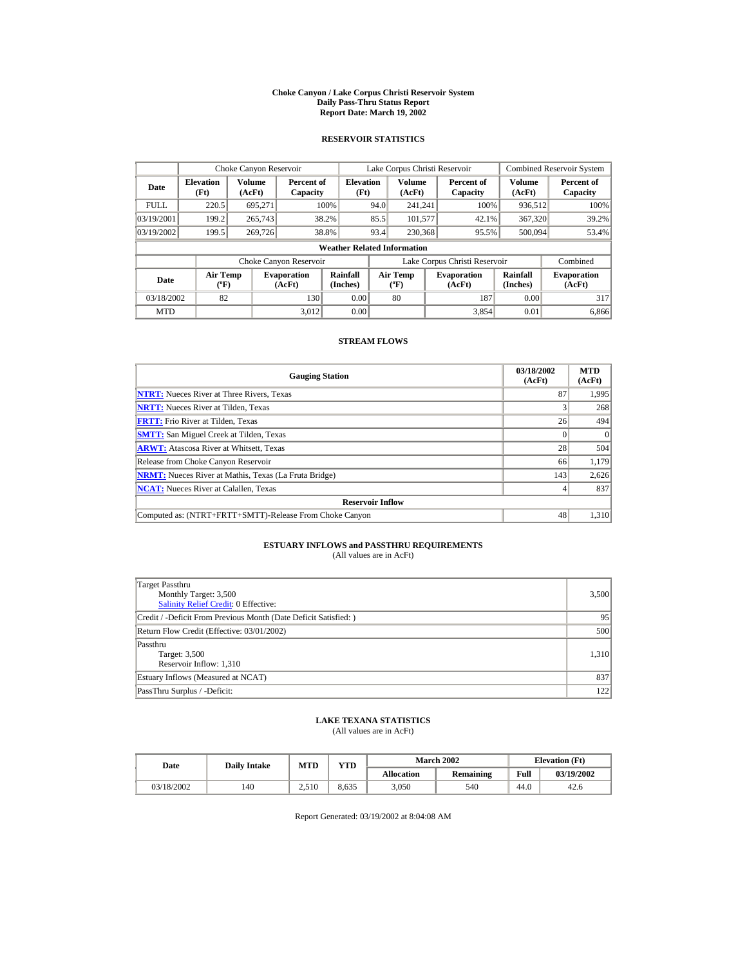#### **Choke Canyon / Lake Corpus Christi Reservoir System Daily Pass-Thru Status Report Report Date: March 19, 2002**

## **RESERVOIR STATISTICS**

|             | Choke Canyon Reservoir             |                  |                              |                          |      | Lake Corpus Christi Reservoir     |  |                               |                         | <b>Combined Reservoir System</b> |  |  |
|-------------|------------------------------------|------------------|------------------------------|--------------------------|------|-----------------------------------|--|-------------------------------|-------------------------|----------------------------------|--|--|
| Date        | <b>Elevation</b><br>(Ft)           | Volume<br>(AcFt) | Percent of<br>Capacity       | <b>Elevation</b><br>(Ft) |      | <b>Volume</b><br>(AcFt)           |  | Percent of<br>Capacity        | <b>Volume</b><br>(AcFt) | Percent of<br>Capacity           |  |  |
| <b>FULL</b> | 220.5                              | 695.271          |                              | 100%                     | 94.0 | 241.241                           |  | 100%                          | 936,512                 | 100%                             |  |  |
| 03/19/2001  | 199.2                              | 265,743          |                              | 38.2%                    | 85.5 | 101,577                           |  | 42.1%                         | 367,320                 | 39.2%                            |  |  |
| 03/19/2002  | 199.5                              | 269,726          |                              | 38.8%                    | 93.4 | 230,368                           |  | 95.5%                         | 500,094                 | 53.4%                            |  |  |
|             | <b>Weather Related Information</b> |                  |                              |                          |      |                                   |  |                               |                         |                                  |  |  |
|             |                                    |                  | Choke Canyon Reservoir       |                          |      |                                   |  | Lake Corpus Christi Reservoir |                         | Combined                         |  |  |
| Date        | Air Temp<br>$({}^o\mathrm{F})$     |                  | <b>Evaporation</b><br>(AcFt) | Rainfall<br>(Inches)     |      | Air Temp<br>$({}^{\circ}{\rm F})$ |  | <b>Evaporation</b><br>(AcFt)  | Rainfall<br>(Inches)    | <b>Evaporation</b><br>(AcFt)     |  |  |
| 03/18/2002  | 82                                 |                  | 130                          | 0.00                     |      | 80                                |  | 187                           | 0.00                    | 317                              |  |  |
| <b>MTD</b>  |                                    |                  | 3.012                        | 0.00                     |      |                                   |  | 3.854                         | 0.01                    | 6,866                            |  |  |

## **STREAM FLOWS**

| <b>Gauging Station</b>                                       | 03/18/2002<br>(AcFt) | <b>MTD</b><br>(AcFt) |
|--------------------------------------------------------------|----------------------|----------------------|
| <b>NTRT:</b> Nueces River at Three Rivers, Texas             | 87                   | 1.995                |
| <b>NRTT:</b> Nueces River at Tilden, Texas                   |                      | 268                  |
| <b>FRTT:</b> Frio River at Tilden, Texas                     | 26                   | 494                  |
| <b>SMTT:</b> San Miguel Creek at Tilden, Texas               |                      | $\Omega$             |
| <b>ARWT:</b> Atascosa River at Whitsett, Texas               | 28                   | 504                  |
| Release from Choke Canyon Reservoir                          | 66                   | 1,179                |
| <b>NRMT:</b> Nueces River at Mathis, Texas (La Fruta Bridge) | 143                  | 2,626                |
| <b>NCAT:</b> Nueces River at Calallen, Texas                 |                      | 837                  |
| <b>Reservoir Inflow</b>                                      |                      |                      |
| Computed as: (NTRT+FRTT+SMTT)-Release From Choke Canyon      | 48                   | 1,310                |

# **ESTUARY INFLOWS and PASSTHRU REQUIREMENTS**<br>(All values are in AcFt)

| Target Passthru<br>Monthly Target: 3,500<br><b>Salinity Relief Credit: 0 Effective:</b> | 3,500 |
|-----------------------------------------------------------------------------------------|-------|
| Credit / -Deficit From Previous Month (Date Deficit Satisfied:)                         | 95    |
| Return Flow Credit (Effective: 03/01/2002)                                              | 500   |
| Passthru<br>Target: 3,500<br>Reservoir Inflow: 1,310                                    | 1,310 |
| Estuary Inflows (Measured at NCAT)                                                      | 837   |
| PassThru Surplus / -Deficit:                                                            | 122   |

## **LAKE TEXANA STATISTICS**

(All values are in AcFt)

| Date       |     | VTD<br>MTD<br><b>Daily Intake</b> |       |                   | <b>March 2002</b> | <b>Elevation</b> (Ft) |            |
|------------|-----|-----------------------------------|-------|-------------------|-------------------|-----------------------|------------|
|            |     |                                   |       | <b>Allocation</b> | <b>Remaining</b>  | Full                  | 03/19/2002 |
| 03/18/2002 | 140 | 2.510                             | 8.635 | 3.050             | 540               | 44.0                  | 42.6       |

Report Generated: 03/19/2002 at 8:04:08 AM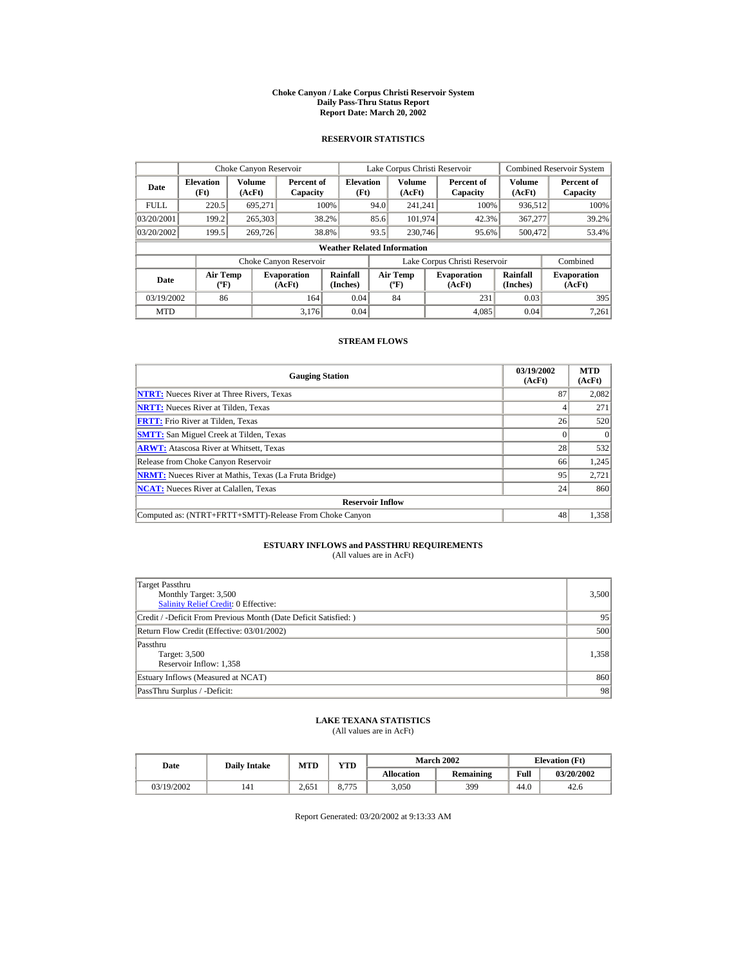#### **Choke Canyon / Lake Corpus Christi Reservoir System Daily Pass-Thru Status Report Report Date: March 20, 2002**

## **RESERVOIR STATISTICS**

|             | Choke Canyon Reservoir                                                                                                      |                  |                        |                          |                              | Lake Corpus Christi Reservoir |                              |                               |                         | <b>Combined Reservoir System</b> |  |  |
|-------------|-----------------------------------------------------------------------------------------------------------------------------|------------------|------------------------|--------------------------|------------------------------|-------------------------------|------------------------------|-------------------------------|-------------------------|----------------------------------|--|--|
| Date        | <b>Elevation</b><br>(Ft)                                                                                                    | Volume<br>(AcFt) | Percent of<br>Capacity | <b>Elevation</b><br>(Ft) |                              | <b>Volume</b><br>(AcFt)       |                              | Percent of<br>Capacity        | <b>Volume</b><br>(AcFt) | Percent of<br>Capacity           |  |  |
| <b>FULL</b> | 220.5                                                                                                                       | 695.271          |                        | 100%                     | 94.0                         | 241.241                       |                              | 100%                          | 936,512                 | 100%                             |  |  |
| 03/20/2001  | 199.2                                                                                                                       | 265,303          |                        | 38.2%                    | 85.6                         | 101.974                       |                              | 42.3%                         | 367,277                 | 39.2%                            |  |  |
| 03/20/2002  | 199.5                                                                                                                       | 269,726          |                        | 38.8%                    | 93.5                         | 230,746                       |                              | 95.6%                         | 500.472                 | 53.4%                            |  |  |
|             | <b>Weather Related Information</b>                                                                                          |                  |                        |                          |                              |                               |                              |                               |                         |                                  |  |  |
|             |                                                                                                                             |                  | Choke Canyon Reservoir |                          |                              |                               |                              | Lake Corpus Christi Reservoir |                         | Combined                         |  |  |
| Date        | Rainfall<br>Air Temp<br>Air Temp<br><b>Evaporation</b><br>(Inches)<br>$({}^o\mathrm{F})$<br>(AcFt)<br>$({}^{\circ}{\rm F})$ |                  |                        |                          | <b>Evaporation</b><br>(AcFt) | Rainfall<br>(Inches)          | <b>Evaporation</b><br>(AcFt) |                               |                         |                                  |  |  |
| 03/19/2002  | 86                                                                                                                          |                  | 164                    | 0.04                     |                              | 84                            |                              | 231                           | 0.03                    | 395                              |  |  |
| <b>MTD</b>  |                                                                                                                             |                  | 3.176                  | 0.04                     |                              |                               |                              | 4.085                         | 0.04                    | 7,261                            |  |  |

## **STREAM FLOWS**

| <b>Gauging Station</b>                                       | 03/19/2002<br>(AcFt) | <b>MTD</b><br>(AcFt) |
|--------------------------------------------------------------|----------------------|----------------------|
| <b>NTRT:</b> Nueces River at Three Rivers, Texas             | 87                   | 2,082                |
| <b>NRTT:</b> Nueces River at Tilden, Texas                   |                      | 271                  |
| <b>FRTT:</b> Frio River at Tilden, Texas                     | 26                   | 520                  |
| <b>SMTT:</b> San Miguel Creek at Tilden, Texas               |                      | $\Omega$             |
| <b>ARWT:</b> Atascosa River at Whitsett, Texas               | 28                   | 532                  |
| Release from Choke Canyon Reservoir                          | 66                   | 1,245                |
| <b>NRMT:</b> Nueces River at Mathis, Texas (La Fruta Bridge) | 95                   | 2,721                |
| <b>NCAT:</b> Nueces River at Calallen, Texas                 | 24                   | 860                  |
| <b>Reservoir Inflow</b>                                      |                      |                      |
| Computed as: (NTRT+FRTT+SMTT)-Release From Choke Canyon      | 48                   | 1,358                |

# **ESTUARY INFLOWS and PASSTHRU REQUIREMENTS**<br>(All values are in AcFt)

| Target Passthru<br>Monthly Target: 3,500<br><b>Salinity Relief Credit: 0 Effective:</b> | 3,500 |
|-----------------------------------------------------------------------------------------|-------|
| Credit / -Deficit From Previous Month (Date Deficit Satisfied:)                         | 95    |
| Return Flow Credit (Effective: 03/01/2002)                                              | 500   |
| Passthru<br>Target: 3,500<br>Reservoir Inflow: 1,358                                    | 1,358 |
| Estuary Inflows (Measured at NCAT)                                                      | 860   |
| PassThru Surplus / -Deficit:                                                            | 98    |

## **LAKE TEXANA STATISTICS**

(All values are in AcFt)

| Date       |     | MTD<br><b>Daily Intake</b> |       |                   | <b>March 2002</b> | <b>Elevation</b> (Ft) |            |
|------------|-----|----------------------------|-------|-------------------|-------------------|-----------------------|------------|
|            |     |                            | VTD   | <b>Allocation</b> | <b>Remaining</b>  | Full                  | 03/20/2002 |
| 03/19/2002 | 141 | 2.651                      | 8.775 | 3.050             | 399               | 44.0                  | 42.6       |

Report Generated: 03/20/2002 at 9:13:33 AM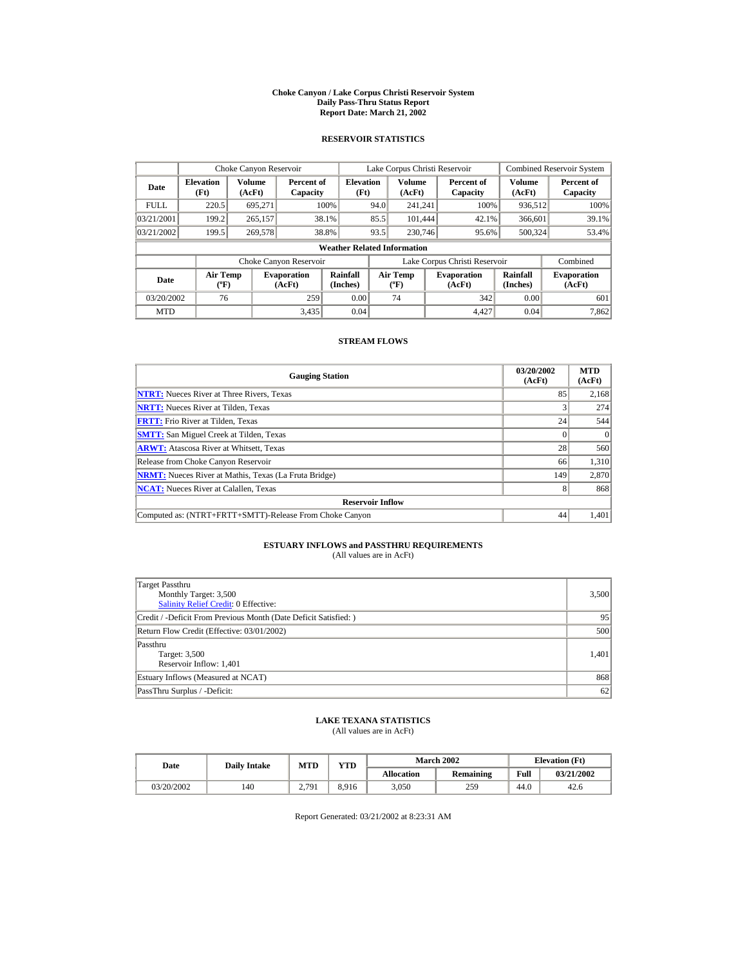#### **Choke Canyon / Lake Corpus Christi Reservoir System Daily Pass-Thru Status Report Report Date: March 21, 2002**

## **RESERVOIR STATISTICS**

|             | Choke Canyon Reservoir                      |                  |                              |                          |      | Lake Corpus Christi Reservoir               |  |                               |                      | <b>Combined Reservoir System</b> |  |  |
|-------------|---------------------------------------------|------------------|------------------------------|--------------------------|------|---------------------------------------------|--|-------------------------------|----------------------|----------------------------------|--|--|
| Date        | <b>Elevation</b><br>(Ft)                    | Volume<br>(AcFt) | Percent of<br>Capacity       | <b>Elevation</b><br>(Ft) |      | Volume<br>(AcFt)                            |  | Percent of<br>Capacity        | Volume<br>(AcFt)     | Percent of<br>Capacity           |  |  |
| <b>FULL</b> | 220.5                                       | 695.271          |                              | 100%                     | 94.0 | 241.241                                     |  | 100%                          | 936,512              | 100%                             |  |  |
| 03/21/2001  | 199.2                                       | 265,157          |                              | 38.1%                    | 85.5 | 101.444                                     |  | 42.1%                         | 366,601              | 39.1%                            |  |  |
| 03/21/2002  | 199.5                                       | 269,578          |                              | 38.8%                    | 93.5 | 230,746                                     |  | 95.6%                         | 500.324              | 53.4%                            |  |  |
|             | <b>Weather Related Information</b>          |                  |                              |                          |      |                                             |  |                               |                      |                                  |  |  |
|             |                                             |                  | Choke Canyon Reservoir       |                          |      |                                             |  | Lake Corpus Christi Reservoir |                      | Combined                         |  |  |
| Date        | <b>Air Temp</b><br>$({}^{\circ}\mathrm{F})$ |                  | <b>Evaporation</b><br>(AcFt) | Rainfall<br>(Inches)     |      | <b>Air Temp</b><br>$({}^{\circ}\mathbf{F})$ |  | <b>Evaporation</b><br>(AcFt)  | Rainfall<br>(Inches) | <b>Evaporation</b><br>(AcFt)     |  |  |
| 03/20/2002  | 76                                          |                  | 259                          | 0.00                     |      | 74                                          |  | 342                           | 0.00                 | 601                              |  |  |
| <b>MTD</b>  |                                             |                  | 3.435                        | 0.04                     |      |                                             |  | 4.427                         | 0.04                 | 7,862                            |  |  |

## **STREAM FLOWS**

| <b>Gauging Station</b>                                       | 03/20/2002<br>(AcFt) | <b>MTD</b><br>(AcFt) |
|--------------------------------------------------------------|----------------------|----------------------|
| <b>NTRT:</b> Nueces River at Three Rivers, Texas             | 85                   | 2,168                |
| <b>NRTT:</b> Nueces River at Tilden, Texas                   |                      | 274                  |
| <b>FRTT:</b> Frio River at Tilden, Texas                     | 24                   | 544                  |
| <b>SMTT:</b> San Miguel Creek at Tilden, Texas               |                      | $\Omega$             |
| <b>ARWT:</b> Atascosa River at Whitsett, Texas               | 28                   | 560                  |
| Release from Choke Canyon Reservoir                          | 66                   | 1,310                |
| <b>NRMT:</b> Nueces River at Mathis, Texas (La Fruta Bridge) | 149                  | 2,870                |
| <b>NCAT:</b> Nueces River at Calallen, Texas                 |                      | 868                  |
| <b>Reservoir Inflow</b>                                      |                      |                      |
| Computed as: (NTRT+FRTT+SMTT)-Release From Choke Canyon      | 44                   | 1,401                |

# **ESTUARY INFLOWS and PASSTHRU REQUIREMENTS**<br>(All values are in AcFt)

| Target Passthru<br>Monthly Target: 3,500<br><b>Salinity Relief Credit: 0 Effective:</b> | 3,500 |
|-----------------------------------------------------------------------------------------|-------|
| Credit / -Deficit From Previous Month (Date Deficit Satisfied:)                         | 95    |
| Return Flow Credit (Effective: 03/01/2002)                                              | 500   |
| Passthru<br>Target: 3,500<br>Reservoir Inflow: 1,401                                    | 1.401 |
| Estuary Inflows (Measured at NCAT)                                                      | 868   |
| PassThru Surplus / -Deficit:                                                            | 62    |

## **LAKE TEXANA STATISTICS**

(All values are in AcFt)

| Date       | <b>Daily Intake</b> | <b>MTD</b>       | YTD   |                   | <b>March 2002</b> |      | <b>Elevation</b> (Ft) |
|------------|---------------------|------------------|-------|-------------------|-------------------|------|-----------------------|
|            |                     |                  |       | <b>Allocation</b> | Remaining         | Full | 03/21/2002            |
| 03/20/2002 | 140                 | .791<br><u>.</u> | 8.916 | 3,050             | 259               | 44.0 | 42.6                  |

Report Generated: 03/21/2002 at 8:23:31 AM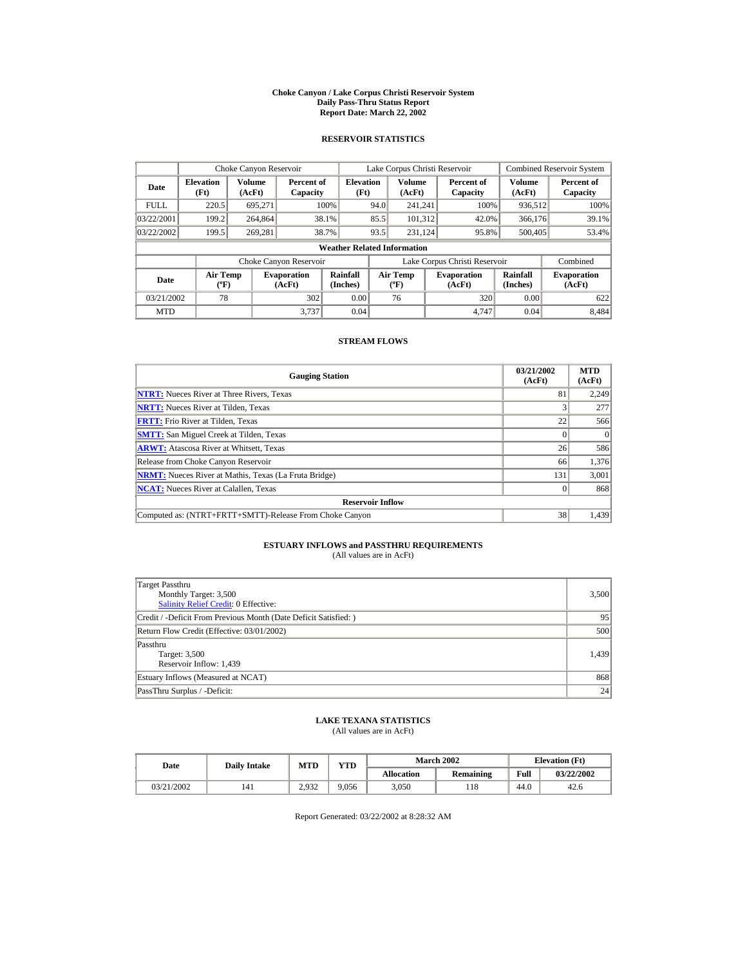#### **Choke Canyon / Lake Corpus Christi Reservoir System Daily Pass-Thru Status Report Report Date: March 22, 2002**

## **RESERVOIR STATISTICS**

|             | Choke Canyon Reservoir             |                  |                              |                          |      | Lake Corpus Christi Reservoir     |  |                               |                         | <b>Combined Reservoir System</b> |  |  |
|-------------|------------------------------------|------------------|------------------------------|--------------------------|------|-----------------------------------|--|-------------------------------|-------------------------|----------------------------------|--|--|
| Date        | <b>Elevation</b><br>(Ft)           | Volume<br>(AcFt) | Percent of<br>Capacity       | <b>Elevation</b><br>(Ft) |      | <b>Volume</b><br>(AcFt)           |  | Percent of<br>Capacity        | <b>Volume</b><br>(AcFt) | Percent of<br>Capacity           |  |  |
| <b>FULL</b> | 220.5                              | 695.271          |                              | 100%                     | 94.0 | 241.241                           |  | 100%                          | 936,512                 | 100%                             |  |  |
| 03/22/2001  | 199.2                              | 264,864          |                              | 38.1%                    | 85.5 | 101.312                           |  | 42.0%                         | 366,176                 | 39.1%                            |  |  |
| 03/22/2002  | 199.5                              | 269.281          |                              | 38.7%                    | 93.5 | 231.124                           |  | 95.8%                         | 500,405                 | 53.4%                            |  |  |
|             | <b>Weather Related Information</b> |                  |                              |                          |      |                                   |  |                               |                         |                                  |  |  |
|             |                                    |                  | Choke Canyon Reservoir       |                          |      |                                   |  | Lake Corpus Christi Reservoir |                         | Combined                         |  |  |
| Date        | Air Temp<br>$({}^o\mathrm{F})$     |                  | <b>Evaporation</b><br>(AcFt) | Rainfall<br>(Inches)     |      | Air Temp<br>$({}^{\circ}{\rm F})$ |  | <b>Evaporation</b><br>(AcFt)  | Rainfall<br>(Inches)    | <b>Evaporation</b><br>(AcFt)     |  |  |
| 03/21/2002  | 78                                 |                  | 302                          | 0.00                     |      | 76                                |  | 320                           | 0.00                    | 622                              |  |  |
| <b>MTD</b>  |                                    |                  | 3.737                        | 0.04                     |      |                                   |  | 4.747                         | 0.04                    | 8.484                            |  |  |

## **STREAM FLOWS**

| <b>Gauging Station</b>                                       | 03/21/2002<br>(AcFt) | <b>MTD</b><br>(AcFt) |
|--------------------------------------------------------------|----------------------|----------------------|
| <b>NTRT:</b> Nueces River at Three Rivers, Texas             | 81                   | 2,249                |
| <b>NRTT:</b> Nueces River at Tilden, Texas                   |                      | 277                  |
| <b>FRTT:</b> Frio River at Tilden, Texas                     | 22                   | 566                  |
| <b>SMTT:</b> San Miguel Creek at Tilden, Texas               |                      | $\theta$             |
| <b>ARWT:</b> Atascosa River at Whitsett, Texas               | 26                   | 586                  |
| Release from Choke Canyon Reservoir                          | 66                   | 1,376                |
| <b>NRMT:</b> Nueces River at Mathis, Texas (La Fruta Bridge) | 131                  | 3,001                |
| <b>NCAT:</b> Nueces River at Calallen, Texas                 |                      | 868                  |
| <b>Reservoir Inflow</b>                                      |                      |                      |
| Computed as: (NTRT+FRTT+SMTT)-Release From Choke Canyon      | 38                   | 1,439                |

# **ESTUARY INFLOWS and PASSTHRU REQUIREMENTS**<br>(All values are in AcFt)

| Target Passthru<br>Monthly Target: 3,500<br><b>Salinity Relief Credit: 0 Effective:</b> | 3,500 |
|-----------------------------------------------------------------------------------------|-------|
| Credit / -Deficit From Previous Month (Date Deficit Satisfied:)                         | 95    |
| Return Flow Credit (Effective: 03/01/2002)                                              | 500   |
| Passthru<br>Target: 3,500<br>Reservoir Inflow: 1,439                                    | 1.439 |
| Estuary Inflows (Measured at NCAT)                                                      | 868   |
| PassThru Surplus / -Deficit:                                                            | 24    |

## **LAKE TEXANA STATISTICS**

(All values are in AcFt)

| Date       | <b>Daily Intake</b> | VTD-<br><b>MTD</b> |       |                   | <b>March 2002</b> | <b>Elevation</b> (Ft) |            |
|------------|---------------------|--------------------|-------|-------------------|-------------------|-----------------------|------------|
|            |                     |                    |       | <b>Allocation</b> | Remaining         | Full                  | 03/22/2002 |
| 03/21/2002 | 141                 | 2.932              | 9,056 | 3,050             | 118               | 44.0                  | 42.6       |

Report Generated: 03/22/2002 at 8:28:32 AM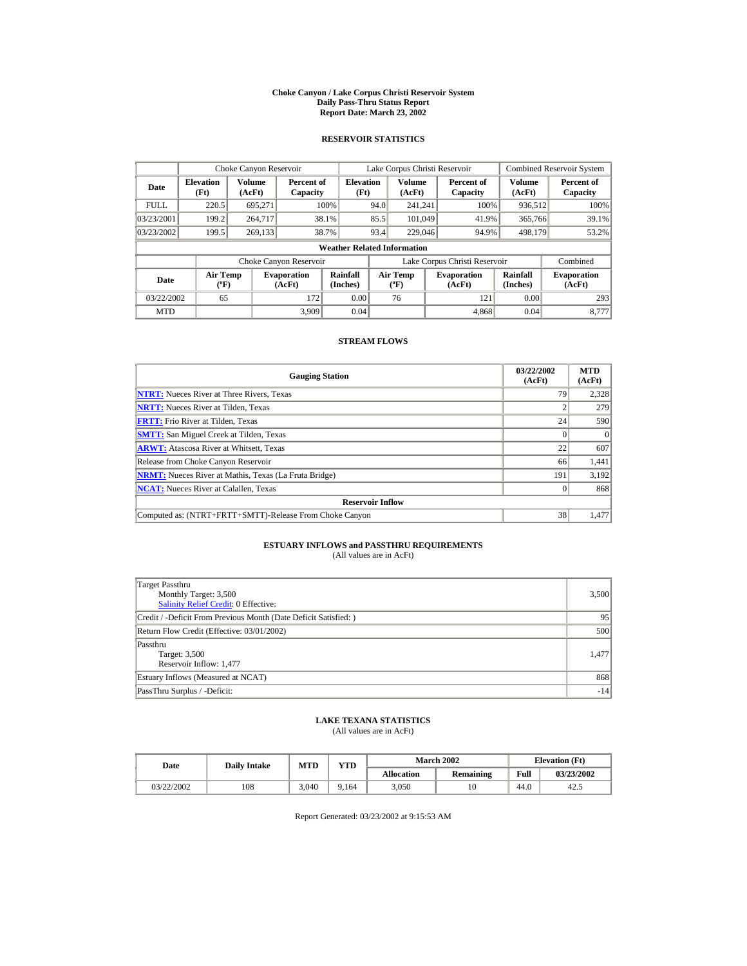#### **Choke Canyon / Lake Corpus Christi Reservoir System Daily Pass-Thru Status Report Report Date: March 23, 2002**

## **RESERVOIR STATISTICS**

|             | Choke Canyon Reservoir                      |                  |                              |                          |      | Lake Corpus Christi Reservoir               |  |                               |                      | Combined Reservoir System    |  |  |
|-------------|---------------------------------------------|------------------|------------------------------|--------------------------|------|---------------------------------------------|--|-------------------------------|----------------------|------------------------------|--|--|
| Date        | <b>Elevation</b><br>(Ft)                    | Volume<br>(AcFt) | Percent of<br>Capacity       | <b>Elevation</b><br>(Ft) |      | Volume<br>(AcFt)                            |  | Percent of<br>Capacity        | Volume<br>(AcFt)     | Percent of<br>Capacity       |  |  |
| <b>FULL</b> | 220.5                                       | 695.271          |                              | 100%                     | 94.0 | 241.241                                     |  | 100%                          | 936,512              | 100%                         |  |  |
| 03/23/2001  | 199.2                                       | 264,717          |                              | 38.1%                    | 85.5 | 101,049                                     |  | 41.9%                         | 365,766              | 39.1%                        |  |  |
| 03/23/2002  | 199.5                                       | 269.133          |                              | 38.7%                    | 93.4 | 229,046                                     |  | 94.9%                         | 498.179              | 53.2%                        |  |  |
|             | <b>Weather Related Information</b>          |                  |                              |                          |      |                                             |  |                               |                      |                              |  |  |
|             |                                             |                  | Choke Canyon Reservoir       |                          |      |                                             |  | Lake Corpus Christi Reservoir |                      | Combined                     |  |  |
| Date        | <b>Air Temp</b><br>$({}^{\circ}\mathrm{F})$ |                  | <b>Evaporation</b><br>(AcFt) | Rainfall<br>(Inches)     |      | <b>Air Temp</b><br>$({}^{\circ}\mathbf{F})$ |  | <b>Evaporation</b><br>(AcFt)  | Rainfall<br>(Inches) | <b>Evaporation</b><br>(AcFt) |  |  |
| 03/22/2002  | 65                                          |                  | 172                          | 0.00                     |      | 76                                          |  | 121                           | 0.00                 | 293                          |  |  |
| <b>MTD</b>  |                                             |                  | 3.909                        | 0.04                     |      |                                             |  | 4.868                         | 0.04                 | 8.777                        |  |  |

## **STREAM FLOWS**

| <b>Gauging Station</b>                                       | 03/22/2002<br>(AcFt) | <b>MTD</b><br>(AcFt) |
|--------------------------------------------------------------|----------------------|----------------------|
| <b>NTRT:</b> Nueces River at Three Rivers, Texas             | 79                   | 2,328                |
| <b>NRTT:</b> Nueces River at Tilden, Texas                   |                      | 279                  |
| <b>FRTT:</b> Frio River at Tilden. Texas                     | 24                   | 590                  |
| <b>SMTT:</b> San Miguel Creek at Tilden, Texas               |                      |                      |
| <b>ARWT:</b> Atascosa River at Whitsett, Texas               | 22                   | 607                  |
| Release from Choke Canyon Reservoir                          | 66                   | 1,441                |
| <b>NRMT:</b> Nueces River at Mathis, Texas (La Fruta Bridge) | 191                  | 3,192                |
| <b>NCAT:</b> Nueces River at Calallen, Texas                 |                      | 868                  |
| <b>Reservoir Inflow</b>                                      |                      |                      |
| Computed as: (NTRT+FRTT+SMTT)-Release From Choke Canyon      | 38                   | 1,477                |

# **ESTUARY INFLOWS and PASSTHRU REQUIREMENTS**<br>(All values are in AcFt)

| Target Passthru<br>Monthly Target: 3,500<br><b>Salinity Relief Credit: 0 Effective:</b> | 3,500 |
|-----------------------------------------------------------------------------------------|-------|
| Credit / -Deficit From Previous Month (Date Deficit Satisfied:)                         | 95    |
| Return Flow Credit (Effective: 03/01/2002)                                              | 500   |
| Passthru<br>Target: 3,500<br>Reservoir Inflow: 1,477                                    | 1.477 |
| Estuary Inflows (Measured at NCAT)                                                      | 868   |
| PassThru Surplus / -Deficit:                                                            | $-14$ |

## **LAKE TEXANA STATISTICS**

(All values are in AcFt)

| Date       | <b>Daily Intake</b> | <b>MTD</b> | YTD  |                   | <b>March 2002</b> | <b>Elevation</b> (Ft) |            |
|------------|---------------------|------------|------|-------------------|-------------------|-----------------------|------------|
|            |                     |            |      | <b>Allocation</b> | Remaining         | Full                  | 03/23/2002 |
| 03/22/2002 | 108                 | 3.040      | .164 | 3.050             |                   | 44.0                  | 42.5       |

Report Generated: 03/23/2002 at 9:15:53 AM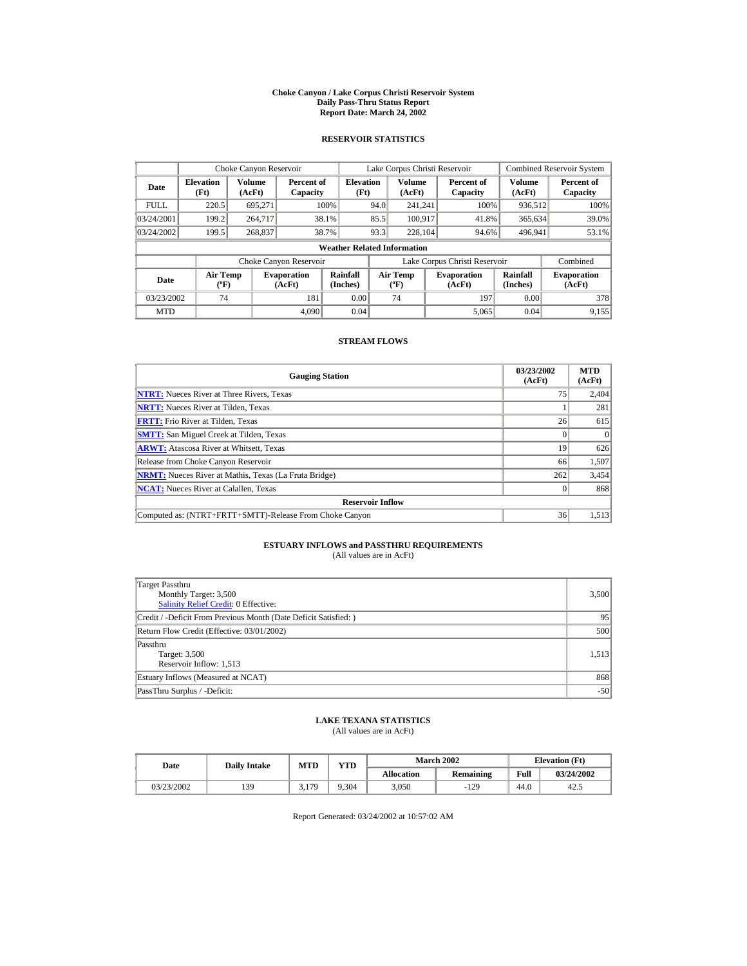#### **Choke Canyon / Lake Corpus Christi Reservoir System Daily Pass-Thru Status Report Report Date: March 24, 2002**

## **RESERVOIR STATISTICS**

|             | Choke Canyon Reservoir                      |                  |                              |                          |      | Lake Corpus Christi Reservoir    |  |                               |                      | <b>Combined Reservoir System</b> |  |  |
|-------------|---------------------------------------------|------------------|------------------------------|--------------------------|------|----------------------------------|--|-------------------------------|----------------------|----------------------------------|--|--|
| Date        | <b>Elevation</b><br>(Ft)                    | Volume<br>(AcFt) | Percent of<br>Capacity       | <b>Elevation</b><br>(Ft) |      | Volume<br>(AcFt)                 |  | Percent of<br>Capacity        | Volume<br>(AcFt)     | Percent of<br>Capacity           |  |  |
| <b>FULL</b> | 220.5                                       | 695.271          |                              | 100%                     | 94.0 | 241.241                          |  | 100%                          | 936,512              | 100%                             |  |  |
| 03/24/2001  | 199.2                                       | 264,717          |                              | 38.1%                    | 85.5 | 100.917                          |  | 41.8%                         | 365,634              | 39.0%                            |  |  |
| 03/24/2002  | 199.5                                       | 268,837          |                              | 38.7%                    | 93.3 | 228,104                          |  | 94.6%                         | 496.941              | 53.1%                            |  |  |
|             | <b>Weather Related Information</b>          |                  |                              |                          |      |                                  |  |                               |                      |                                  |  |  |
|             |                                             |                  | Choke Canyon Reservoir       |                          |      |                                  |  | Lake Corpus Christi Reservoir |                      | Combined                         |  |  |
| Date        | <b>Air Temp</b><br>$({}^{\circ}\mathrm{F})$ |                  | <b>Evaporation</b><br>(AcFt) | Rainfall<br>(Inches)     |      | <b>Air Temp</b><br>$(^{\circ}F)$ |  | <b>Evaporation</b><br>(AcFt)  | Rainfall<br>(Inches) | <b>Evaporation</b><br>(AcFt)     |  |  |
| 03/23/2002  | 74                                          |                  | 181                          | 0.00                     |      | 74                               |  | 197                           | 0.00                 | 378                              |  |  |
| <b>MTD</b>  |                                             |                  | 4.090                        | 0.04                     |      |                                  |  | 5,065                         | 0.04                 | 9,155                            |  |  |

## **STREAM FLOWS**

| <b>Gauging Station</b>                                       | 03/23/2002<br>(AcFt) | <b>MTD</b><br>(AcFt) |
|--------------------------------------------------------------|----------------------|----------------------|
| <b>NTRT:</b> Nueces River at Three Rivers, Texas             | 75                   | 2,404                |
| <b>NRTT:</b> Nueces River at Tilden, Texas                   |                      | 281                  |
| <b>FRTT:</b> Frio River at Tilden, Texas                     | 26                   | 615                  |
| <b>SMTT:</b> San Miguel Creek at Tilden, Texas               |                      | $\Omega$             |
| <b>ARWT:</b> Atascosa River at Whitsett, Texas               | 19                   | 626                  |
| Release from Choke Canyon Reservoir                          | 66                   | 1,507                |
| <b>NRMT:</b> Nueces River at Mathis, Texas (La Fruta Bridge) | 262                  | 3,454                |
| <b>NCAT:</b> Nueces River at Calallen, Texas                 |                      | 868                  |
| <b>Reservoir Inflow</b>                                      |                      |                      |
| Computed as: (NTRT+FRTT+SMTT)-Release From Choke Canyon      | 36                   | 1,513                |

# **ESTUARY INFLOWS and PASSTHRU REQUIREMENTS**<br>(All values are in AcFt)

| Target Passthru<br>Monthly Target: 3,500<br><b>Salinity Relief Credit: 0 Effective:</b> | 3,500 |
|-----------------------------------------------------------------------------------------|-------|
| Credit / -Deficit From Previous Month (Date Deficit Satisfied:)                         | 95    |
| Return Flow Credit (Effective: 03/01/2002)                                              | 500   |
| Passthru<br>Target: 3,500<br>Reservoir Inflow: 1,513                                    | 1,513 |
| Estuary Inflows (Measured at NCAT)                                                      | 868   |
| PassThru Surplus / -Deficit:                                                            | $-50$ |

## **LAKE TEXANA STATISTICS**

(All values are in AcFt)

| Date       | <b>Daily Intake</b> | <b>MTD</b> | YTD   |                   | <b>March 2002</b> | <b>Elevation</b> (Ft) |            |
|------------|---------------------|------------|-------|-------------------|-------------------|-----------------------|------------|
|            |                     |            |       | <b>Allocation</b> | Remaining         | Full                  | 03/24/2002 |
| 03/23/2002 | 139                 | 3,179      | 9.304 | 3.050             | $-129$            | 44.0                  | 42         |

Report Generated: 03/24/2002 at 10:57:02 AM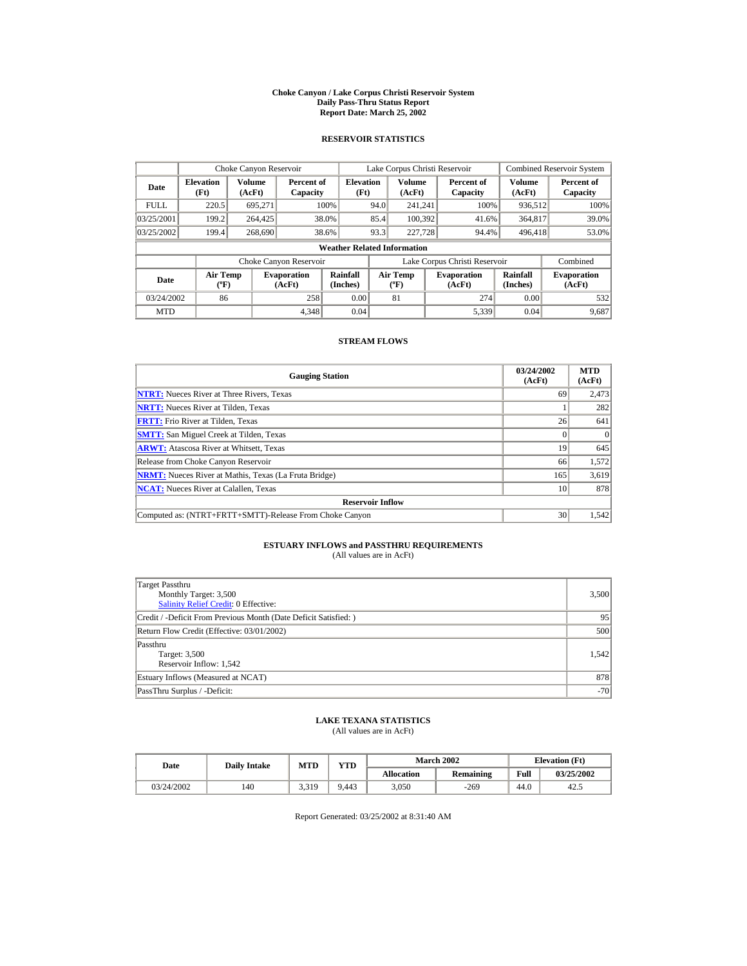#### **Choke Canyon / Lake Corpus Christi Reservoir System Daily Pass-Thru Status Report Report Date: March 25, 2002**

## **RESERVOIR STATISTICS**

|             | Choke Canyon Reservoir             |                  |                              |                          | Lake Corpus Christi Reservoir |                                   |  |                               |                         | <b>Combined Reservoir System</b> |  |  |
|-------------|------------------------------------|------------------|------------------------------|--------------------------|-------------------------------|-----------------------------------|--|-------------------------------|-------------------------|----------------------------------|--|--|
| Date        | <b>Elevation</b><br>(Ft)           | Volume<br>(AcFt) | Percent of<br>Capacity       | <b>Elevation</b><br>(Ft) |                               | <b>Volume</b><br>(AcFt)           |  | Percent of<br>Capacity        | <b>Volume</b><br>(AcFt) | Percent of<br>Capacity           |  |  |
| <b>FULL</b> | 220.5                              | 695.271          |                              | 100%                     | 94.0                          | 241.241                           |  | 100%                          | 936,512                 | 100%                             |  |  |
| 03/25/2001  | 199.2                              | 264,425          |                              | 38.0%                    | 85.4                          | 100.392                           |  | 41.6%                         | 364,817                 | 39.0%                            |  |  |
| 03/25/2002  | 199.4                              | 268,690          |                              | 38.6%                    | 93.3                          | 227,728                           |  | 94.4%                         | 496,418                 | 53.0%                            |  |  |
|             | <b>Weather Related Information</b> |                  |                              |                          |                               |                                   |  |                               |                         |                                  |  |  |
|             |                                    |                  | Choke Canyon Reservoir       |                          |                               |                                   |  | Lake Corpus Christi Reservoir |                         | Combined                         |  |  |
| Date        | Air Temp<br>$({}^o\mathrm{F})$     |                  | <b>Evaporation</b><br>(AcFt) | Rainfall<br>(Inches)     |                               | Air Temp<br>$({}^{\circ}{\rm F})$ |  | <b>Evaporation</b><br>(AcFt)  | Rainfall<br>(Inches)    | <b>Evaporation</b><br>(AcFt)     |  |  |
| 03/24/2002  | 86                                 |                  | 258                          | 0.00                     |                               | 81                                |  | 274                           | 0.00                    | 532                              |  |  |
| <b>MTD</b>  |                                    |                  | 4.348                        | 0.04                     |                               |                                   |  | 5,339                         | 0.04                    | 9,687                            |  |  |

## **STREAM FLOWS**

| <b>Gauging Station</b>                                       | 03/24/2002<br>(AcFt) | <b>MTD</b><br>(AcFt) |
|--------------------------------------------------------------|----------------------|----------------------|
| <b>NTRT:</b> Nueces River at Three Rivers, Texas             | 69                   | 2,473                |
| <b>NRTT:</b> Nueces River at Tilden, Texas                   |                      | 282                  |
| <b>FRTT:</b> Frio River at Tilden. Texas                     | 26                   | 641                  |
| <b>SMTT:</b> San Miguel Creek at Tilden, Texas               |                      |                      |
| <b>ARWT:</b> Atascosa River at Whitsett, Texas               | 19                   | 645                  |
| Release from Choke Canyon Reservoir                          | 66                   | 1,572                |
| <b>NRMT:</b> Nueces River at Mathis, Texas (La Fruta Bridge) | 165                  | 3,619                |
| <b>NCAT:</b> Nueces River at Calallen, Texas                 | 10                   | 878                  |
| <b>Reservoir Inflow</b>                                      |                      |                      |
| Computed as: (NTRT+FRTT+SMTT)-Release From Choke Canyon      | 30                   | 1,542                |

# **ESTUARY INFLOWS and PASSTHRU REQUIREMENTS**<br>(All values are in AcFt)

| Target Passthru<br>Monthly Target: 3,500<br><b>Salinity Relief Credit: 0 Effective:</b> | 3,500 |
|-----------------------------------------------------------------------------------------|-------|
| Credit / -Deficit From Previous Month (Date Deficit Satisfied:)                         | 95    |
| Return Flow Credit (Effective: 03/01/2002)                                              | 500   |
| Passthru<br>Target: 3,500<br>Reservoir Inflow: 1,542                                    | 1.542 |
| Estuary Inflows (Measured at NCAT)                                                      | 878   |
| PassThru Surplus / -Deficit:                                                            | $-70$ |

## **LAKE TEXANA STATISTICS**

(All values are in AcFt)

| Date       | <b>Daily Intake</b> | VTD<br>MTD |       |                   | <b>March 2002</b> | <b>Elevation</b> (Ft) |            |
|------------|---------------------|------------|-------|-------------------|-------------------|-----------------------|------------|
|            |                     |            |       | <b>Allocation</b> | <b>Remaining</b>  | Full                  | 03/25/2002 |
| 03/24/2002 | 140                 | 3.319      | 9.443 | 3,050             | $-269$            | 44.0                  | 42         |

Report Generated: 03/25/2002 at 8:31:40 AM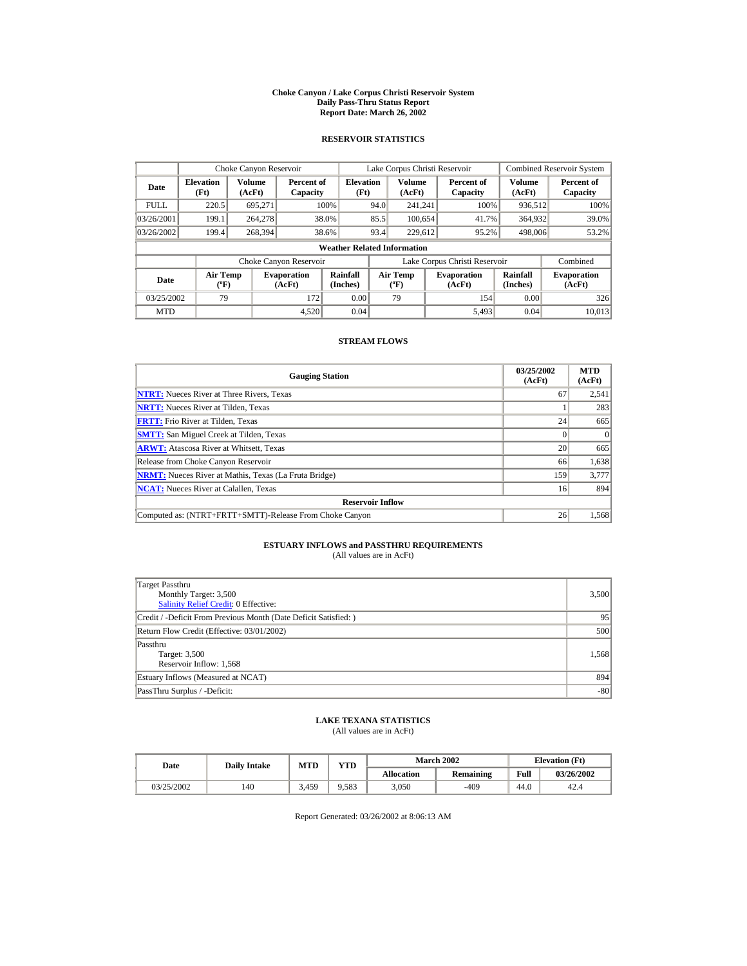#### **Choke Canyon / Lake Corpus Christi Reservoir System Daily Pass-Thru Status Report Report Date: March 26, 2002**

## **RESERVOIR STATISTICS**

|             | Choke Canyon Reservoir             |                         |                              |                          | Lake Corpus Christi Reservoir |                                   |  |                               |                         | <b>Combined Reservoir System</b> |  |  |  |
|-------------|------------------------------------|-------------------------|------------------------------|--------------------------|-------------------------------|-----------------------------------|--|-------------------------------|-------------------------|----------------------------------|--|--|--|
| Date        | <b>Elevation</b><br>(Ft)           | <b>Volume</b><br>(AcFt) | Percent of<br>Capacity       | <b>Elevation</b><br>(Ft) |                               | <b>Volume</b><br>(AcFt)           |  | Percent of<br>Capacity        | <b>Volume</b><br>(AcFt) | Percent of<br>Capacity           |  |  |  |
| <b>FULL</b> | 220.5                              | 695.271                 |                              | 100%                     | 94.0                          | 241.241                           |  | 100%                          | 936,512                 | 100%                             |  |  |  |
| 03/26/2001  | 199.1                              | 264,278                 |                              | 38.0%                    | 85.5                          | 100.654                           |  | 41.7%                         | 364,932                 | 39.0%                            |  |  |  |
| 03/26/2002  | 199.4                              | 268,394                 |                              | 38.6%                    | 93.4                          | 229.612                           |  | 95.2%                         | 498,006                 | 53.2%                            |  |  |  |
|             | <b>Weather Related Information</b> |                         |                              |                          |                               |                                   |  |                               |                         |                                  |  |  |  |
|             |                                    |                         | Choke Canyon Reservoir       |                          |                               |                                   |  | Lake Corpus Christi Reservoir |                         | Combined                         |  |  |  |
| Date        | Air Temp<br>$({}^o\mathrm{F})$     |                         | <b>Evaporation</b><br>(AcFt) | Rainfall<br>(Inches)     |                               | Air Temp<br>$({}^{\circ}{\rm F})$ |  | <b>Evaporation</b><br>(AcFt)  | Rainfall<br>(Inches)    | <b>Evaporation</b><br>(AcFt)     |  |  |  |
| 03/25/2002  | 79                                 |                         | 172                          | 0.00                     |                               | 79                                |  | 154                           | 0.00                    | 326                              |  |  |  |
| <b>MTD</b>  |                                    |                         | 4.520                        | 0.04                     |                               |                                   |  | 5.493                         | 0.04                    | 10.013                           |  |  |  |

## **STREAM FLOWS**

| <b>Gauging Station</b>                                       | 03/25/2002<br>(AcFt) | <b>MTD</b><br>(AcFt) |
|--------------------------------------------------------------|----------------------|----------------------|
| <b>NTRT:</b> Nueces River at Three Rivers, Texas             | 67                   | 2,541                |
| <b>NRTT:</b> Nueces River at Tilden, Texas                   |                      | 283                  |
| <b>FRTT:</b> Frio River at Tilden. Texas                     | 24                   | 665                  |
| <b>SMTT:</b> San Miguel Creek at Tilden, Texas               |                      | $\Omega$             |
| <b>ARWT:</b> Atascosa River at Whitsett, Texas               | 20                   | 665                  |
| Release from Choke Canyon Reservoir                          | 66                   | 1,638                |
| <b>NRMT:</b> Nueces River at Mathis, Texas (La Fruta Bridge) | 159                  | 3,777                |
| <b>NCAT:</b> Nueces River at Calallen, Texas                 | 16                   | 894                  |
| <b>Reservoir Inflow</b>                                      |                      |                      |
| Computed as: (NTRT+FRTT+SMTT)-Release From Choke Canyon      | 26                   | 1,568                |

# **ESTUARY INFLOWS and PASSTHRU REQUIREMENTS**<br>(All values are in AcFt)

| Target Passthru<br>Monthly Target: 3,500<br><b>Salinity Relief Credit: 0 Effective:</b> | 3,500 |
|-----------------------------------------------------------------------------------------|-------|
| Credit / -Deficit From Previous Month (Date Deficit Satisfied:)                         | 95    |
| Return Flow Credit (Effective: 03/01/2002)                                              | 500   |
| Passthru<br>Target: 3,500<br>Reservoir Inflow: 1,568                                    | 1.568 |
| Estuary Inflows (Measured at NCAT)                                                      | 894   |
| PassThru Surplus / -Deficit:                                                            | $-80$ |

## **LAKE TEXANA STATISTICS**

(All values are in AcFt)

| Date       | <b>Daily Intake</b> | <b>MTD</b> | $\mathbf{v}\mathbf{T}\mathbf{D}$ |                   | <b>March 2002</b> |      | <b>Elevation</b> (Ft) |
|------------|---------------------|------------|----------------------------------|-------------------|-------------------|------|-----------------------|
|            |                     |            |                                  | <b>Allocation</b> | Remaining         | Full | 03/26/2002            |
| 03/25/2002 | 140                 | 3.459      | ).583                            | 3,050             | -409              | 44.0 | 42.4                  |

Report Generated: 03/26/2002 at 8:06:13 AM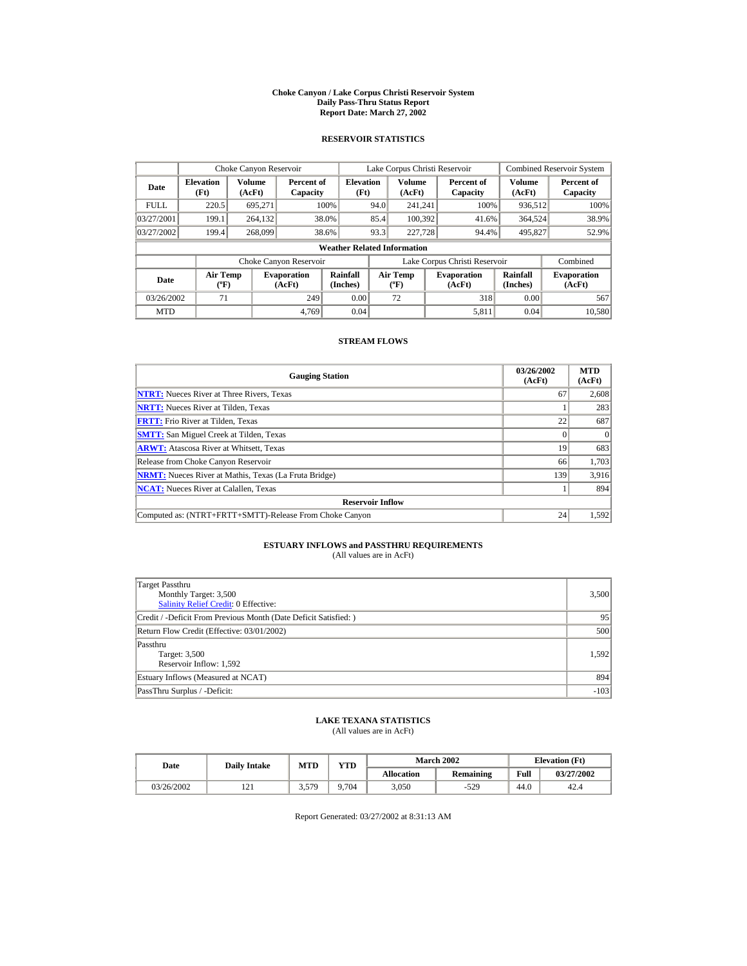#### **Choke Canyon / Lake Corpus Christi Reservoir System Daily Pass-Thru Status Report Report Date: March 27, 2002**

## **RESERVOIR STATISTICS**

|             | Choke Canyon Reservoir                      |                  |                              |                          | Lake Corpus Christi Reservoir |                                  |  |                               |                      | <b>Combined Reservoir System</b> |  |  |
|-------------|---------------------------------------------|------------------|------------------------------|--------------------------|-------------------------------|----------------------------------|--|-------------------------------|----------------------|----------------------------------|--|--|
| Date        | <b>Elevation</b><br>(Ft)                    | Volume<br>(AcFt) | Percent of<br>Capacity       | <b>Elevation</b><br>(Ft) |                               | Volume<br>(AcFt)                 |  | Percent of<br>Capacity        | Volume<br>(AcFt)     | Percent of<br>Capacity           |  |  |
| <b>FULL</b> | 220.5                                       | 695.271          |                              | 100%                     | 94.0                          | 241.241                          |  | 100%                          | 936,512              | 100%                             |  |  |
| 03/27/2001  | 199.1                                       | 264,132          |                              | 38.0%                    | 85.4                          | 100.392                          |  | 41.6%                         | 364,524              | 38.9%                            |  |  |
| 03/27/2002  | 199.4                                       | 268,099          |                              | 38.6%                    | 93.3                          | 227,728                          |  | 94.4%                         | 495,827              | 52.9%                            |  |  |
|             | <b>Weather Related Information</b>          |                  |                              |                          |                               |                                  |  |                               |                      |                                  |  |  |
|             |                                             |                  | Choke Canyon Reservoir       |                          |                               |                                  |  | Lake Corpus Christi Reservoir |                      | Combined                         |  |  |
| Date        | <b>Air Temp</b><br>$({}^{\circ}\mathrm{F})$ |                  | <b>Evaporation</b><br>(AcFt) | Rainfall<br>(Inches)     |                               | <b>Air Temp</b><br>$(^{\circ}F)$ |  | <b>Evaporation</b><br>(AcFt)  | Rainfall<br>(Inches) | <b>Evaporation</b><br>(AcFt)     |  |  |
| 03/26/2002  | 71                                          |                  | 249                          | 0.00                     |                               | 72                               |  | 318                           | 0.00                 | 567                              |  |  |
| <b>MTD</b>  |                                             |                  | 4.769                        | 0.04                     |                               |                                  |  | 5.811                         | 0.04                 | 10,580                           |  |  |

## **STREAM FLOWS**

| <b>Gauging Station</b>                                       | 03/26/2002<br>(AcFt) | <b>MTD</b><br>(AcFt) |
|--------------------------------------------------------------|----------------------|----------------------|
| <b>NTRT:</b> Nueces River at Three Rivers, Texas             | 67                   | 2,608                |
| <b>NRTT:</b> Nueces River at Tilden, Texas                   |                      | 283                  |
| <b>FRTT:</b> Frio River at Tilden. Texas                     | 22                   | 687                  |
| <b>SMTT:</b> San Miguel Creek at Tilden, Texas               |                      | $\Omega$             |
| <b>ARWT:</b> Atascosa River at Whitsett, Texas               | 19                   | 683                  |
| Release from Choke Canyon Reservoir                          | 66                   | 1,703                |
| <b>NRMT:</b> Nueces River at Mathis, Texas (La Fruta Bridge) | 139                  | 3,916                |
| <b>NCAT:</b> Nueces River at Calallen, Texas                 |                      | 894                  |
| <b>Reservoir Inflow</b>                                      |                      |                      |
| Computed as: (NTRT+FRTT+SMTT)-Release From Choke Canyon      | 24                   | 1,592                |

# **ESTUARY INFLOWS and PASSTHRU REQUIREMENTS**<br>(All values are in AcFt)

| Target Passthru<br>Monthly Target: 3,500<br>Salinity Relief Credit: 0 Effective: | 3,500  |
|----------------------------------------------------------------------------------|--------|
| Credit / -Deficit From Previous Month (Date Deficit Satisfied:)                  | 95     |
| Return Flow Credit (Effective: 03/01/2002)                                       | 500    |
| Passthru<br>Target: 3,500<br>Reservoir Inflow: 1,592                             | 1.592  |
| Estuary Inflows (Measured at NCAT)                                               | 894    |
| PassThru Surplus / -Deficit:                                                     | $-103$ |

## **LAKE TEXANA STATISTICS**

(All values are in AcFt)

| Date       | <b>Daily Intake</b> | <b>MTD</b> | YTD   |                   | <b>March 2002</b> | <b>Elevation</b> (Ft) |            |  |
|------------|---------------------|------------|-------|-------------------|-------------------|-----------------------|------------|--|
|            |                     |            |       | <b>Allocation</b> | Remaining         | Full                  | 03/27/2002 |  |
| 03/26/2002 | $\sim$<br>1/4       | 3,579      | 9.704 | 3,050             | $-529$            | 44.0                  | 42.4       |  |

Report Generated: 03/27/2002 at 8:31:13 AM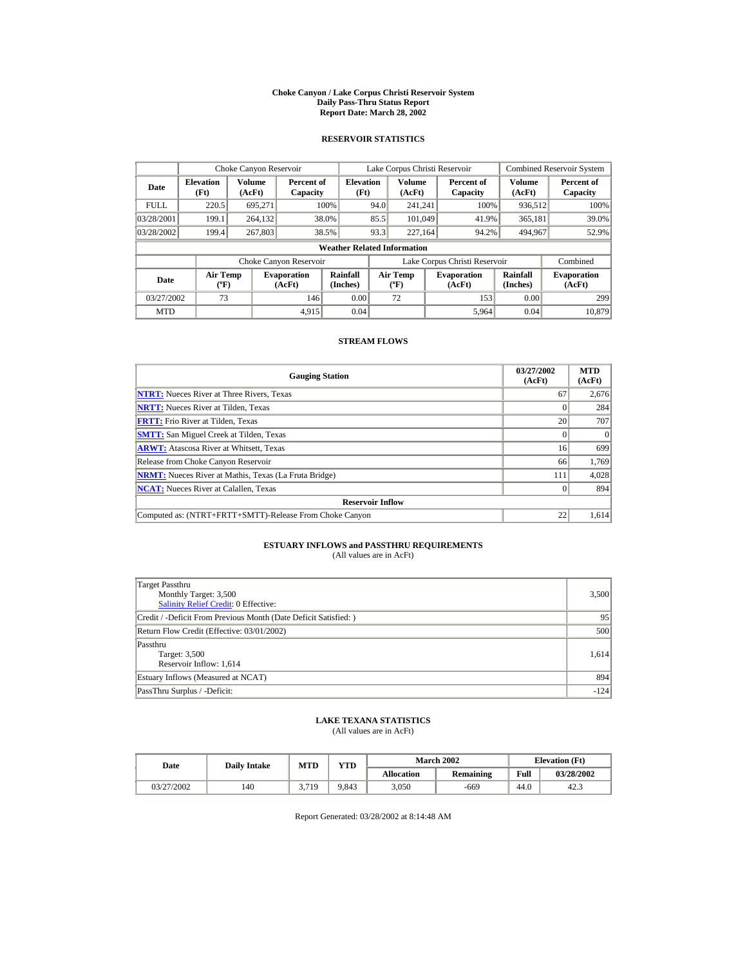#### **Choke Canyon / Lake Corpus Christi Reservoir System Daily Pass-Thru Status Report Report Date: March 28, 2002**

## **RESERVOIR STATISTICS**

|             | Choke Canyon Reservoir             |                  |                              |                          | Lake Corpus Christi Reservoir |                                   |  |                               |                         | <b>Combined Reservoir System</b> |  |  |
|-------------|------------------------------------|------------------|------------------------------|--------------------------|-------------------------------|-----------------------------------|--|-------------------------------|-------------------------|----------------------------------|--|--|
| Date        | <b>Elevation</b><br>(Ft)           | Volume<br>(AcFt) | Percent of<br>Capacity       | <b>Elevation</b><br>(Ft) |                               | <b>Volume</b><br>(AcFt)           |  | Percent of<br>Capacity        | <b>Volume</b><br>(AcFt) | Percent of<br>Capacity           |  |  |
| <b>FULL</b> | 220.5                              | 695.271          |                              | 100%                     | 94.0                          | 241.241                           |  | 100%                          | 936,512                 | 100%                             |  |  |
| 03/28/2001  | 199.1                              | 264,132          |                              | 38.0%                    | 85.5                          | 101,049                           |  | 41.9%                         | 365,181                 | 39.0%                            |  |  |
| 03/28/2002  | 199.4                              | 267,803          |                              | 38.5%                    | 93.3                          | 227.164                           |  | 94.2%                         | 494,967                 | 52.9%                            |  |  |
|             | <b>Weather Related Information</b> |                  |                              |                          |                               |                                   |  |                               |                         |                                  |  |  |
|             |                                    |                  | Choke Canyon Reservoir       |                          |                               |                                   |  | Lake Corpus Christi Reservoir |                         | Combined                         |  |  |
| Date        | Air Temp<br>$({}^o\mathrm{F})$     |                  | <b>Evaporation</b><br>(AcFt) | Rainfall<br>(Inches)     |                               | Air Temp<br>$({}^{\circ}{\rm F})$ |  | <b>Evaporation</b><br>(AcFt)  | Rainfall<br>(Inches)    | <b>Evaporation</b><br>(AcFt)     |  |  |
| 03/27/2002  | 73                                 |                  | 146                          | 0.00                     |                               | 72                                |  | 153                           | 0.00                    | 299                              |  |  |
| <b>MTD</b>  |                                    |                  | 4.915                        | 0.04                     |                               |                                   |  | 5,964                         | 0.04                    | 10.879                           |  |  |

## **STREAM FLOWS**

| <b>Gauging Station</b>                                       | 03/27/2002<br>(AcFt) | <b>MTD</b><br>(AcFt) |
|--------------------------------------------------------------|----------------------|----------------------|
| <b>NTRT:</b> Nueces River at Three Rivers, Texas             | 67                   | 2,676                |
| <b>NRTT:</b> Nueces River at Tilden, Texas                   |                      | 284                  |
| <b>FRTT:</b> Frio River at Tilden. Texas                     | 20                   | 707                  |
| <b>SMTT:</b> San Miguel Creek at Tilden, Texas               |                      | $\Omega$             |
| <b>ARWT:</b> Atascosa River at Whitsett, Texas               | 16                   | 699                  |
| Release from Choke Canyon Reservoir                          | 66                   | 1,769                |
| <b>NRMT:</b> Nueces River at Mathis, Texas (La Fruta Bridge) | 111                  | 4,028                |
| <b>NCAT:</b> Nueces River at Calallen, Texas                 |                      | 894                  |
| <b>Reservoir Inflow</b>                                      |                      |                      |
| Computed as: (NTRT+FRTT+SMTT)-Release From Choke Canyon      | 22                   | 1,614                |

# **ESTUARY INFLOWS and PASSTHRU REQUIREMENTS**<br>(All values are in AcFt)

| Target Passthru<br>Monthly Target: 3,500<br>Salinity Relief Credit: 0 Effective: | 3,500  |
|----------------------------------------------------------------------------------|--------|
| Credit / -Deficit From Previous Month (Date Deficit Satisfied:)                  | 95     |
| Return Flow Credit (Effective: 03/01/2002)                                       | 500    |
| Passthru<br>Target: 3,500<br>Reservoir Inflow: 1,614                             | 1,614  |
| Estuary Inflows (Measured at NCAT)                                               | 894    |
| PassThru Surplus / -Deficit:                                                     | $-124$ |

## **LAKE TEXANA STATISTICS**

(All values are in AcFt)

| Date       | <b>Daily Intake</b> | <b>MTD</b> | YTD   |                   | <b>March 2002</b> | <b>Elevation</b> (Ft) |            |
|------------|---------------------|------------|-------|-------------------|-------------------|-----------------------|------------|
|            |                     |            |       | <b>Allocation</b> | Remaining         | Full                  | 03/28/2002 |
| 03/27/2002 | 140                 | 3.719      | 9.843 | 3.050             | -669              | 44.0                  | 42.3       |

Report Generated: 03/28/2002 at 8:14:48 AM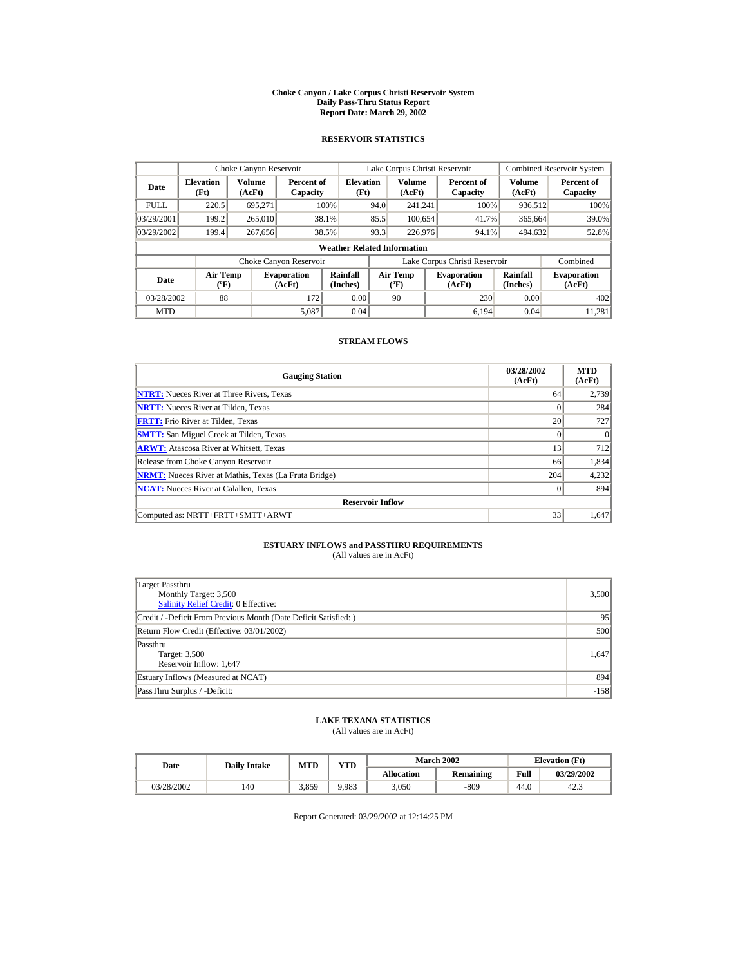#### **Choke Canyon / Lake Corpus Christi Reservoir System Daily Pass-Thru Status Report Report Date: March 29, 2002**

## **RESERVOIR STATISTICS**

|             | Choke Canyon Reservoir             |                  |                              |                          | Lake Corpus Christi Reservoir |                                   |  |                               |                      | <b>Combined Reservoir System</b> |  |  |
|-------------|------------------------------------|------------------|------------------------------|--------------------------|-------------------------------|-----------------------------------|--|-------------------------------|----------------------|----------------------------------|--|--|
| Date        | <b>Elevation</b><br>(Ft)           | Volume<br>(AcFt) | Percent of<br>Capacity       | <b>Elevation</b><br>(Ft) |                               | <b>Volume</b><br>(AcFt)           |  | Percent of<br>Capacity        | Volume<br>(AcFt)     | Percent of<br>Capacity           |  |  |
| <b>FULL</b> | 220.5                              | 695,271          |                              | 100%                     | 94.0                          | 241.241                           |  | 100%                          | 936,512              | 100%                             |  |  |
| 03/29/2001  | 199.2                              | 265,010          |                              | 38.1%                    | 85.5                          | 100.654                           |  | 41.7%                         | 365,664              | 39.0%                            |  |  |
| 03/29/2002  | 199.4                              | 267,656          |                              | 38.5%                    | 93.3                          | 226,976                           |  | 94.1%                         | 494,632              | 52.8%                            |  |  |
|             | <b>Weather Related Information</b> |                  |                              |                          |                               |                                   |  |                               |                      |                                  |  |  |
|             |                                    |                  | Choke Canyon Reservoir       |                          |                               |                                   |  | Lake Corpus Christi Reservoir |                      | Combined                         |  |  |
| Date        | Air Temp<br>$({}^o\mathrm{F})$     |                  | <b>Evaporation</b><br>(AcFt) | Rainfall<br>(Inches)     |                               | Air Temp<br>$({}^{\circ}{\rm F})$ |  | <b>Evaporation</b><br>(AcFt)  | Rainfall<br>(Inches) | <b>Evaporation</b><br>(AcFt)     |  |  |
| 03/28/2002  | 88                                 |                  | 172                          | 0.00                     |                               | 90                                |  | 230                           | 0.00                 | 402                              |  |  |
| <b>MTD</b>  |                                    |                  | 5,087                        | 0.04                     |                               |                                   |  | 6.194                         | 0.04                 | 11.281                           |  |  |

## **STREAM FLOWS**

| <b>Gauging Station</b>                                       | 03/28/2002<br>(AcFt) | <b>MTD</b><br>(AcFt) |
|--------------------------------------------------------------|----------------------|----------------------|
| <b>NTRT:</b> Nueces River at Three Rivers, Texas             | 64                   | 2,739                |
| <b>NRTT:</b> Nueces River at Tilden, Texas                   |                      | 284                  |
| <b>FRTT:</b> Frio River at Tilden. Texas                     | 20                   | 727                  |
| <b>SMTT:</b> San Miguel Creek at Tilden, Texas               | $\Omega$             | $\Omega$             |
| <b>ARWT:</b> Atascosa River at Whitsett, Texas               | 13                   | 712                  |
| Release from Choke Canyon Reservoir                          | 66                   | 1,834                |
| <b>NRMT:</b> Nueces River at Mathis, Texas (La Fruta Bridge) | 204                  | 4,232                |
| <b>NCAT:</b> Nueces River at Calallen, Texas                 | $\Omega$             | 894                  |
| <b>Reservoir Inflow</b>                                      |                      |                      |
| Computed as: NRTT+FRTT+SMTT+ARWT                             | 33                   | 1,647                |

# **ESTUARY INFLOWS and PASSTHRU REQUIREMENTS**<br>(All values are in AcFt)

| Target Passthru<br>Monthly Target: 3,500<br><b>Salinity Relief Credit: 0 Effective:</b> | 3,500  |
|-----------------------------------------------------------------------------------------|--------|
| Credit / -Deficit From Previous Month (Date Deficit Satisfied:)                         | 95     |
| Return Flow Credit (Effective: 03/01/2002)                                              | 500    |
| Passthru<br>Target: 3,500<br>Reservoir Inflow: 1,647                                    | 1.647  |
| Estuary Inflows (Measured at NCAT)                                                      | 894    |
| PassThru Surplus / -Deficit:                                                            | $-158$ |

## **LAKE TEXANA STATISTICS**

(All values are in AcFt)

| Date       | <b>Daily Intake</b> | <b>MTD</b> | $\mathbf{v}\mathbf{T}\mathbf{D}$ |                   | <b>March 2002</b> | <b>Elevation</b> (Ft) |            |
|------------|---------------------|------------|----------------------------------|-------------------|-------------------|-----------------------|------------|
|            |                     |            |                                  | <b>Allocation</b> | Remaining         | Full                  | 03/29/2002 |
| 03/28/2002 | 140                 | 3.859      | 9.983                            | 3,050             | -809              | 44.0                  | 42.3       |

Report Generated: 03/29/2002 at 12:14:25 PM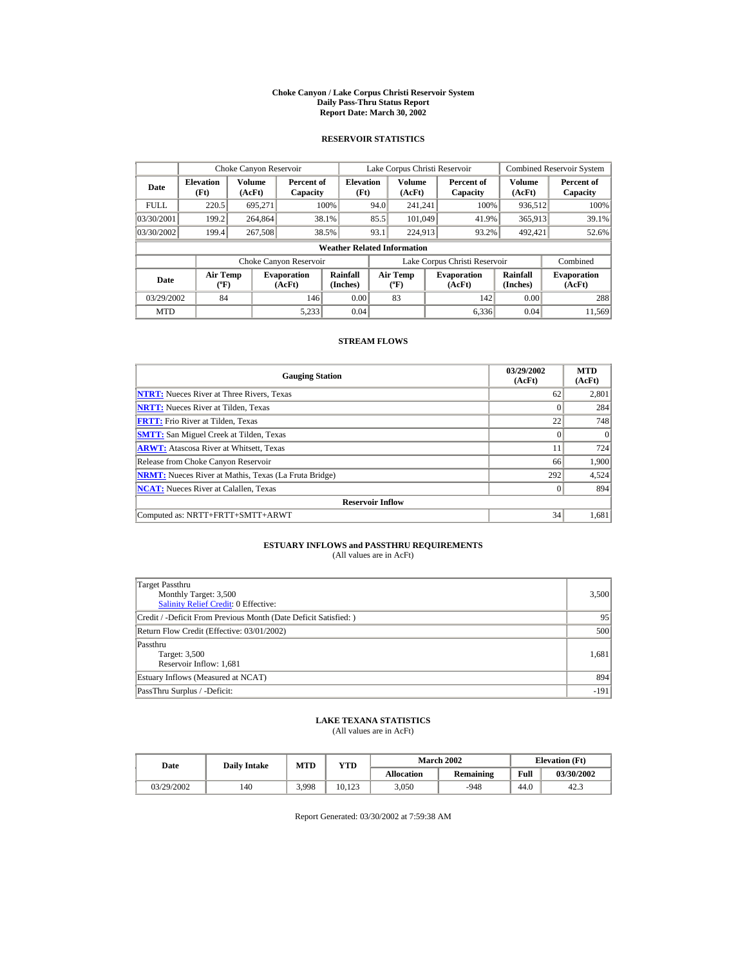#### **Choke Canyon / Lake Corpus Christi Reservoir System Daily Pass-Thru Status Report Report Date: March 30, 2002**

## **RESERVOIR STATISTICS**

|             | Choke Canyon Reservoir                      |                  |                              |                          | Lake Corpus Christi Reservoir |                                          |  |                               |                      | <b>Combined Reservoir System</b> |  |  |
|-------------|---------------------------------------------|------------------|------------------------------|--------------------------|-------------------------------|------------------------------------------|--|-------------------------------|----------------------|----------------------------------|--|--|
| Date        | <b>Elevation</b><br>(Ft)                    | Volume<br>(AcFt) | Percent of<br>Capacity       | <b>Elevation</b><br>(Ft) |                               | <b>Volume</b><br>(AcFt)                  |  | Percent of<br>Capacity        | Volume<br>(AcFt)     | Percent of<br>Capacity           |  |  |
| <b>FULL</b> | 220.5                                       | 695.271          |                              | 100%                     | 94.0                          | 241.241                                  |  | 100%                          | 936,512              | 100%                             |  |  |
| 03/30/2001  | 199.2                                       | 264,864          |                              | 38.1%                    | 85.5                          | 101,049                                  |  | 41.9%                         | 365,913              | 39.1%                            |  |  |
| 03/30/2002  | 199.4                                       | 267,508          |                              | 38.5%                    | 93.1                          | 224,913                                  |  | 93.2%                         | 492,421              | 52.6%                            |  |  |
|             | <b>Weather Related Information</b>          |                  |                              |                          |                               |                                          |  |                               |                      |                                  |  |  |
|             |                                             |                  | Choke Canyon Reservoir       |                          |                               |                                          |  | Lake Corpus Christi Reservoir |                      | Combined                         |  |  |
| Date        | <b>Air Temp</b><br>$({}^{\circ}\mathrm{F})$ |                  | <b>Evaporation</b><br>(AcFt) | Rainfall<br>(Inches)     |                               | <b>Air Temp</b><br>$({}^{\circ}{\rm F})$ |  | <b>Evaporation</b><br>(AcFt)  | Rainfall<br>(Inches) | <b>Evaporation</b><br>(AcFt)     |  |  |
| 03/29/2002  | 84                                          |                  | 146                          | 0.00                     |                               | 83                                       |  | 142                           | 0.00                 | 288                              |  |  |
| <b>MTD</b>  |                                             |                  | 5.233                        | 0.04                     |                               |                                          |  | 6.336                         | 0.04                 | 11.569                           |  |  |

## **STREAM FLOWS**

| <b>Gauging Station</b>                                       | 03/29/2002<br>(AcFt) | <b>MTD</b><br>(AcFt) |
|--------------------------------------------------------------|----------------------|----------------------|
| <b>NTRT:</b> Nueces River at Three Rivers, Texas             | 62                   | 2,801                |
| <b>NRTT:</b> Nueces River at Tilden, Texas                   | $\Omega$             | 284                  |
| <b>FRTT:</b> Frio River at Tilden, Texas                     | 22                   | 748                  |
| <b>SMTT:</b> San Miguel Creek at Tilden, Texas               | $\Omega$             | $\Omega$             |
| <b>ARWT:</b> Atascosa River at Whitsett, Texas               | 11                   | 724                  |
| Release from Choke Canyon Reservoir                          | 66                   | 1,900                |
| <b>NRMT:</b> Nueces River at Mathis, Texas (La Fruta Bridge) | 292                  | 4,524                |
| <b>NCAT:</b> Nueces River at Calallen, Texas                 | $\Omega$             | 894                  |
| <b>Reservoir Inflow</b>                                      |                      |                      |
| Computed as: NRTT+FRTT+SMTT+ARWT                             | 34                   | 1,681                |

# **ESTUARY INFLOWS and PASSTHRU REQUIREMENTS**<br>(All values are in AcFt)

| Target Passthru<br>Monthly Target: 3,500<br><b>Salinity Relief Credit: 0 Effective:</b> | 3,500  |
|-----------------------------------------------------------------------------------------|--------|
| Credit / -Deficit From Previous Month (Date Deficit Satisfied:)                         | 95     |
| Return Flow Credit (Effective: 03/01/2002)                                              | 500    |
| Passthru<br>Target: 3,500<br>Reservoir Inflow: 1,681                                    | 1,681  |
| Estuary Inflows (Measured at NCAT)                                                      | 894    |
| PassThru Surplus / -Deficit:                                                            | $-191$ |

## **LAKE TEXANA STATISTICS**

(All values are in AcFt)

| Date       | <b>Daily Intake</b> | MTD   | $_{\rm VTD}$ |                   | <b>March 2002</b> | <b>Elevation</b> (Ft) |            |
|------------|---------------------|-------|--------------|-------------------|-------------------|-----------------------|------------|
|            |                     |       |              | <b>Allocation</b> | Remaining         | Full                  | 03/30/2002 |
| 03/29/2002 | 140                 | 3,998 | 10.123       | 3.050             | $-948$            | 44.0                  | 42.3       |

Report Generated: 03/30/2002 at 7:59:38 AM